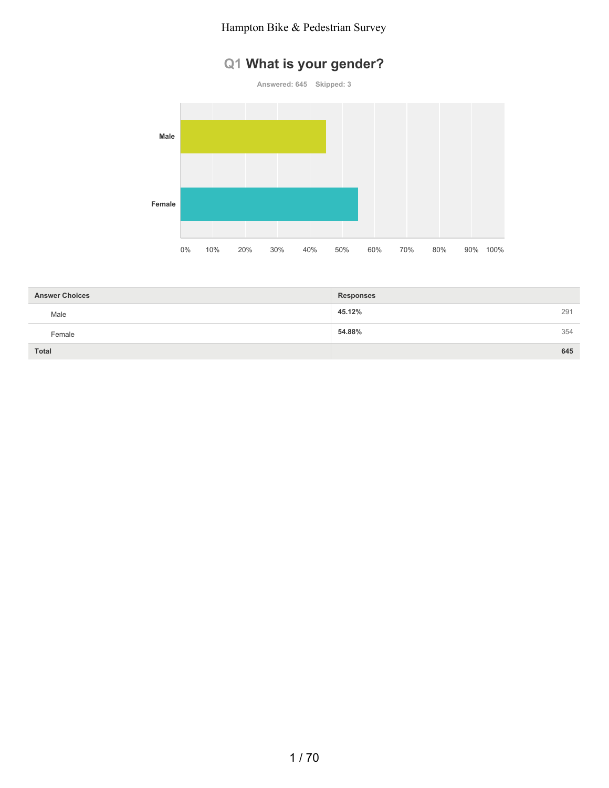# **Q1 What is your gender?**

**Answered: 645 Skipped: 3**



| <b>Answer Choices</b> | <b>Responses</b> |     |
|-----------------------|------------------|-----|
| Male                  | 45.12%           | 291 |
| Female                | 54.88%           | 354 |
| <b>Total</b>          |                  | 645 |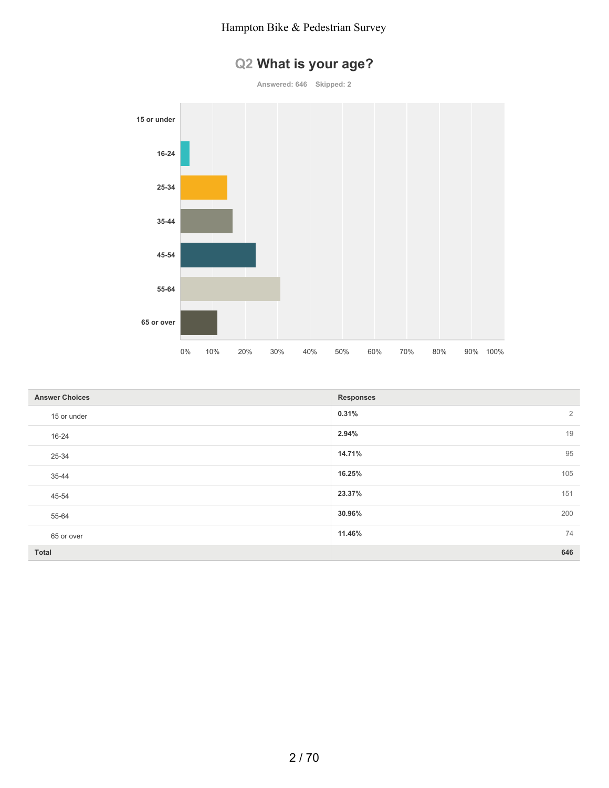

| Q2 What is your age? |
|----------------------|
|----------------------|

**Answered: 646 Skipped: 2**

| <b>Answer Choices</b> | <b>Responses</b>        |
|-----------------------|-------------------------|
| 15 or under           | 0.31%<br>$\overline{2}$ |
| 16-24                 | 19<br>2.94%             |
| 25-34                 | 95<br>14.71%            |
| 35-44                 | 16.25%<br>105           |
| 45-54                 | 23.37%<br>151           |
| 55-64                 | 30.96%<br>200           |
| 65 or over            | 11.46%<br>74            |
| <b>Total</b>          | 646                     |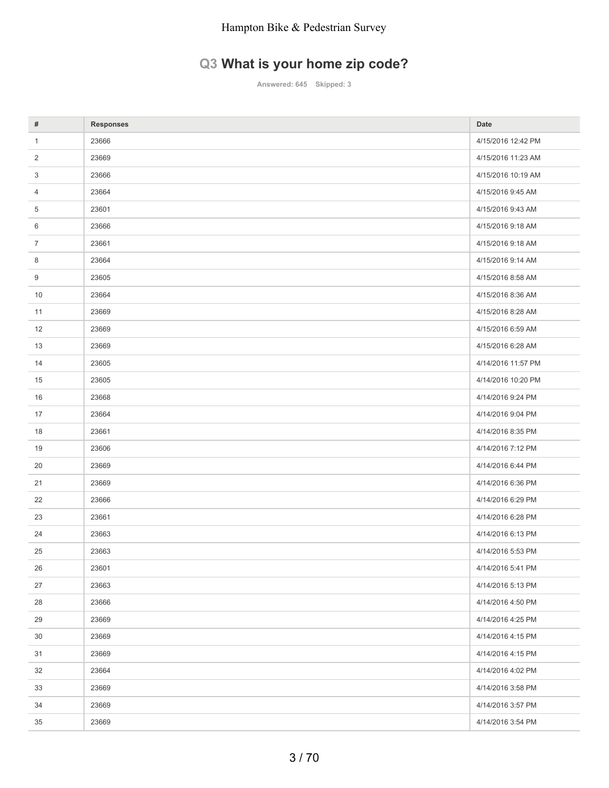# **Q3 What is your home zip code?**

**Answered: 645 Skipped: 3**

| #              | <b>Responses</b> | Date               |
|----------------|------------------|--------------------|
| $\mathbf{1}$   | 23666            | 4/15/2016 12:42 PM |
| $\overline{2}$ | 23669            | 4/15/2016 11:23 AM |
| 3              | 23666            | 4/15/2016 10:19 AM |
| 4              | 23664            | 4/15/2016 9:45 AM  |
| 5              | 23601            | 4/15/2016 9:43 AM  |
| 6              | 23666            | 4/15/2016 9:18 AM  |
| $\overline{7}$ | 23661            | 4/15/2016 9:18 AM  |
| 8              | 23664            | 4/15/2016 9:14 AM  |
| 9              | 23605            | 4/15/2016 8:58 AM  |
| 10             | 23664            | 4/15/2016 8:36 AM  |
| 11             | 23669            | 4/15/2016 8:28 AM  |
| 12             | 23669            | 4/15/2016 6:59 AM  |
| 13             | 23669            | 4/15/2016 6:28 AM  |
| 14             | 23605            | 4/14/2016 11:57 PM |
| 15             | 23605            | 4/14/2016 10:20 PM |
| 16             | 23668            | 4/14/2016 9:24 PM  |
| 17             | 23664            | 4/14/2016 9:04 PM  |
| 18             | 23661            | 4/14/2016 8:35 PM  |
| 19             | 23606            | 4/14/2016 7:12 PM  |
| 20             | 23669            | 4/14/2016 6:44 PM  |
| 21             | 23669            | 4/14/2016 6:36 PM  |
| 22             | 23666            | 4/14/2016 6:29 PM  |
| 23             | 23661            | 4/14/2016 6:28 PM  |
| 24             | 23663            | 4/14/2016 6:13 PM  |
| 25             | 23663            | 4/14/2016 5:53 PM  |
| 26             | 23601            | 4/14/2016 5:41 PM  |
| 27             | 23663            | 4/14/2016 5:13 PM  |
| 28             | 23666            | 4/14/2016 4:50 PM  |
| 29             | 23669            | 4/14/2016 4:25 PM  |
| 30             | 23669            | 4/14/2016 4:15 PM  |
| 31             | 23669            | 4/14/2016 4:15 PM  |
| 32             | 23664            | 4/14/2016 4:02 PM  |
| 33             | 23669            | 4/14/2016 3:58 PM  |
| 34             | 23669            | 4/14/2016 3:57 PM  |
| 35             | 23669            | 4/14/2016 3:54 PM  |
|                |                  |                    |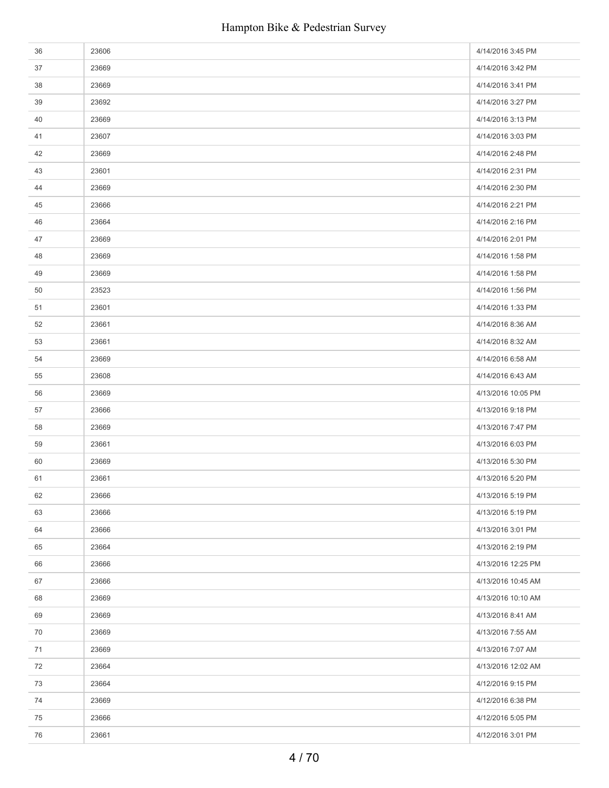| 36 | 23606 | 4/14/2016 3:45 PM  |
|----|-------|--------------------|
| 37 | 23669 | 4/14/2016 3:42 PM  |
| 38 | 23669 | 4/14/2016 3:41 PM  |
| 39 | 23692 | 4/14/2016 3:27 PM  |
| 40 | 23669 | 4/14/2016 3:13 PM  |
| 41 | 23607 | 4/14/2016 3:03 PM  |
| 42 | 23669 | 4/14/2016 2:48 PM  |
| 43 | 23601 | 4/14/2016 2:31 PM  |
| 44 | 23669 | 4/14/2016 2:30 PM  |
| 45 | 23666 | 4/14/2016 2:21 PM  |
| 46 | 23664 | 4/14/2016 2:16 PM  |
| 47 | 23669 | 4/14/2016 2:01 PM  |
| 48 | 23669 | 4/14/2016 1:58 PM  |
| 49 | 23669 | 4/14/2016 1:58 PM  |
| 50 | 23523 | 4/14/2016 1:56 PM  |
| 51 | 23601 | 4/14/2016 1:33 PM  |
| 52 | 23661 | 4/14/2016 8:36 AM  |
| 53 | 23661 | 4/14/2016 8:32 AM  |
| 54 | 23669 | 4/14/2016 6:58 AM  |
| 55 | 23608 | 4/14/2016 6:43 AM  |
| 56 | 23669 | 4/13/2016 10:05 PM |
| 57 | 23666 | 4/13/2016 9:18 PM  |
| 58 | 23669 | 4/13/2016 7:47 PM  |
| 59 | 23661 | 4/13/2016 6:03 PM  |
| 60 | 23669 | 4/13/2016 5:30 PM  |
| 61 | 23661 | 4/13/2016 5:20 PM  |
| 62 | 23666 | 4/13/2016 5:19 PM  |
| 63 | 23666 | 4/13/2016 5:19 PM  |
| 64 | 23666 | 4/13/2016 3:01 PM  |
| 65 | 23664 | 4/13/2016 2:19 PM  |
| 66 | 23666 | 4/13/2016 12:25 PM |
| 67 | 23666 | 4/13/2016 10:45 AM |
| 68 | 23669 | 4/13/2016 10:10 AM |
| 69 | 23669 | 4/13/2016 8:41 AM  |
| 70 | 23669 | 4/13/2016 7:55 AM  |
| 71 | 23669 | 4/13/2016 7:07 AM  |
| 72 | 23664 | 4/13/2016 12:02 AM |
| 73 | 23664 | 4/12/2016 9:15 PM  |
| 74 | 23669 | 4/12/2016 6:38 PM  |
| 75 | 23666 | 4/12/2016 5:05 PM  |
| 76 | 23661 | 4/12/2016 3:01 PM  |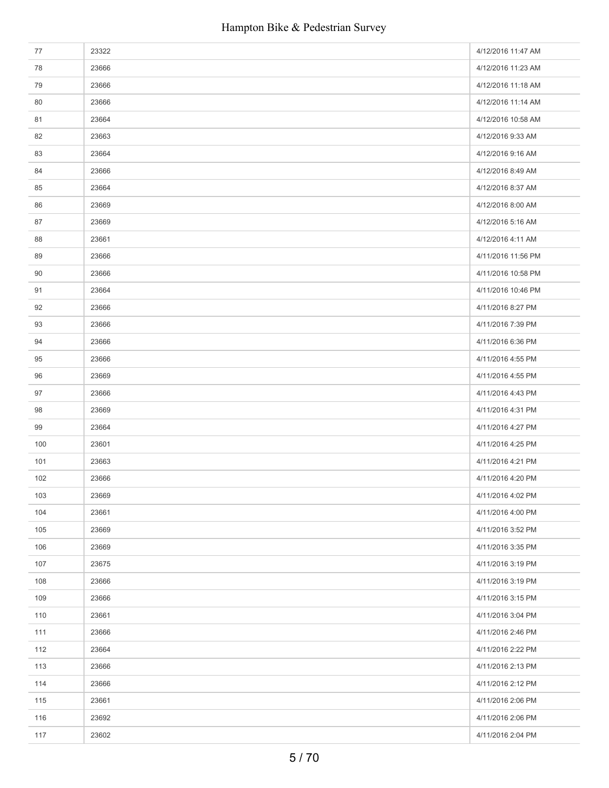| 77  | 23322 | 4/12/2016 11:47 AM |
|-----|-------|--------------------|
| 78  | 23666 | 4/12/2016 11:23 AM |
| 79  | 23666 | 4/12/2016 11:18 AM |
| 80  | 23666 | 4/12/2016 11:14 AM |
| 81  | 23664 | 4/12/2016 10:58 AM |
| 82  | 23663 | 4/12/2016 9:33 AM  |
| 83  | 23664 | 4/12/2016 9:16 AM  |
| 84  | 23666 | 4/12/2016 8:49 AM  |
| 85  | 23664 | 4/12/2016 8:37 AM  |
| 86  | 23669 | 4/12/2016 8:00 AM  |
| 87  | 23669 | 4/12/2016 5:16 AM  |
| 88  | 23661 | 4/12/2016 4:11 AM  |
| 89  | 23666 | 4/11/2016 11:56 PM |
| 90  | 23666 | 4/11/2016 10:58 PM |
| 91  | 23664 | 4/11/2016 10:46 PM |
| 92  | 23666 | 4/11/2016 8:27 PM  |
| 93  | 23666 | 4/11/2016 7:39 PM  |
| 94  | 23666 | 4/11/2016 6:36 PM  |
| 95  | 23666 | 4/11/2016 4:55 PM  |
| 96  | 23669 | 4/11/2016 4:55 PM  |
| 97  | 23666 | 4/11/2016 4:43 PM  |
| 98  | 23669 | 4/11/2016 4:31 PM  |
| 99  | 23664 | 4/11/2016 4:27 PM  |
| 100 | 23601 | 4/11/2016 4:25 PM  |
| 101 | 23663 | 4/11/2016 4:21 PM  |
| 102 | 23666 | 4/11/2016 4:20 PM  |
| 103 | 23669 | 4/11/2016 4:02 PM  |
| 104 | 23661 | 4/11/2016 4:00 PM  |
| 105 | 23669 | 4/11/2016 3:52 PM  |
| 106 | 23669 | 4/11/2016 3:35 PM  |
| 107 | 23675 | 4/11/2016 3:19 PM  |
| 108 | 23666 | 4/11/2016 3:19 PM  |
| 109 | 23666 | 4/11/2016 3:15 PM  |
| 110 | 23661 | 4/11/2016 3:04 PM  |
| 111 | 23666 | 4/11/2016 2:46 PM  |
| 112 | 23664 | 4/11/2016 2:22 PM  |
| 113 | 23666 | 4/11/2016 2:13 PM  |
| 114 | 23666 | 4/11/2016 2:12 PM  |
| 115 | 23661 | 4/11/2016 2:06 PM  |
| 116 | 23692 | 4/11/2016 2:06 PM  |
| 117 | 23602 | 4/11/2016 2:04 PM  |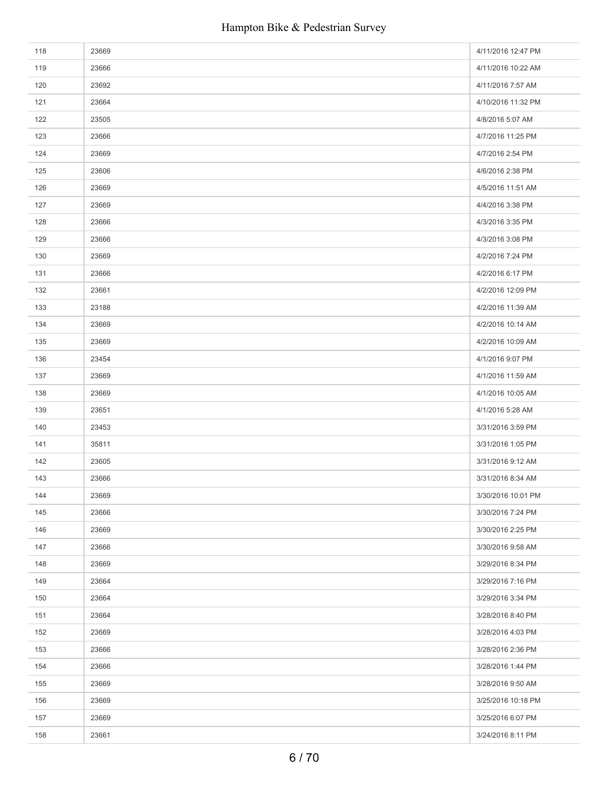| 118 | 23669 | 4/11/2016 12:47 PM |
|-----|-------|--------------------|
| 119 | 23666 | 4/11/2016 10:22 AM |
| 120 | 23692 | 4/11/2016 7:57 AM  |
| 121 | 23664 | 4/10/2016 11:32 PM |
| 122 | 23505 | 4/8/2016 5:07 AM   |
| 123 | 23666 | 4/7/2016 11:25 PM  |
| 124 | 23669 | 4/7/2016 2:54 PM   |
| 125 | 23606 | 4/6/2016 2:38 PM   |
| 126 | 23669 | 4/5/2016 11:51 AM  |
| 127 | 23669 | 4/4/2016 3:38 PM   |
| 128 | 23666 | 4/3/2016 3:35 PM   |
| 129 | 23666 | 4/3/2016 3:08 PM   |
| 130 | 23669 | 4/2/2016 7:24 PM   |
| 131 | 23666 | 4/2/2016 6:17 PM   |
| 132 | 23661 | 4/2/2016 12:09 PM  |
| 133 | 23188 | 4/2/2016 11:39 AM  |
| 134 | 23669 | 4/2/2016 10:14 AM  |
| 135 | 23669 | 4/2/2016 10:09 AM  |
| 136 | 23454 | 4/1/2016 9:07 PM   |
| 137 | 23669 | 4/1/2016 11:59 AM  |
| 138 | 23669 | 4/1/2016 10:05 AM  |
| 139 | 23651 | 4/1/2016 5:28 AM   |
| 140 | 23453 | 3/31/2016 3:59 PM  |
| 141 | 35811 | 3/31/2016 1:05 PM  |
| 142 | 23605 | 3/31/2016 9:12 AM  |
| 143 | 23666 | 3/31/2016 8:34 AM  |
| 144 | 23669 | 3/30/2016 10:01 PM |
| 145 | 23666 | 3/30/2016 7:24 PM  |
| 146 | 23669 | 3/30/2016 2:25 PM  |
| 147 | 23666 | 3/30/2016 9:58 AM  |
| 148 | 23669 | 3/29/2016 8:34 PM  |
| 149 | 23664 | 3/29/2016 7:16 PM  |
| 150 | 23664 | 3/29/2016 3:34 PM  |
| 151 | 23664 | 3/28/2016 8:40 PM  |
| 152 | 23669 | 3/28/2016 4:03 PM  |
| 153 | 23666 | 3/28/2016 2:36 PM  |
| 154 | 23666 | 3/28/2016 1:44 PM  |
| 155 | 23669 | 3/28/2016 9:50 AM  |
| 156 | 23669 | 3/25/2016 10:18 PM |
| 157 | 23669 | 3/25/2016 6:07 PM  |
| 158 | 23661 | 3/24/2016 8:11 PM  |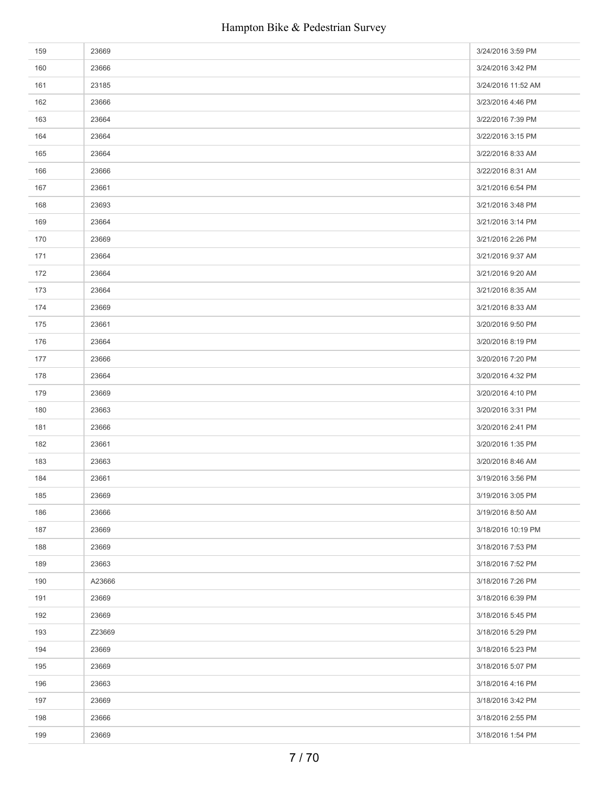| 159 | 23669  | 3/24/2016 3:59 PM  |
|-----|--------|--------------------|
| 160 | 23666  | 3/24/2016 3:42 PM  |
| 161 | 23185  | 3/24/2016 11:52 AM |
| 162 | 23666  | 3/23/2016 4:46 PM  |
| 163 | 23664  | 3/22/2016 7:39 PM  |
| 164 | 23664  | 3/22/2016 3:15 PM  |
| 165 | 23664  | 3/22/2016 8:33 AM  |
| 166 | 23666  | 3/22/2016 8:31 AM  |
| 167 | 23661  | 3/21/2016 6:54 PM  |
| 168 | 23693  | 3/21/2016 3:48 PM  |
| 169 | 23664  | 3/21/2016 3:14 PM  |
| 170 | 23669  | 3/21/2016 2:26 PM  |
| 171 | 23664  | 3/21/2016 9:37 AM  |
| 172 | 23664  | 3/21/2016 9:20 AM  |
| 173 | 23664  | 3/21/2016 8:35 AM  |
| 174 | 23669  | 3/21/2016 8:33 AM  |
| 175 | 23661  | 3/20/2016 9:50 PM  |
| 176 | 23664  | 3/20/2016 8:19 PM  |
| 177 | 23666  | 3/20/2016 7:20 PM  |
| 178 | 23664  | 3/20/2016 4:32 PM  |
| 179 | 23669  | 3/20/2016 4:10 PM  |
| 180 | 23663  | 3/20/2016 3:31 PM  |
| 181 | 23666  | 3/20/2016 2:41 PM  |
| 182 | 23661  | 3/20/2016 1:35 PM  |
| 183 | 23663  | 3/20/2016 8:46 AM  |
| 184 | 23661  | 3/19/2016 3:56 PM  |
| 185 | 23669  | 3/19/2016 3:05 PM  |
| 186 | 23666  | 3/19/2016 8:50 AM  |
| 187 | 23669  | 3/18/2016 10:19 PM |
| 188 | 23669  | 3/18/2016 7:53 PM  |
| 189 | 23663  | 3/18/2016 7:52 PM  |
| 190 | A23666 | 3/18/2016 7:26 PM  |
| 191 | 23669  | 3/18/2016 6:39 PM  |
| 192 | 23669  | 3/18/2016 5:45 PM  |
| 193 | Z23669 | 3/18/2016 5:29 PM  |
| 194 | 23669  | 3/18/2016 5:23 PM  |
| 195 | 23669  | 3/18/2016 5:07 PM  |
| 196 | 23663  | 3/18/2016 4:16 PM  |
| 197 | 23669  | 3/18/2016 3:42 PM  |
| 198 | 23666  | 3/18/2016 2:55 PM  |
| 199 | 23669  | 3/18/2016 1:54 PM  |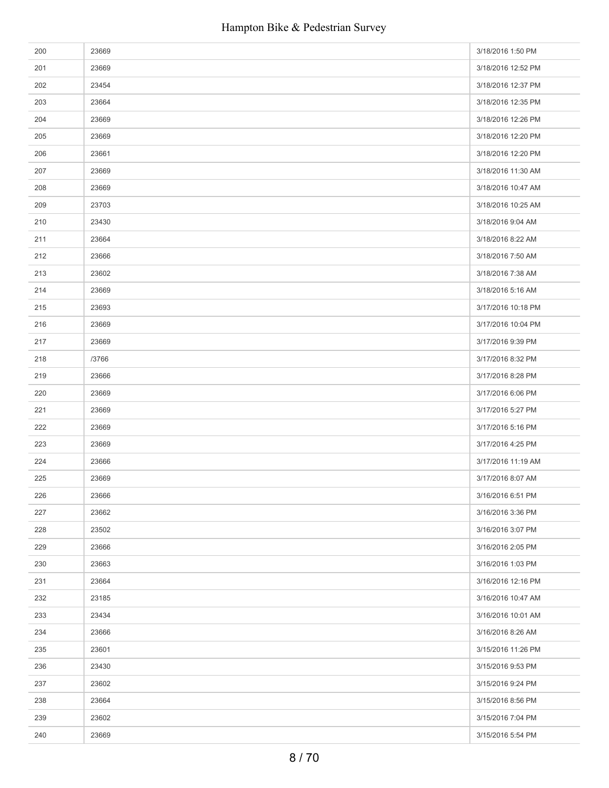| 200 | 23669 | 3/18/2016 1:50 PM  |
|-----|-------|--------------------|
| 201 | 23669 | 3/18/2016 12:52 PM |
| 202 | 23454 | 3/18/2016 12:37 PM |
| 203 | 23664 | 3/18/2016 12:35 PM |
| 204 | 23669 | 3/18/2016 12:26 PM |
| 205 | 23669 | 3/18/2016 12:20 PM |
| 206 | 23661 | 3/18/2016 12:20 PM |
| 207 | 23669 | 3/18/2016 11:30 AM |
| 208 | 23669 | 3/18/2016 10:47 AM |
| 209 | 23703 | 3/18/2016 10:25 AM |
| 210 | 23430 | 3/18/2016 9:04 AM  |
| 211 | 23664 | 3/18/2016 8:22 AM  |
| 212 | 23666 | 3/18/2016 7:50 AM  |
| 213 | 23602 | 3/18/2016 7:38 AM  |
| 214 | 23669 | 3/18/2016 5:16 AM  |
| 215 | 23693 | 3/17/2016 10:18 PM |
| 216 | 23669 | 3/17/2016 10:04 PM |
| 217 | 23669 | 3/17/2016 9:39 PM  |
| 218 | /3766 | 3/17/2016 8:32 PM  |
| 219 | 23666 | 3/17/2016 8:28 PM  |
| 220 | 23669 | 3/17/2016 6:06 PM  |
| 221 | 23669 | 3/17/2016 5:27 PM  |
| 222 | 23669 | 3/17/2016 5:16 PM  |
| 223 | 23669 | 3/17/2016 4:25 PM  |
| 224 | 23666 | 3/17/2016 11:19 AM |
| 225 | 23669 | 3/17/2016 8:07 AM  |
| 226 | 23666 | 3/16/2016 6:51 PM  |
| 227 | 23662 | 3/16/2016 3:36 PM  |
| 228 | 23502 | 3/16/2016 3:07 PM  |
| 229 | 23666 | 3/16/2016 2:05 PM  |
| 230 | 23663 | 3/16/2016 1:03 PM  |
| 231 | 23664 | 3/16/2016 12:16 PM |
| 232 | 23185 | 3/16/2016 10:47 AM |
| 233 | 23434 | 3/16/2016 10:01 AM |
| 234 | 23666 | 3/16/2016 8:26 AM  |
| 235 | 23601 | 3/15/2016 11:26 PM |
| 236 | 23430 | 3/15/2016 9:53 PM  |
| 237 | 23602 | 3/15/2016 9:24 PM  |
| 238 | 23664 | 3/15/2016 8:56 PM  |
| 239 | 23602 | 3/15/2016 7:04 PM  |
| 240 | 23669 | 3/15/2016 5:54 PM  |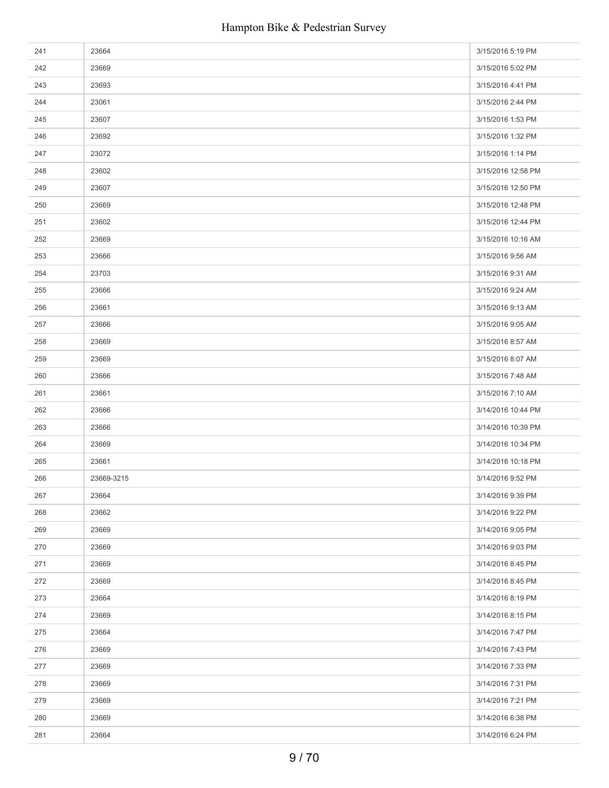| 241 | 23664      | 3/15/2016 5:19 PM  |
|-----|------------|--------------------|
| 242 | 23669      | 3/15/2016 5:02 PM  |
| 243 | 23693      | 3/15/2016 4:41 PM  |
| 244 | 23061      | 3/15/2016 2:44 PM  |
| 245 | 23607      | 3/15/2016 1:53 PM  |
| 246 | 23692      | 3/15/2016 1:32 PM  |
| 247 | 23072      | 3/15/2016 1:14 PM  |
| 248 | 23602      | 3/15/2016 12:58 PM |
| 249 | 23607      | 3/15/2016 12:50 PM |
| 250 | 23669      | 3/15/2016 12:48 PM |
| 251 | 23602      | 3/15/2016 12:44 PM |
| 252 | 23669      | 3/15/2016 10:16 AM |
| 253 | 23666      | 3/15/2016 9:56 AM  |
| 254 | 23703      | 3/15/2016 9:31 AM  |
| 255 | 23666      | 3/15/2016 9:24 AM  |
| 256 | 23661      | 3/15/2016 9:13 AM  |
| 257 | 23666      | 3/15/2016 9:05 AM  |
| 258 | 23669      | 3/15/2016 8:57 AM  |
| 259 | 23669      | 3/15/2016 8:07 AM  |
| 260 | 23666      | 3/15/2016 7:48 AM  |
| 261 | 23661      | 3/15/2016 7:10 AM  |
| 262 | 23666      | 3/14/2016 10:44 PM |
| 263 | 23666      | 3/14/2016 10:39 PM |
| 264 | 23669      | 3/14/2016 10:34 PM |
| 265 | 23661      | 3/14/2016 10:18 PM |
| 266 | 23669-3215 | 3/14/2016 9:52 PM  |
| 267 | 23664      | 3/14/2016 9:39 PM  |
| 268 | 23662      | 3/14/2016 9:22 PM  |
| 269 | 23669      | 3/14/2016 9:05 PM  |
| 270 | 23669      | 3/14/2016 9:03 PM  |
| 271 | 23669      | 3/14/2016 8:45 PM  |
| 272 | 23669      | 3/14/2016 8:45 PM  |
| 273 | 23664      | 3/14/2016 8:19 PM  |
| 274 | 23669      | 3/14/2016 8:15 PM  |
| 275 | 23664      | 3/14/2016 7:47 PM  |
| 276 | 23669      | 3/14/2016 7:43 PM  |
| 277 | 23669      | 3/14/2016 7:33 PM  |
| 278 | 23669      | 3/14/2016 7:31 PM  |
| 279 | 23669      | 3/14/2016 7:21 PM  |
| 280 | 23669      | 3/14/2016 6:38 PM  |
| 281 | 23664      | 3/14/2016 6:24 PM  |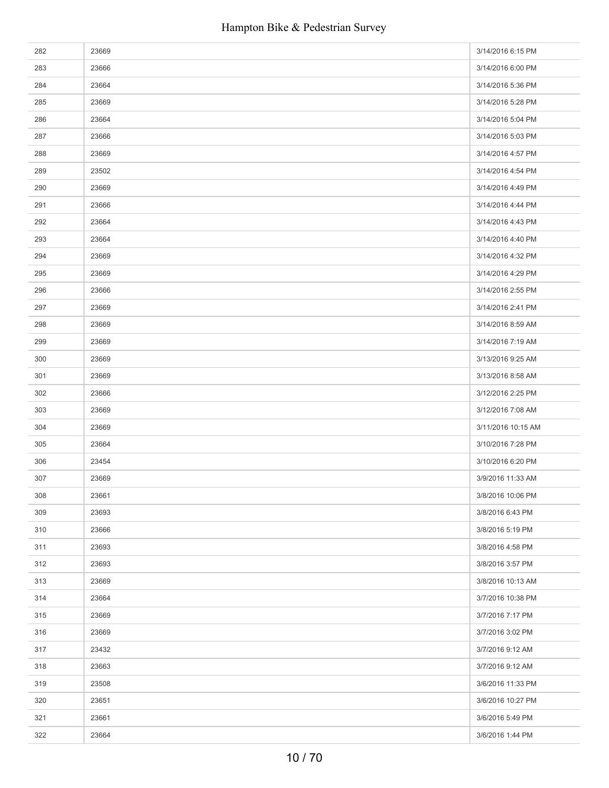| 282 | 23669 | 3/14/2016 6:15 PM  |
|-----|-------|--------------------|
| 283 | 23666 | 3/14/2016 6:00 PM  |
| 284 | 23664 | 3/14/2016 5:36 PM  |
| 285 | 23669 | 3/14/2016 5:28 PM  |
| 286 | 23664 | 3/14/2016 5:04 PM  |
| 287 | 23666 | 3/14/2016 5:03 PM  |
| 288 | 23669 | 3/14/2016 4:57 PM  |
| 289 | 23502 | 3/14/2016 4:54 PM  |
| 290 | 23669 | 3/14/2016 4:49 PM  |
| 291 | 23666 | 3/14/2016 4:44 PM  |
| 292 | 23664 | 3/14/2016 4:43 PM  |
| 293 | 23664 | 3/14/2016 4:40 PM  |
| 294 | 23669 | 3/14/2016 4:32 PM  |
| 295 | 23669 | 3/14/2016 4:29 PM  |
| 296 | 23666 | 3/14/2016 2:55 PM  |
| 297 | 23669 | 3/14/2016 2:41 PM  |
| 298 | 23669 | 3/14/2016 8:59 AM  |
| 299 | 23669 | 3/14/2016 7:19 AM  |
| 300 | 23669 | 3/13/2016 9:25 AM  |
| 301 | 23669 | 3/13/2016 8:58 AM  |
| 302 | 23666 | 3/12/2016 2:25 PM  |
| 303 | 23669 | 3/12/2016 7:08 AM  |
| 304 | 23669 | 3/11/2016 10:15 AM |
| 305 | 23664 | 3/10/2016 7:28 PM  |
| 306 | 23454 | 3/10/2016 6:20 PM  |
| 307 | 23669 | 3/9/2016 11:33 AM  |
| 308 | 23661 | 3/8/2016 10:06 PM  |
| 309 | 23693 | 3/8/2016 6:43 PM   |
| 310 | 23666 | 3/8/2016 5:19 PM   |
| 311 | 23693 | 3/8/2016 4:58 PM   |
| 312 | 23693 | 3/8/2016 3:57 PM   |
| 313 | 23669 | 3/8/2016 10:13 AM  |
| 314 | 23664 | 3/7/2016 10:38 PM  |
| 315 | 23669 | 3/7/2016 7:17 PM   |
| 316 | 23669 | 3/7/2016 3:02 PM   |
| 317 | 23432 | 3/7/2016 9:12 AM   |
| 318 | 23663 | 3/7/2016 9:12 AM   |
| 319 | 23508 | 3/6/2016 11:33 PM  |
| 320 | 23651 | 3/6/2016 10:27 PM  |
| 321 | 23661 | 3/6/2016 5:49 PM   |
| 322 | 23664 | 3/6/2016 1:44 PM   |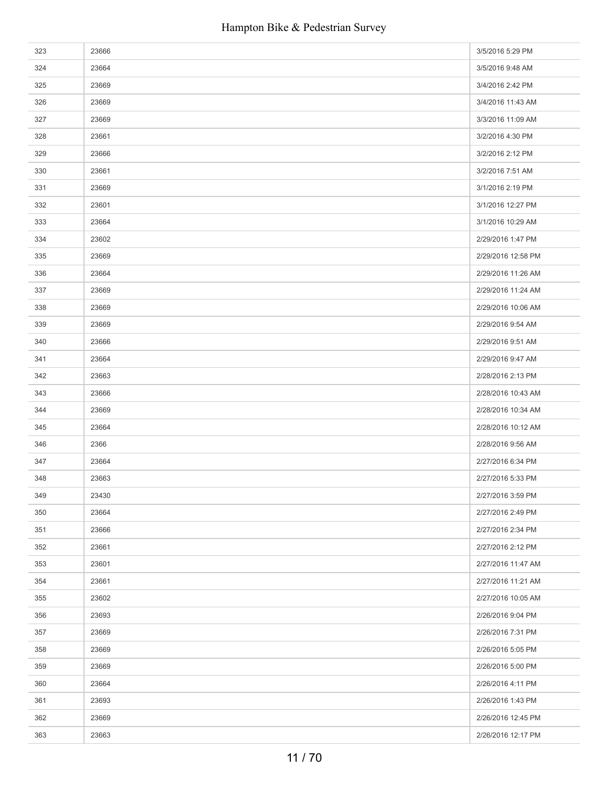| 323 | 23666 | 3/5/2016 5:29 PM   |
|-----|-------|--------------------|
| 324 | 23664 | 3/5/2016 9:48 AM   |
| 325 | 23669 | 3/4/2016 2:42 PM   |
| 326 | 23669 | 3/4/2016 11:43 AM  |
| 327 | 23669 | 3/3/2016 11:09 AM  |
| 328 | 23661 | 3/2/2016 4:30 PM   |
| 329 | 23666 | 3/2/2016 2:12 PM   |
| 330 | 23661 | 3/2/2016 7:51 AM   |
| 331 | 23669 | 3/1/2016 2:19 PM   |
| 332 | 23601 | 3/1/2016 12:27 PM  |
| 333 | 23664 | 3/1/2016 10:29 AM  |
| 334 | 23602 | 2/29/2016 1:47 PM  |
| 335 | 23669 | 2/29/2016 12:58 PM |
| 336 | 23664 | 2/29/2016 11:26 AM |
| 337 | 23669 | 2/29/2016 11:24 AM |
| 338 | 23669 | 2/29/2016 10:06 AM |
| 339 | 23669 | 2/29/2016 9:54 AM  |
| 340 | 23666 | 2/29/2016 9:51 AM  |
| 341 | 23664 | 2/29/2016 9:47 AM  |
| 342 | 23663 | 2/28/2016 2:13 PM  |
| 343 | 23666 | 2/28/2016 10:43 AM |
| 344 | 23669 | 2/28/2016 10:34 AM |
| 345 | 23664 | 2/28/2016 10:12 AM |
| 346 | 2366  | 2/28/2016 9:56 AM  |
| 347 | 23664 | 2/27/2016 6:34 PM  |
| 348 | 23663 | 2/27/2016 5:33 PM  |
| 349 | 23430 | 2/27/2016 3:59 PM  |
| 350 | 23664 | 2/27/2016 2:49 PM  |
| 351 | 23666 | 2/27/2016 2:34 PM  |
| 352 | 23661 | 2/27/2016 2:12 PM  |
| 353 | 23601 | 2/27/2016 11:47 AM |
| 354 | 23661 | 2/27/2016 11:21 AM |
| 355 | 23602 | 2/27/2016 10:05 AM |
| 356 | 23693 | 2/26/2016 9:04 PM  |
| 357 | 23669 | 2/26/2016 7:31 PM  |
| 358 | 23669 | 2/26/2016 5:05 PM  |
| 359 | 23669 | 2/26/2016 5:00 PM  |
| 360 | 23664 | 2/26/2016 4:11 PM  |
| 361 | 23693 | 2/26/2016 1:43 PM  |
| 362 | 23669 | 2/26/2016 12:45 PM |
| 363 | 23663 | 2/26/2016 12:17 PM |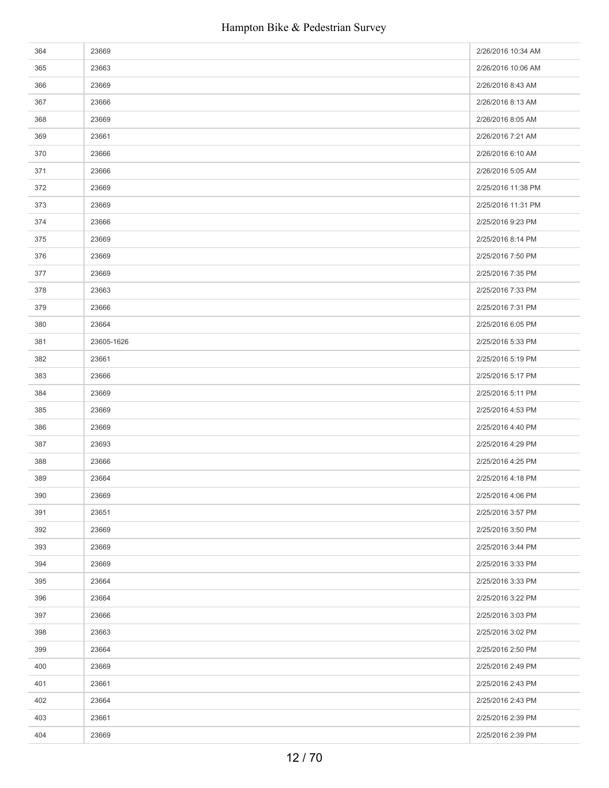| 364 | 23669      | 2/26/2016 10:34 AM |
|-----|------------|--------------------|
| 365 | 23663      | 2/26/2016 10:06 AM |
| 366 | 23669      | 2/26/2016 8:43 AM  |
| 367 | 23666      | 2/26/2016 8:13 AM  |
| 368 | 23669      | 2/26/2016 8:05 AM  |
| 369 | 23661      | 2/26/2016 7:21 AM  |
| 370 | 23666      | 2/26/2016 6:10 AM  |
| 371 | 23666      | 2/26/2016 5:05 AM  |
| 372 | 23669      | 2/25/2016 11:38 PM |
| 373 | 23669      | 2/25/2016 11:31 PM |
| 374 | 23666      | 2/25/2016 9:23 PM  |
| 375 | 23669      | 2/25/2016 8:14 PM  |
| 376 | 23669      | 2/25/2016 7:50 PM  |
| 377 | 23669      | 2/25/2016 7:35 PM  |
| 378 | 23663      | 2/25/2016 7:33 PM  |
| 379 | 23666      | 2/25/2016 7:31 PM  |
| 380 | 23664      | 2/25/2016 6:05 PM  |
| 381 | 23605-1626 | 2/25/2016 5:33 PM  |
| 382 | 23661      | 2/25/2016 5:19 PM  |
| 383 | 23666      | 2/25/2016 5:17 PM  |
| 384 | 23669      | 2/25/2016 5:11 PM  |
| 385 | 23669      | 2/25/2016 4:53 PM  |
| 386 | 23669      | 2/25/2016 4:40 PM  |
| 387 | 23693      | 2/25/2016 4:29 PM  |
| 388 | 23666      | 2/25/2016 4:25 PM  |
| 389 | 23664      | 2/25/2016 4:18 PM  |
| 390 | 23669      | 2/25/2016 4:06 PM  |
| 391 | 23651      | 2/25/2016 3:57 PM  |
| 392 | 23669      | 2/25/2016 3:50 PM  |
| 393 | 23669      | 2/25/2016 3:44 PM  |
| 394 | 23669      | 2/25/2016 3:33 PM  |
| 395 | 23664      | 2/25/2016 3:33 PM  |
| 396 | 23664      | 2/25/2016 3:22 PM  |
| 397 | 23666      | 2/25/2016 3:03 PM  |
| 398 | 23663      | 2/25/2016 3:02 PM  |
| 399 | 23664      | 2/25/2016 2:50 PM  |
| 400 | 23669      | 2/25/2016 2:49 PM  |
| 401 | 23661      | 2/25/2016 2:43 PM  |
| 402 | 23664      | 2/25/2016 2:43 PM  |
| 403 | 23661      | 2/25/2016 2:39 PM  |
| 404 | 23669      | 2/25/2016 2:39 PM  |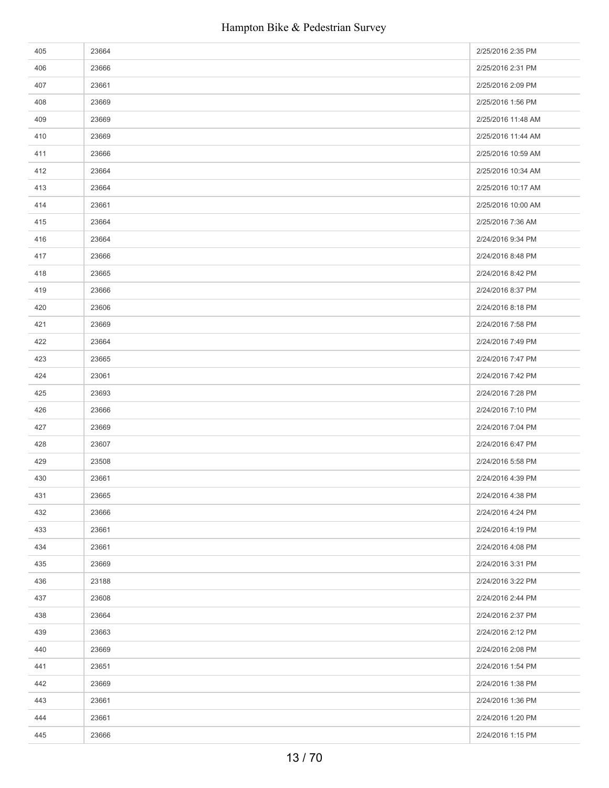| 405 | 23664 | 2/25/2016 2:35 PM  |
|-----|-------|--------------------|
| 406 | 23666 | 2/25/2016 2:31 PM  |
| 407 | 23661 | 2/25/2016 2:09 PM  |
| 408 | 23669 | 2/25/2016 1:56 PM  |
| 409 | 23669 | 2/25/2016 11:48 AM |
| 410 | 23669 | 2/25/2016 11:44 AM |
| 411 | 23666 | 2/25/2016 10:59 AM |
| 412 | 23664 | 2/25/2016 10:34 AM |
| 413 | 23664 | 2/25/2016 10:17 AM |
| 414 | 23661 | 2/25/2016 10:00 AM |
| 415 | 23664 | 2/25/2016 7:36 AM  |
| 416 | 23664 | 2/24/2016 9:34 PM  |
| 417 | 23666 | 2/24/2016 8:48 PM  |
| 418 | 23665 | 2/24/2016 8:42 PM  |
| 419 | 23666 | 2/24/2016 8:37 PM  |
| 420 | 23606 | 2/24/2016 8:18 PM  |
| 421 | 23669 | 2/24/2016 7:58 PM  |
| 422 | 23664 | 2/24/2016 7:49 PM  |
| 423 | 23665 | 2/24/2016 7:47 PM  |
| 424 | 23061 | 2/24/2016 7:42 PM  |
| 425 | 23693 | 2/24/2016 7:28 PM  |
| 426 | 23666 | 2/24/2016 7:10 PM  |
| 427 | 23669 | 2/24/2016 7:04 PM  |
| 428 | 23607 | 2/24/2016 6:47 PM  |
| 429 | 23508 | 2/24/2016 5:58 PM  |
| 430 | 23661 | 2/24/2016 4:39 PM  |
| 431 | 23665 | 2/24/2016 4:38 PM  |
| 432 | 23666 | 2/24/2016 4:24 PM  |
| 433 | 23661 | 2/24/2016 4:19 PM  |
| 434 | 23661 | 2/24/2016 4:08 PM  |
| 435 | 23669 | 2/24/2016 3:31 PM  |
| 436 | 23188 | 2/24/2016 3:22 PM  |
| 437 | 23608 | 2/24/2016 2:44 PM  |
| 438 | 23664 | 2/24/2016 2:37 PM  |
| 439 | 23663 | 2/24/2016 2:12 PM  |
| 440 | 23669 | 2/24/2016 2:08 PM  |
| 441 | 23651 | 2/24/2016 1:54 PM  |
| 442 | 23669 | 2/24/2016 1:38 PM  |
| 443 | 23661 | 2/24/2016 1:36 PM  |
| 444 | 23661 | 2/24/2016 1:20 PM  |
| 445 | 23666 | 2/24/2016 1:15 PM  |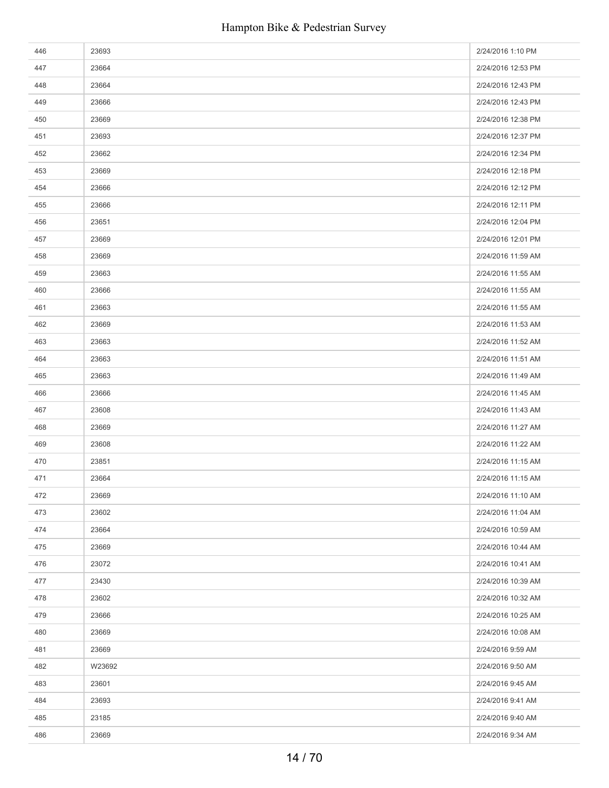| 446 | 23693  | 2/24/2016 1:10 PM  |
|-----|--------|--------------------|
| 447 | 23664  | 2/24/2016 12:53 PM |
| 448 | 23664  | 2/24/2016 12:43 PM |
| 449 | 23666  | 2/24/2016 12:43 PM |
| 450 | 23669  | 2/24/2016 12:38 PM |
| 451 | 23693  | 2/24/2016 12:37 PM |
| 452 | 23662  | 2/24/2016 12:34 PM |
| 453 | 23669  | 2/24/2016 12:18 PM |
| 454 | 23666  | 2/24/2016 12:12 PM |
| 455 | 23666  | 2/24/2016 12:11 PM |
| 456 | 23651  | 2/24/2016 12:04 PM |
| 457 | 23669  | 2/24/2016 12:01 PM |
| 458 | 23669  | 2/24/2016 11:59 AM |
| 459 | 23663  | 2/24/2016 11:55 AM |
| 460 | 23666  | 2/24/2016 11:55 AM |
| 461 | 23663  | 2/24/2016 11:55 AM |
| 462 | 23669  | 2/24/2016 11:53 AM |
| 463 | 23663  | 2/24/2016 11:52 AM |
| 464 | 23663  | 2/24/2016 11:51 AM |
| 465 | 23663  | 2/24/2016 11:49 AM |
| 466 | 23666  | 2/24/2016 11:45 AM |
| 467 | 23608  | 2/24/2016 11:43 AM |
| 468 | 23669  | 2/24/2016 11:27 AM |
| 469 | 23608  | 2/24/2016 11:22 AM |
| 470 | 23851  | 2/24/2016 11:15 AM |
| 471 | 23664  | 2/24/2016 11:15 AM |
| 472 | 23669  | 2/24/2016 11:10 AM |
| 473 | 23602  | 2/24/2016 11:04 AM |
| 474 | 23664  | 2/24/2016 10:59 AM |
| 475 | 23669  | 2/24/2016 10:44 AM |
| 476 | 23072  | 2/24/2016 10:41 AM |
| 477 | 23430  | 2/24/2016 10:39 AM |
| 478 | 23602  | 2/24/2016 10:32 AM |
| 479 | 23666  | 2/24/2016 10:25 AM |
| 480 | 23669  | 2/24/2016 10:08 AM |
| 481 | 23669  | 2/24/2016 9:59 AM  |
| 482 | W23692 | 2/24/2016 9:50 AM  |
| 483 | 23601  | 2/24/2016 9:45 AM  |
| 484 | 23693  | 2/24/2016 9:41 AM  |
| 485 | 23185  | 2/24/2016 9:40 AM  |
| 486 | 23669  | 2/24/2016 9:34 AM  |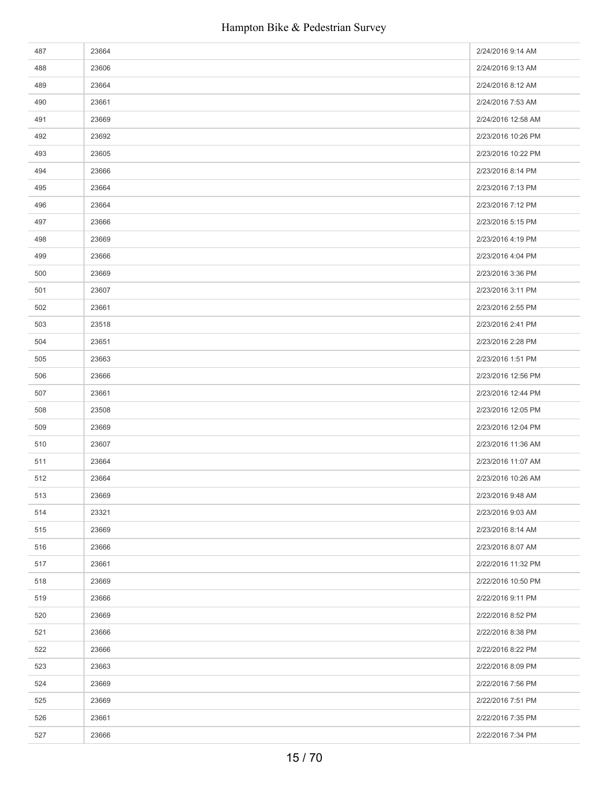| 487 | 23664 | 2/24/2016 9:14 AM  |
|-----|-------|--------------------|
| 488 | 23606 | 2/24/2016 9:13 AM  |
| 489 | 23664 | 2/24/2016 8:12 AM  |
| 490 | 23661 | 2/24/2016 7:53 AM  |
| 491 | 23669 | 2/24/2016 12:58 AM |
| 492 | 23692 | 2/23/2016 10:26 PM |
| 493 | 23605 | 2/23/2016 10:22 PM |
| 494 | 23666 | 2/23/2016 8:14 PM  |
| 495 | 23664 | 2/23/2016 7:13 PM  |
| 496 | 23664 | 2/23/2016 7:12 PM  |
| 497 | 23666 | 2/23/2016 5:15 PM  |
| 498 | 23669 | 2/23/2016 4:19 PM  |
| 499 | 23666 | 2/23/2016 4:04 PM  |
| 500 | 23669 | 2/23/2016 3:36 PM  |
| 501 | 23607 | 2/23/2016 3:11 PM  |
| 502 | 23661 | 2/23/2016 2:55 PM  |
| 503 | 23518 | 2/23/2016 2:41 PM  |
| 504 | 23651 | 2/23/2016 2:28 PM  |
| 505 | 23663 | 2/23/2016 1:51 PM  |
| 506 | 23666 | 2/23/2016 12:56 PM |
| 507 | 23661 | 2/23/2016 12:44 PM |
| 508 | 23508 | 2/23/2016 12:05 PM |
| 509 | 23669 | 2/23/2016 12:04 PM |
| 510 | 23607 | 2/23/2016 11:36 AM |
| 511 | 23664 | 2/23/2016 11:07 AM |
| 512 | 23664 | 2/23/2016 10:26 AM |
| 513 | 23669 | 2/23/2016 9:48 AM  |
| 514 | 23321 | 2/23/2016 9:03 AM  |
| 515 | 23669 | 2/23/2016 8:14 AM  |
| 516 | 23666 | 2/23/2016 8:07 AM  |
| 517 | 23661 | 2/22/2016 11:32 PM |
| 518 | 23669 | 2/22/2016 10:50 PM |
| 519 | 23666 | 2/22/2016 9:11 PM  |
| 520 | 23669 | 2/22/2016 8:52 PM  |
| 521 | 23666 | 2/22/2016 8:38 PM  |
| 522 | 23666 | 2/22/2016 8:22 PM  |
| 523 | 23663 | 2/22/2016 8:09 PM  |
| 524 | 23669 | 2/22/2016 7:56 PM  |
| 525 | 23669 | 2/22/2016 7:51 PM  |
| 526 | 23661 | 2/22/2016 7:35 PM  |
| 527 | 23666 | 2/22/2016 7:34 PM  |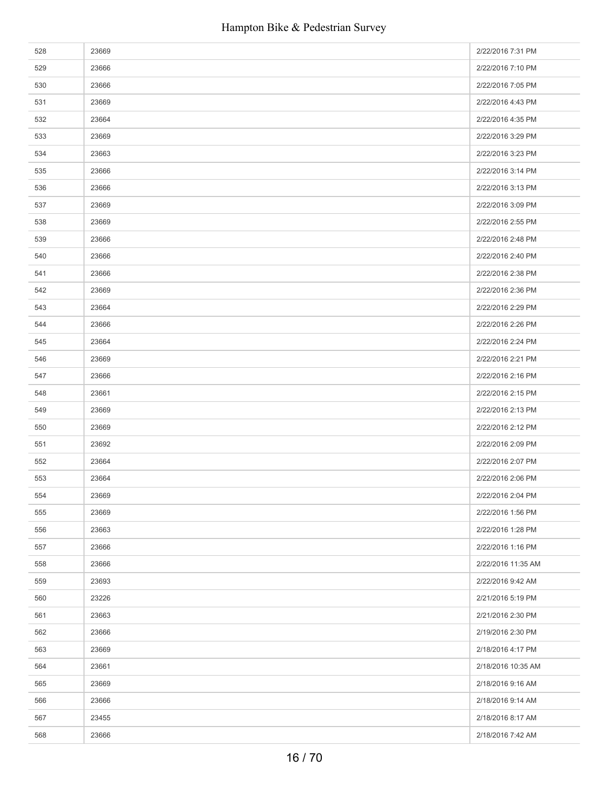| 528 | 23669 | 2/22/2016 7:31 PM  |
|-----|-------|--------------------|
| 529 | 23666 | 2/22/2016 7:10 PM  |
| 530 | 23666 | 2/22/2016 7:05 PM  |
| 531 | 23669 | 2/22/2016 4:43 PM  |
| 532 | 23664 | 2/22/2016 4:35 PM  |
| 533 | 23669 | 2/22/2016 3:29 PM  |
| 534 | 23663 | 2/22/2016 3:23 PM  |
| 535 | 23666 | 2/22/2016 3:14 PM  |
| 536 | 23666 | 2/22/2016 3:13 PM  |
| 537 | 23669 | 2/22/2016 3:09 PM  |
| 538 | 23669 | 2/22/2016 2:55 PM  |
| 539 | 23666 | 2/22/2016 2:48 PM  |
| 540 | 23666 | 2/22/2016 2:40 PM  |
| 541 | 23666 | 2/22/2016 2:38 PM  |
| 542 | 23669 | 2/22/2016 2:36 PM  |
| 543 | 23664 | 2/22/2016 2:29 PM  |
| 544 | 23666 | 2/22/2016 2:26 PM  |
| 545 | 23664 | 2/22/2016 2:24 PM  |
| 546 | 23669 | 2/22/2016 2:21 PM  |
| 547 | 23666 | 2/22/2016 2:16 PM  |
| 548 | 23661 | 2/22/2016 2:15 PM  |
| 549 | 23669 | 2/22/2016 2:13 PM  |
| 550 | 23669 | 2/22/2016 2:12 PM  |
| 551 | 23692 | 2/22/2016 2:09 PM  |
| 552 | 23664 | 2/22/2016 2:07 PM  |
| 553 | 23664 | 2/22/2016 2:06 PM  |
| 554 | 23669 | 2/22/2016 2:04 PM  |
| 555 | 23669 | 2/22/2016 1:56 PM  |
| 556 | 23663 | 2/22/2016 1:28 PM  |
| 557 | 23666 | 2/22/2016 1:16 PM  |
| 558 | 23666 | 2/22/2016 11:35 AM |
| 559 | 23693 | 2/22/2016 9:42 AM  |
| 560 | 23226 | 2/21/2016 5:19 PM  |
| 561 | 23663 | 2/21/2016 2:30 PM  |
| 562 | 23666 | 2/19/2016 2:30 PM  |
| 563 | 23669 | 2/18/2016 4:17 PM  |
| 564 | 23661 | 2/18/2016 10:35 AM |
| 565 | 23669 | 2/18/2016 9:16 AM  |
| 566 | 23666 | 2/18/2016 9:14 AM  |
| 567 | 23455 | 2/18/2016 8:17 AM  |
| 568 | 23666 | 2/18/2016 7:42 AM  |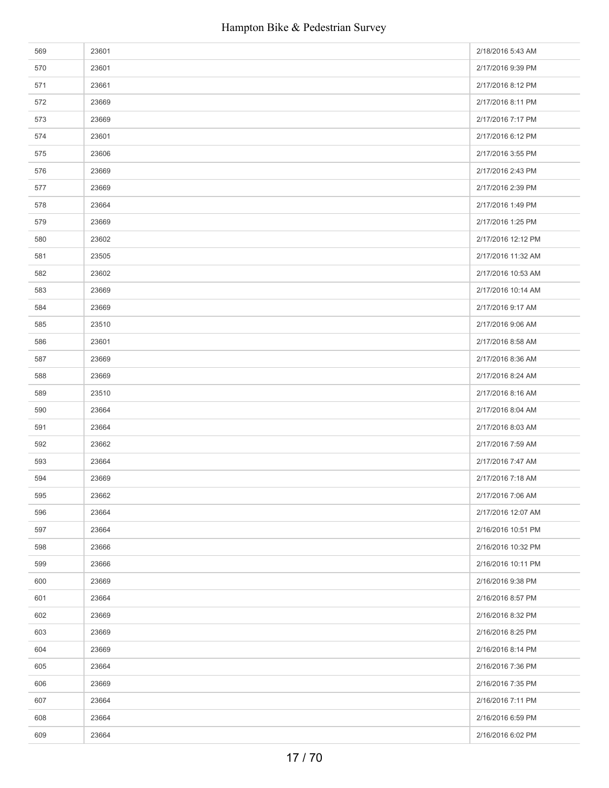| 569 | 23601 | 2/18/2016 5:43 AM  |
|-----|-------|--------------------|
| 570 | 23601 | 2/17/2016 9:39 PM  |
| 571 | 23661 | 2/17/2016 8:12 PM  |
| 572 | 23669 | 2/17/2016 8:11 PM  |
| 573 | 23669 | 2/17/2016 7:17 PM  |
| 574 | 23601 | 2/17/2016 6:12 PM  |
| 575 | 23606 | 2/17/2016 3:55 PM  |
| 576 | 23669 | 2/17/2016 2:43 PM  |
| 577 | 23669 | 2/17/2016 2:39 PM  |
| 578 | 23664 | 2/17/2016 1:49 PM  |
| 579 | 23669 | 2/17/2016 1:25 PM  |
| 580 | 23602 | 2/17/2016 12:12 PM |
| 581 | 23505 | 2/17/2016 11:32 AM |
| 582 | 23602 | 2/17/2016 10:53 AM |
| 583 | 23669 | 2/17/2016 10:14 AM |
| 584 | 23669 | 2/17/2016 9:17 AM  |
| 585 | 23510 | 2/17/2016 9:06 AM  |
| 586 | 23601 | 2/17/2016 8:58 AM  |
| 587 | 23669 | 2/17/2016 8:36 AM  |
| 588 | 23669 | 2/17/2016 8:24 AM  |
| 589 | 23510 | 2/17/2016 8:16 AM  |
| 590 | 23664 | 2/17/2016 8:04 AM  |
| 591 | 23664 | 2/17/2016 8:03 AM  |
| 592 | 23662 | 2/17/2016 7:59 AM  |
| 593 | 23664 | 2/17/2016 7:47 AM  |
| 594 | 23669 | 2/17/2016 7:18 AM  |
| 595 | 23662 | 2/17/2016 7:06 AM  |
| 596 | 23664 | 2/17/2016 12:07 AM |
| 597 | 23664 | 2/16/2016 10:51 PM |
| 598 | 23666 | 2/16/2016 10:32 PM |
| 599 | 23666 | 2/16/2016 10:11 PM |
| 600 | 23669 | 2/16/2016 9:38 PM  |
| 601 | 23664 | 2/16/2016 8:57 PM  |
| 602 | 23669 | 2/16/2016 8:32 PM  |
| 603 | 23669 | 2/16/2016 8:25 PM  |
| 604 | 23669 | 2/16/2016 8:14 PM  |
| 605 | 23664 | 2/16/2016 7:36 PM  |
| 606 | 23669 | 2/16/2016 7:35 PM  |
| 607 | 23664 | 2/16/2016 7:11 PM  |
| 608 | 23664 | 2/16/2016 6:59 PM  |
| 609 | 23664 | 2/16/2016 6:02 PM  |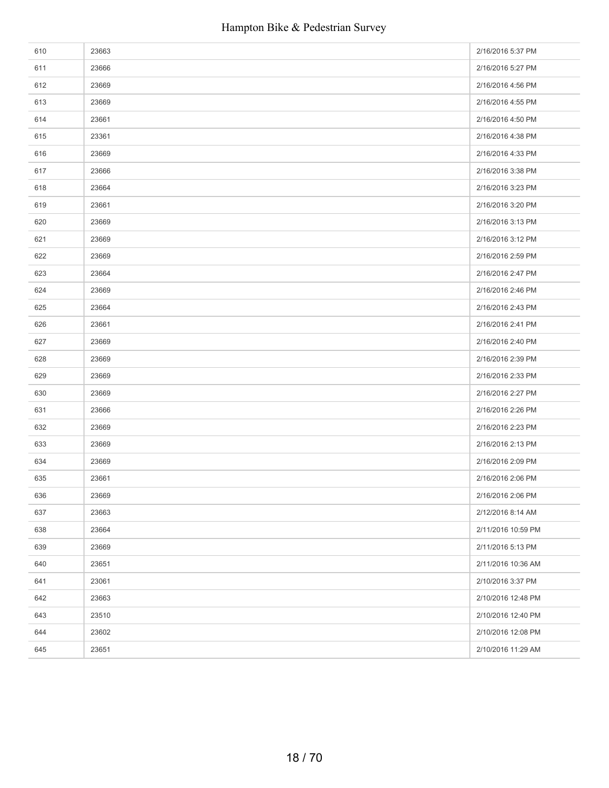| 610 | 23663 | 2/16/2016 5:37 PM  |
|-----|-------|--------------------|
| 611 | 23666 | 2/16/2016 5:27 PM  |
| 612 | 23669 | 2/16/2016 4:56 PM  |
| 613 | 23669 | 2/16/2016 4:55 PM  |
| 614 | 23661 | 2/16/2016 4:50 PM  |
| 615 | 23361 | 2/16/2016 4:38 PM  |
| 616 | 23669 | 2/16/2016 4:33 PM  |
| 617 | 23666 | 2/16/2016 3:38 PM  |
| 618 | 23664 | 2/16/2016 3:23 PM  |
| 619 | 23661 | 2/16/2016 3:20 PM  |
| 620 | 23669 | 2/16/2016 3:13 PM  |
| 621 | 23669 | 2/16/2016 3:12 PM  |
| 622 | 23669 | 2/16/2016 2:59 PM  |
| 623 | 23664 | 2/16/2016 2:47 PM  |
| 624 | 23669 | 2/16/2016 2:46 PM  |
| 625 | 23664 | 2/16/2016 2:43 PM  |
| 626 | 23661 | 2/16/2016 2:41 PM  |
| 627 | 23669 | 2/16/2016 2:40 PM  |
| 628 | 23669 | 2/16/2016 2:39 PM  |
| 629 | 23669 | 2/16/2016 2:33 PM  |
| 630 | 23669 | 2/16/2016 2:27 PM  |
| 631 | 23666 | 2/16/2016 2:26 PM  |
| 632 | 23669 | 2/16/2016 2:23 PM  |
| 633 | 23669 | 2/16/2016 2:13 PM  |
| 634 | 23669 | 2/16/2016 2:09 PM  |
| 635 | 23661 | 2/16/2016 2:06 PM  |
| 636 | 23669 | 2/16/2016 2:06 PM  |
| 637 | 23663 | 2/12/2016 8:14 AM  |
| 638 | 23664 | 2/11/2016 10:59 PM |
| 639 | 23669 | 2/11/2016 5:13 PM  |
| 640 | 23651 | 2/11/2016 10:36 AM |
| 641 | 23061 | 2/10/2016 3:37 PM  |
| 642 | 23663 | 2/10/2016 12:48 PM |
| 643 | 23510 | 2/10/2016 12:40 PM |
| 644 | 23602 | 2/10/2016 12:08 PM |
| 645 | 23651 | 2/10/2016 11:29 AM |
|     |       |                    |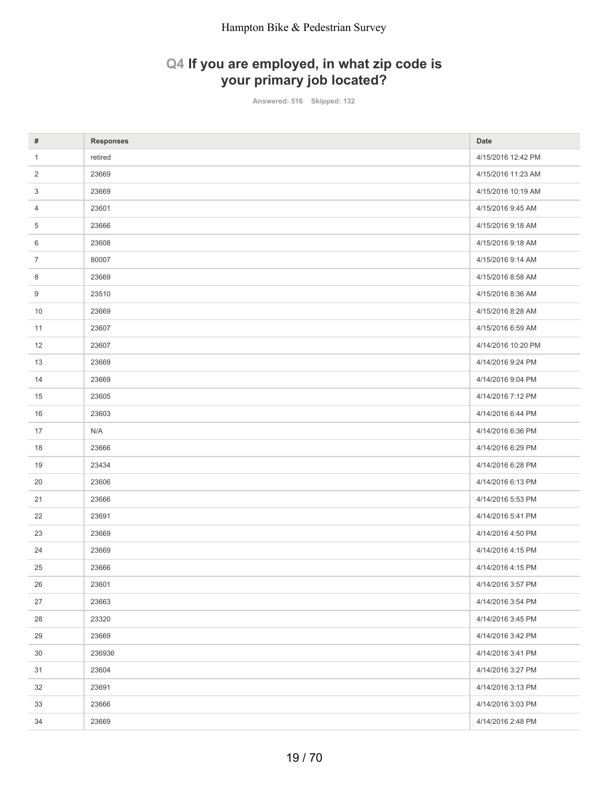# **Q4 If you are employed, in what zip code is your primary job located?**

**Answered: 516 Skipped: 132**

| #            | <b>Responses</b> | Date               |
|--------------|------------------|--------------------|
| $\mathbf{1}$ | retired          | 4/15/2016 12:42 PM |
| 2            | 23669            | 4/15/2016 11:23 AM |
| 3            | 23669            | 4/15/2016 10:19 AM |
| 4            | 23601            | 4/15/2016 9:45 AM  |
| 5            | 23666            | 4/15/2016 9:18 AM  |
| 6            | 23608            | 4/15/2016 9:18 AM  |
| 7            | 80007            | 4/15/2016 9:14 AM  |
| 8            | 23669            | 4/15/2016 8:58 AM  |
| 9            | 23510            | 4/15/2016 8:36 AM  |
| 10           | 23669            | 4/15/2016 8:28 AM  |
| 11           | 23607            | 4/15/2016 6:59 AM  |
| 12           | 23607            | 4/14/2016 10:20 PM |
| 13           | 23669            | 4/14/2016 9:24 PM  |
| 14           | 23669            | 4/14/2016 9:04 PM  |
| 15           | 23605            | 4/14/2016 7:12 PM  |
| 16           | 23603            | 4/14/2016 6:44 PM  |
| 17           | N/A              | 4/14/2016 6:36 PM  |
| 18           | 23666            | 4/14/2016 6:29 PM  |
| 19           | 23434            | 4/14/2016 6:28 PM  |
| 20           | 23606            | 4/14/2016 6:13 PM  |
| 21           | 23666            | 4/14/2016 5:53 PM  |
| 22           | 23691            | 4/14/2016 5:41 PM  |
| 23           | 23669            | 4/14/2016 4:50 PM  |
| 24           | 23669            | 4/14/2016 4:15 PM  |
| 25           | 23666            | 4/14/2016 4:15 PM  |
| 26           | 23601            | 4/14/2016 3:57 PM  |
| 27           | 23663            | 4/14/2016 3:54 PM  |
| 28           | 23320            | 4/14/2016 3:45 PM  |
| 29           | 23669            | 4/14/2016 3:42 PM  |
| 30           | 236936           | 4/14/2016 3:41 PM  |
| 31           | 23604            | 4/14/2016 3:27 PM  |
| 32           | 23691            | 4/14/2016 3:13 PM  |
| 33           | 23666            | 4/14/2016 3:03 PM  |
| 34           | 23669            | 4/14/2016 2:48 PM  |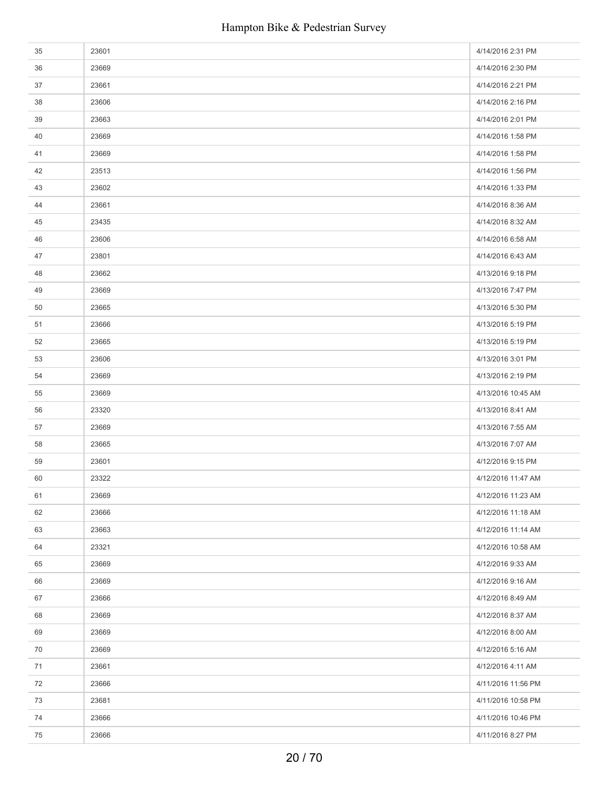| 35 | 23601 | 4/14/2016 2:31 PM  |
|----|-------|--------------------|
| 36 | 23669 | 4/14/2016 2:30 PM  |
| 37 | 23661 | 4/14/2016 2:21 PM  |
| 38 | 23606 | 4/14/2016 2:16 PM  |
| 39 | 23663 | 4/14/2016 2:01 PM  |
| 40 | 23669 | 4/14/2016 1:58 PM  |
| 41 | 23669 | 4/14/2016 1:58 PM  |
| 42 | 23513 | 4/14/2016 1:56 PM  |
| 43 | 23602 | 4/14/2016 1:33 PM  |
| 44 | 23661 | 4/14/2016 8:36 AM  |
| 45 | 23435 | 4/14/2016 8:32 AM  |
| 46 | 23606 | 4/14/2016 6:58 AM  |
| 47 | 23801 | 4/14/2016 6:43 AM  |
| 48 | 23662 | 4/13/2016 9:18 PM  |
| 49 | 23669 | 4/13/2016 7:47 PM  |
| 50 | 23665 | 4/13/2016 5:30 PM  |
| 51 | 23666 | 4/13/2016 5:19 PM  |
| 52 | 23665 | 4/13/2016 5:19 PM  |
| 53 | 23606 | 4/13/2016 3:01 PM  |
| 54 | 23669 | 4/13/2016 2:19 PM  |
| 55 | 23669 | 4/13/2016 10:45 AM |
| 56 | 23320 | 4/13/2016 8:41 AM  |
| 57 | 23669 | 4/13/2016 7:55 AM  |
| 58 | 23665 | 4/13/2016 7:07 AM  |
| 59 | 23601 | 4/12/2016 9:15 PM  |
| 60 | 23322 | 4/12/2016 11:47 AM |
| 61 | 23669 | 4/12/2016 11:23 AM |
| 62 | 23666 | 4/12/2016 11:18 AM |
| 63 | 23663 | 4/12/2016 11:14 AM |
| 64 | 23321 | 4/12/2016 10:58 AM |
| 65 | 23669 | 4/12/2016 9:33 AM  |
| 66 | 23669 | 4/12/2016 9:16 AM  |
| 67 | 23666 | 4/12/2016 8:49 AM  |
| 68 | 23669 | 4/12/2016 8:37 AM  |
| 69 | 23669 | 4/12/2016 8:00 AM  |
| 70 | 23669 | 4/12/2016 5:16 AM  |
| 71 | 23661 | 4/12/2016 4:11 AM  |
| 72 | 23666 | 4/11/2016 11:56 PM |
| 73 | 23681 | 4/11/2016 10:58 PM |
| 74 | 23666 | 4/11/2016 10:46 PM |
| 75 | 23666 | 4/11/2016 8:27 PM  |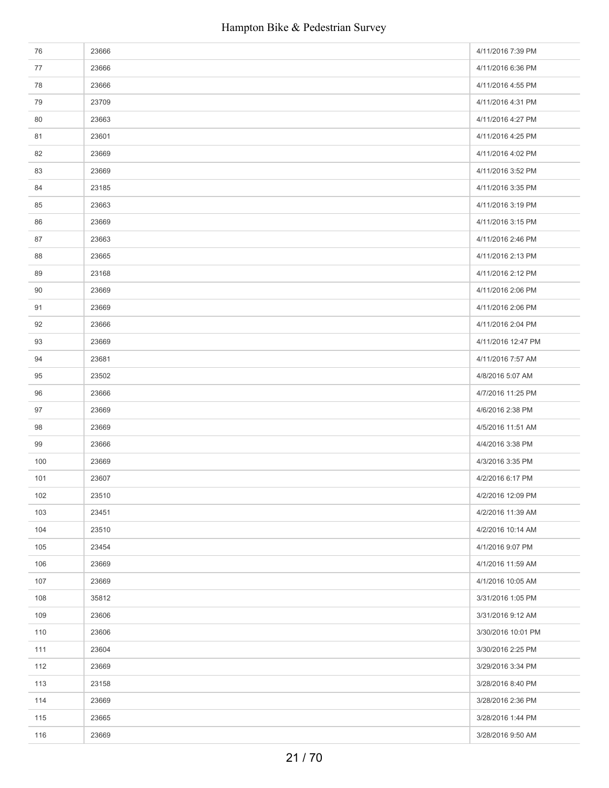| 76  | 23666 | 4/11/2016 7:39 PM  |
|-----|-------|--------------------|
| 77  | 23666 | 4/11/2016 6:36 PM  |
| 78  | 23666 | 4/11/2016 4:55 PM  |
| 79  | 23709 | 4/11/2016 4:31 PM  |
| 80  | 23663 | 4/11/2016 4:27 PM  |
| 81  | 23601 | 4/11/2016 4:25 PM  |
| 82  | 23669 | 4/11/2016 4:02 PM  |
| 83  | 23669 | 4/11/2016 3:52 PM  |
| 84  | 23185 | 4/11/2016 3:35 PM  |
| 85  | 23663 | 4/11/2016 3:19 PM  |
| 86  | 23669 | 4/11/2016 3:15 PM  |
| 87  | 23663 | 4/11/2016 2:46 PM  |
| 88  | 23665 | 4/11/2016 2:13 PM  |
| 89  | 23168 | 4/11/2016 2:12 PM  |
| 90  | 23669 | 4/11/2016 2:06 PM  |
| 91  | 23669 | 4/11/2016 2:06 PM  |
| 92  | 23666 | 4/11/2016 2:04 PM  |
| 93  | 23669 | 4/11/2016 12:47 PM |
| 94  | 23681 | 4/11/2016 7:57 AM  |
| 95  | 23502 | 4/8/2016 5:07 AM   |
| 96  | 23666 | 4/7/2016 11:25 PM  |
| 97  | 23669 | 4/6/2016 2:38 PM   |
| 98  | 23669 | 4/5/2016 11:51 AM  |
| 99  | 23666 | 4/4/2016 3:38 PM   |
| 100 | 23669 | 4/3/2016 3:35 PM   |
| 101 | 23607 | 4/2/2016 6:17 PM   |
| 102 | 23510 | 4/2/2016 12:09 PM  |
| 103 | 23451 | 4/2/2016 11:39 AM  |
| 104 | 23510 | 4/2/2016 10:14 AM  |
| 105 | 23454 | 4/1/2016 9:07 PM   |
| 106 | 23669 | 4/1/2016 11:59 AM  |
| 107 | 23669 | 4/1/2016 10:05 AM  |
| 108 | 35812 | 3/31/2016 1:05 PM  |
| 109 | 23606 | 3/31/2016 9:12 AM  |
| 110 | 23606 | 3/30/2016 10:01 PM |
| 111 | 23604 | 3/30/2016 2:25 PM  |
| 112 | 23669 | 3/29/2016 3:34 PM  |
| 113 | 23158 | 3/28/2016 8:40 PM  |
| 114 | 23669 | 3/28/2016 2:36 PM  |
| 115 | 23665 | 3/28/2016 1:44 PM  |
| 116 | 23669 | 3/28/2016 9:50 AM  |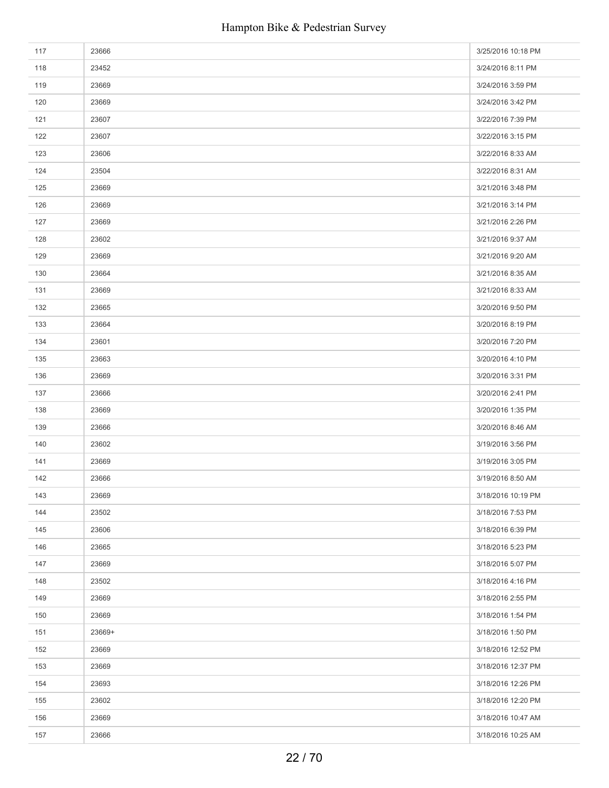| 117 | 23666  | 3/25/2016 10:18 PM |
|-----|--------|--------------------|
| 118 | 23452  | 3/24/2016 8:11 PM  |
| 119 | 23669  | 3/24/2016 3:59 PM  |
| 120 | 23669  | 3/24/2016 3:42 PM  |
| 121 | 23607  | 3/22/2016 7:39 PM  |
| 122 | 23607  | 3/22/2016 3:15 PM  |
| 123 | 23606  | 3/22/2016 8:33 AM  |
| 124 | 23504  | 3/22/2016 8:31 AM  |
| 125 | 23669  | 3/21/2016 3:48 PM  |
| 126 | 23669  | 3/21/2016 3:14 PM  |
| 127 | 23669  | 3/21/2016 2:26 PM  |
| 128 | 23602  | 3/21/2016 9:37 AM  |
| 129 | 23669  | 3/21/2016 9:20 AM  |
| 130 | 23664  | 3/21/2016 8:35 AM  |
| 131 | 23669  | 3/21/2016 8:33 AM  |
| 132 | 23665  | 3/20/2016 9:50 PM  |
| 133 | 23664  | 3/20/2016 8:19 PM  |
| 134 | 23601  | 3/20/2016 7:20 PM  |
| 135 | 23663  | 3/20/2016 4:10 PM  |
| 136 | 23669  | 3/20/2016 3:31 PM  |
| 137 | 23666  | 3/20/2016 2:41 PM  |
| 138 | 23669  | 3/20/2016 1:35 PM  |
| 139 | 23666  | 3/20/2016 8:46 AM  |
| 140 | 23602  | 3/19/2016 3:56 PM  |
| 141 | 23669  | 3/19/2016 3:05 PM  |
| 142 | 23666  | 3/19/2016 8:50 AM  |
| 143 | 23669  | 3/18/2016 10:19 PM |
| 144 | 23502  | 3/18/2016 7:53 PM  |
| 145 | 23606  | 3/18/2016 6:39 PM  |
| 146 | 23665  | 3/18/2016 5:23 PM  |
| 147 | 23669  | 3/18/2016 5:07 PM  |
| 148 | 23502  | 3/18/2016 4:16 PM  |
| 149 | 23669  | 3/18/2016 2:55 PM  |
| 150 | 23669  | 3/18/2016 1:54 PM  |
| 151 | 23669+ | 3/18/2016 1:50 PM  |
| 152 | 23669  | 3/18/2016 12:52 PM |
| 153 | 23669  | 3/18/2016 12:37 PM |
| 154 | 23693  | 3/18/2016 12:26 PM |
| 155 | 23602  | 3/18/2016 12:20 PM |
| 156 | 23669  | 3/18/2016 10:47 AM |
| 157 | 23666  | 3/18/2016 10:25 AM |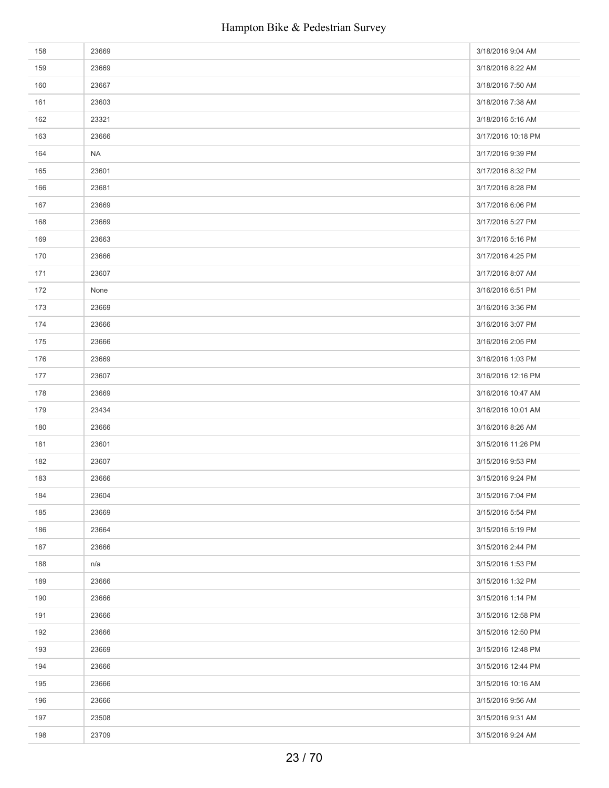| 158 | 23669     | 3/18/2016 9:04 AM  |
|-----|-----------|--------------------|
| 159 | 23669     | 3/18/2016 8:22 AM  |
| 160 | 23667     | 3/18/2016 7:50 AM  |
| 161 | 23603     | 3/18/2016 7:38 AM  |
| 162 | 23321     | 3/18/2016 5:16 AM  |
| 163 | 23666     | 3/17/2016 10:18 PM |
| 164 | <b>NA</b> | 3/17/2016 9:39 PM  |
| 165 | 23601     | 3/17/2016 8:32 PM  |
| 166 | 23681     | 3/17/2016 8:28 PM  |
| 167 | 23669     | 3/17/2016 6:06 PM  |
| 168 | 23669     | 3/17/2016 5:27 PM  |
| 169 | 23663     | 3/17/2016 5:16 PM  |
| 170 | 23666     | 3/17/2016 4:25 PM  |
| 171 | 23607     | 3/17/2016 8:07 AM  |
| 172 | None      | 3/16/2016 6:51 PM  |
| 173 | 23669     | 3/16/2016 3:36 PM  |
| 174 | 23666     | 3/16/2016 3:07 PM  |
| 175 | 23666     | 3/16/2016 2:05 PM  |
| 176 | 23669     | 3/16/2016 1:03 PM  |
| 177 | 23607     | 3/16/2016 12:16 PM |
| 178 | 23669     | 3/16/2016 10:47 AM |
| 179 | 23434     | 3/16/2016 10:01 AM |
| 180 | 23666     | 3/16/2016 8:26 AM  |
| 181 | 23601     | 3/15/2016 11:26 PM |
| 182 | 23607     | 3/15/2016 9:53 PM  |
| 183 | 23666     | 3/15/2016 9:24 PM  |
| 184 | 23604     | 3/15/2016 7:04 PM  |
| 185 | 23669     | 3/15/2016 5:54 PM  |
| 186 | 23664     | 3/15/2016 5:19 PM  |
| 187 | 23666     | 3/15/2016 2:44 PM  |
| 188 | n/a       | 3/15/2016 1:53 PM  |
| 189 | 23666     | 3/15/2016 1:32 PM  |
| 190 | 23666     | 3/15/2016 1:14 PM  |
| 191 | 23666     | 3/15/2016 12:58 PM |
| 192 | 23666     | 3/15/2016 12:50 PM |
| 193 | 23669     | 3/15/2016 12:48 PM |
| 194 | 23666     | 3/15/2016 12:44 PM |
| 195 | 23666     | 3/15/2016 10:16 AM |
| 196 | 23666     | 3/15/2016 9:56 AM  |
| 197 | 23508     | 3/15/2016 9:31 AM  |
| 198 | 23709     | 3/15/2016 9:24 AM  |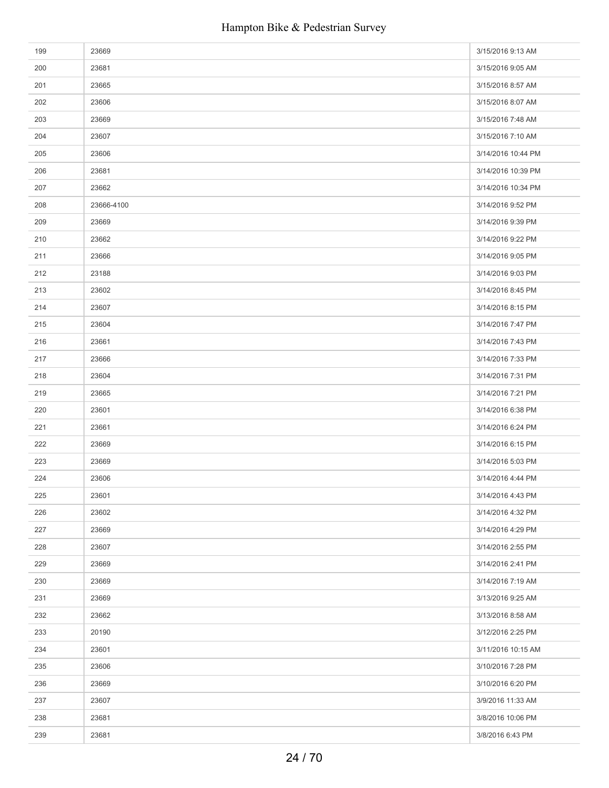| 199 | 23669      | 3/15/2016 9:13 AM  |
|-----|------------|--------------------|
| 200 | 23681      | 3/15/2016 9:05 AM  |
| 201 | 23665      | 3/15/2016 8:57 AM  |
| 202 | 23606      | 3/15/2016 8:07 AM  |
| 203 | 23669      | 3/15/2016 7:48 AM  |
| 204 | 23607      | 3/15/2016 7:10 AM  |
| 205 | 23606      | 3/14/2016 10:44 PM |
| 206 | 23681      | 3/14/2016 10:39 PM |
| 207 | 23662      | 3/14/2016 10:34 PM |
| 208 | 23666-4100 | 3/14/2016 9:52 PM  |
| 209 | 23669      | 3/14/2016 9:39 PM  |
| 210 | 23662      | 3/14/2016 9:22 PM  |
| 211 | 23666      | 3/14/2016 9:05 PM  |
| 212 | 23188      | 3/14/2016 9:03 PM  |
| 213 | 23602      | 3/14/2016 8:45 PM  |
| 214 | 23607      | 3/14/2016 8:15 PM  |
| 215 | 23604      | 3/14/2016 7:47 PM  |
| 216 | 23661      | 3/14/2016 7:43 PM  |
| 217 | 23666      | 3/14/2016 7:33 PM  |
| 218 | 23604      | 3/14/2016 7:31 PM  |
| 219 | 23665      | 3/14/2016 7:21 PM  |
| 220 | 23601      | 3/14/2016 6:38 PM  |
| 221 | 23661      | 3/14/2016 6:24 PM  |
| 222 | 23669      | 3/14/2016 6:15 PM  |
| 223 | 23669      | 3/14/2016 5:03 PM  |
| 224 | 23606      | 3/14/2016 4:44 PM  |
| 225 | 23601      | 3/14/2016 4:43 PM  |
| 226 | 23602      | 3/14/2016 4:32 PM  |
| 227 | 23669      | 3/14/2016 4:29 PM  |
| 228 | 23607      | 3/14/2016 2:55 PM  |
| 229 | 23669      | 3/14/2016 2:41 PM  |
| 230 | 23669      | 3/14/2016 7:19 AM  |
| 231 | 23669      | 3/13/2016 9:25 AM  |
| 232 | 23662      | 3/13/2016 8:58 AM  |
| 233 | 20190      | 3/12/2016 2:25 PM  |
| 234 | 23601      | 3/11/2016 10:15 AM |
| 235 | 23606      | 3/10/2016 7:28 PM  |
| 236 | 23669      | 3/10/2016 6:20 PM  |
| 237 | 23607      | 3/9/2016 11:33 AM  |
| 238 | 23681      | 3/8/2016 10:06 PM  |
| 239 | 23681      | 3/8/2016 6:43 PM   |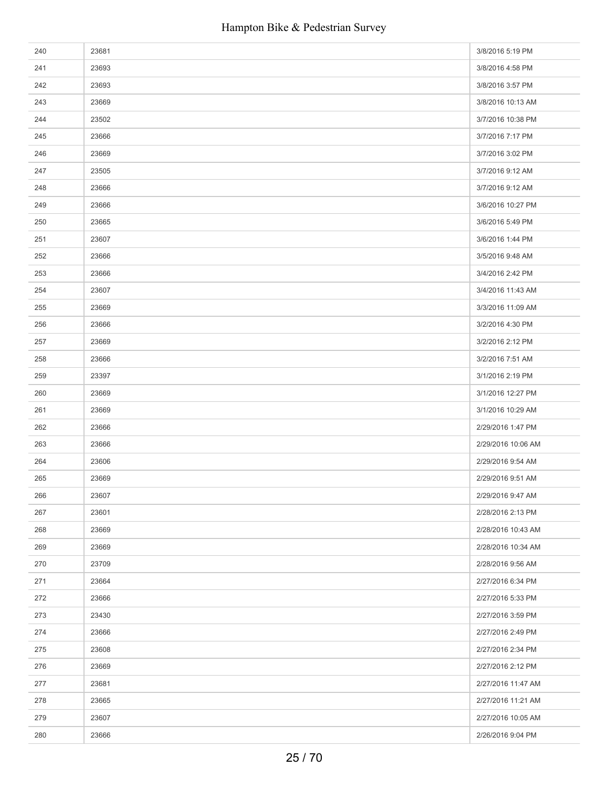| 240 | 23681 | 3/8/2016 5:19 PM   |
|-----|-------|--------------------|
| 241 | 23693 | 3/8/2016 4:58 PM   |
| 242 | 23693 | 3/8/2016 3:57 PM   |
| 243 | 23669 | 3/8/2016 10:13 AM  |
| 244 | 23502 | 3/7/2016 10:38 PM  |
| 245 | 23666 | 3/7/2016 7:17 PM   |
| 246 | 23669 | 3/7/2016 3:02 PM   |
| 247 | 23505 | 3/7/2016 9:12 AM   |
| 248 | 23666 | 3/7/2016 9:12 AM   |
| 249 | 23666 | 3/6/2016 10:27 PM  |
| 250 | 23665 | 3/6/2016 5:49 PM   |
| 251 | 23607 | 3/6/2016 1:44 PM   |
| 252 | 23666 | 3/5/2016 9:48 AM   |
| 253 | 23666 | 3/4/2016 2:42 PM   |
| 254 | 23607 | 3/4/2016 11:43 AM  |
| 255 | 23669 | 3/3/2016 11:09 AM  |
| 256 | 23666 | 3/2/2016 4:30 PM   |
| 257 | 23669 | 3/2/2016 2:12 PM   |
| 258 | 23666 | 3/2/2016 7:51 AM   |
| 259 | 23397 | 3/1/2016 2:19 PM   |
| 260 | 23669 | 3/1/2016 12:27 PM  |
| 261 | 23669 | 3/1/2016 10:29 AM  |
| 262 | 23666 | 2/29/2016 1:47 PM  |
| 263 | 23666 | 2/29/2016 10:06 AM |
| 264 | 23606 | 2/29/2016 9:54 AM  |
| 265 | 23669 | 2/29/2016 9:51 AM  |
| 266 | 23607 | 2/29/2016 9:47 AM  |
| 267 | 23601 | 2/28/2016 2:13 PM  |
| 268 | 23669 | 2/28/2016 10:43 AM |
| 269 | 23669 | 2/28/2016 10:34 AM |
| 270 | 23709 | 2/28/2016 9:56 AM  |
| 271 | 23664 | 2/27/2016 6:34 PM  |
| 272 | 23666 | 2/27/2016 5:33 PM  |
| 273 | 23430 | 2/27/2016 3:59 PM  |
| 274 | 23666 | 2/27/2016 2:49 PM  |
| 275 | 23608 | 2/27/2016 2:34 PM  |
| 276 | 23669 | 2/27/2016 2:12 PM  |
| 277 | 23681 | 2/27/2016 11:47 AM |
| 278 | 23665 | 2/27/2016 11:21 AM |
| 279 | 23607 | 2/27/2016 10:05 AM |
| 280 | 23666 | 2/26/2016 9:04 PM  |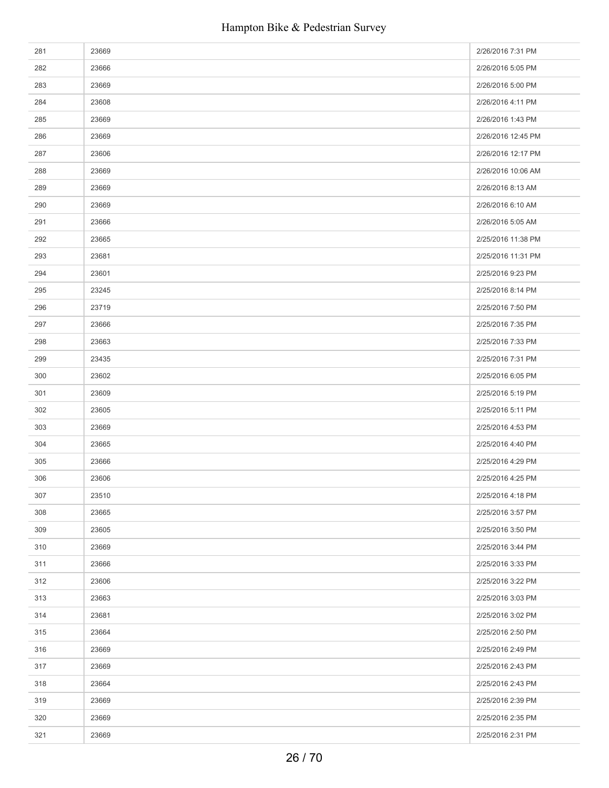| 281 | 23669 | 2/26/2016 7:31 PM  |
|-----|-------|--------------------|
| 282 | 23666 | 2/26/2016 5:05 PM  |
| 283 | 23669 | 2/26/2016 5:00 PM  |
| 284 | 23608 | 2/26/2016 4:11 PM  |
| 285 | 23669 | 2/26/2016 1:43 PM  |
| 286 | 23669 | 2/26/2016 12:45 PM |
| 287 | 23606 | 2/26/2016 12:17 PM |
| 288 | 23669 | 2/26/2016 10:06 AM |
| 289 | 23669 | 2/26/2016 8:13 AM  |
| 290 | 23669 | 2/26/2016 6:10 AM  |
| 291 | 23666 | 2/26/2016 5:05 AM  |
| 292 | 23665 | 2/25/2016 11:38 PM |
| 293 | 23681 | 2/25/2016 11:31 PM |
| 294 | 23601 | 2/25/2016 9:23 PM  |
| 295 | 23245 | 2/25/2016 8:14 PM  |
| 296 | 23719 | 2/25/2016 7:50 PM  |
| 297 | 23666 | 2/25/2016 7:35 PM  |
| 298 | 23663 | 2/25/2016 7:33 PM  |
| 299 | 23435 | 2/25/2016 7:31 PM  |
| 300 | 23602 | 2/25/2016 6:05 PM  |
| 301 | 23609 | 2/25/2016 5:19 PM  |
| 302 | 23605 | 2/25/2016 5:11 PM  |
| 303 | 23669 | 2/25/2016 4:53 PM  |
| 304 | 23665 | 2/25/2016 4:40 PM  |
| 305 | 23666 | 2/25/2016 4:29 PM  |
| 306 | 23606 | 2/25/2016 4:25 PM  |
| 307 | 23510 | 2/25/2016 4:18 PM  |
| 308 | 23665 | 2/25/2016 3:57 PM  |
| 309 | 23605 | 2/25/2016 3:50 PM  |
| 310 | 23669 | 2/25/2016 3:44 PM  |
| 311 | 23666 | 2/25/2016 3:33 PM  |
| 312 | 23606 | 2/25/2016 3:22 PM  |
| 313 | 23663 | 2/25/2016 3:03 PM  |
| 314 | 23681 | 2/25/2016 3:02 PM  |
| 315 | 23664 | 2/25/2016 2:50 PM  |
| 316 | 23669 | 2/25/2016 2:49 PM  |
| 317 | 23669 | 2/25/2016 2:43 PM  |
| 318 | 23664 | 2/25/2016 2:43 PM  |
| 319 | 23669 | 2/25/2016 2:39 PM  |
| 320 | 23669 | 2/25/2016 2:35 PM  |
| 321 | 23669 | 2/25/2016 2:31 PM  |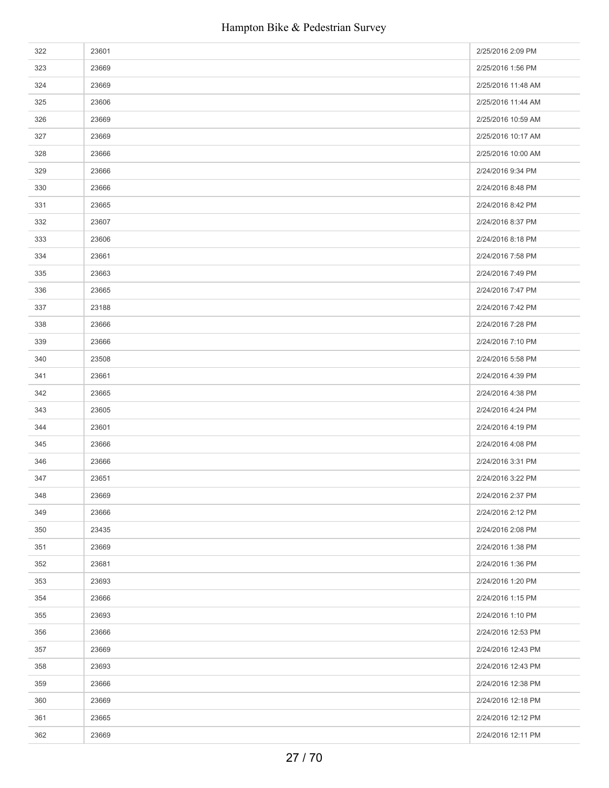| 322 | 23601 | 2/25/2016 2:09 PM  |
|-----|-------|--------------------|
| 323 | 23669 | 2/25/2016 1:56 PM  |
| 324 | 23669 | 2/25/2016 11:48 AM |
| 325 | 23606 | 2/25/2016 11:44 AM |
| 326 | 23669 | 2/25/2016 10:59 AM |
| 327 | 23669 | 2/25/2016 10:17 AM |
| 328 | 23666 | 2/25/2016 10:00 AM |
| 329 | 23666 | 2/24/2016 9:34 PM  |
| 330 | 23666 | 2/24/2016 8:48 PM  |
| 331 | 23665 | 2/24/2016 8:42 PM  |
| 332 | 23607 | 2/24/2016 8:37 PM  |
| 333 | 23606 | 2/24/2016 8:18 PM  |
| 334 | 23661 | 2/24/2016 7:58 PM  |
| 335 | 23663 | 2/24/2016 7:49 PM  |
| 336 | 23665 | 2/24/2016 7:47 PM  |
| 337 | 23188 | 2/24/2016 7:42 PM  |
| 338 | 23666 | 2/24/2016 7:28 PM  |
| 339 | 23666 | 2/24/2016 7:10 PM  |
| 340 | 23508 | 2/24/2016 5:58 PM  |
| 341 | 23661 | 2/24/2016 4:39 PM  |
| 342 | 23665 | 2/24/2016 4:38 PM  |
| 343 | 23605 | 2/24/2016 4:24 PM  |
| 344 | 23601 | 2/24/2016 4:19 PM  |
| 345 | 23666 | 2/24/2016 4:08 PM  |
| 346 | 23666 | 2/24/2016 3:31 PM  |
| 347 | 23651 | 2/24/2016 3:22 PM  |
| 348 | 23669 | 2/24/2016 2:37 PM  |
| 349 | 23666 | 2/24/2016 2:12 PM  |
| 350 | 23435 | 2/24/2016 2:08 PM  |
| 351 | 23669 | 2/24/2016 1:38 PM  |
| 352 | 23681 | 2/24/2016 1:36 PM  |
| 353 | 23693 | 2/24/2016 1:20 PM  |
| 354 | 23666 | 2/24/2016 1:15 PM  |
| 355 | 23693 | 2/24/2016 1:10 PM  |
| 356 | 23666 | 2/24/2016 12:53 PM |
| 357 | 23669 | 2/24/2016 12:43 PM |
| 358 | 23693 | 2/24/2016 12:43 PM |
| 359 | 23666 | 2/24/2016 12:38 PM |
| 360 | 23669 | 2/24/2016 12:18 PM |
| 361 | 23665 | 2/24/2016 12:12 PM |
| 362 | 23669 | 2/24/2016 12:11 PM |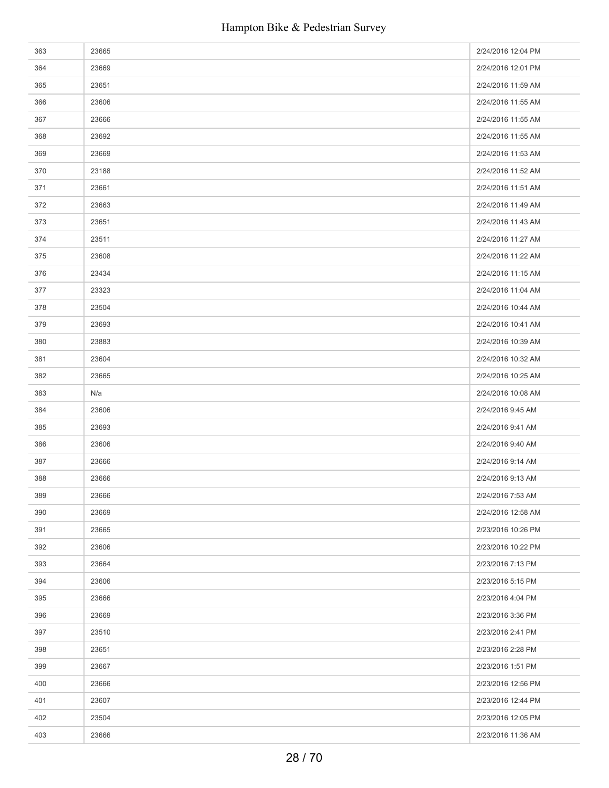| 363 | 23665 | 2/24/2016 12:04 PM |
|-----|-------|--------------------|
| 364 | 23669 | 2/24/2016 12:01 PM |
| 365 | 23651 | 2/24/2016 11:59 AM |
| 366 | 23606 | 2/24/2016 11:55 AM |
| 367 | 23666 | 2/24/2016 11:55 AM |
| 368 | 23692 | 2/24/2016 11:55 AM |
| 369 | 23669 | 2/24/2016 11:53 AM |
| 370 | 23188 | 2/24/2016 11:52 AM |
| 371 | 23661 | 2/24/2016 11:51 AM |
| 372 | 23663 | 2/24/2016 11:49 AM |
| 373 | 23651 | 2/24/2016 11:43 AM |
| 374 | 23511 | 2/24/2016 11:27 AM |
| 375 | 23608 | 2/24/2016 11:22 AM |
| 376 | 23434 | 2/24/2016 11:15 AM |
| 377 | 23323 | 2/24/2016 11:04 AM |
| 378 | 23504 | 2/24/2016 10:44 AM |
| 379 | 23693 | 2/24/2016 10:41 AM |
| 380 | 23883 | 2/24/2016 10:39 AM |
| 381 | 23604 | 2/24/2016 10:32 AM |
| 382 | 23665 | 2/24/2016 10:25 AM |
| 383 | N/a   | 2/24/2016 10:08 AM |
| 384 | 23606 | 2/24/2016 9:45 AM  |
| 385 | 23693 | 2/24/2016 9:41 AM  |
| 386 | 23606 | 2/24/2016 9:40 AM  |
| 387 | 23666 | 2/24/2016 9:14 AM  |
| 388 | 23666 | 2/24/2016 9:13 AM  |
| 389 | 23666 | 2/24/2016 7:53 AM  |
| 390 | 23669 | 2/24/2016 12:58 AM |
| 391 | 23665 | 2/23/2016 10:26 PM |
| 392 | 23606 | 2/23/2016 10:22 PM |
| 393 | 23664 | 2/23/2016 7:13 PM  |
| 394 | 23606 | 2/23/2016 5:15 PM  |
| 395 | 23666 | 2/23/2016 4:04 PM  |
| 396 | 23669 | 2/23/2016 3:36 PM  |
| 397 | 23510 | 2/23/2016 2:41 PM  |
| 398 | 23651 | 2/23/2016 2:28 PM  |
| 399 | 23667 | 2/23/2016 1:51 PM  |
| 400 | 23666 | 2/23/2016 12:56 PM |
| 401 | 23607 | 2/23/2016 12:44 PM |
| 402 | 23504 | 2/23/2016 12:05 PM |
| 403 | 23666 | 2/23/2016 11:36 AM |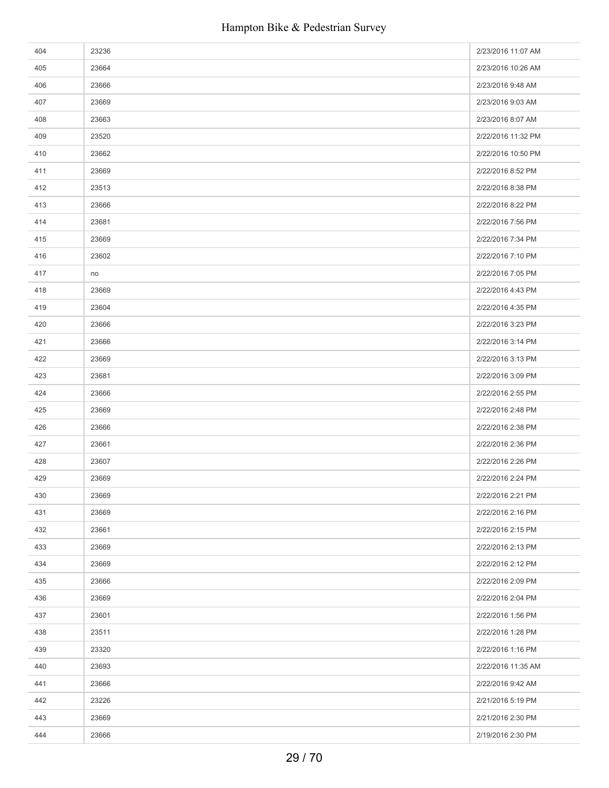| 404 | 23236 | 2/23/2016 11:07 AM |
|-----|-------|--------------------|
| 405 | 23664 | 2/23/2016 10:26 AM |
| 406 | 23666 | 2/23/2016 9:48 AM  |
| 407 | 23669 | 2/23/2016 9:03 AM  |
| 408 | 23663 | 2/23/2016 8:07 AM  |
| 409 | 23520 | 2/22/2016 11:32 PM |
| 410 | 23662 | 2/22/2016 10:50 PM |
| 411 | 23669 | 2/22/2016 8:52 PM  |
| 412 | 23513 | 2/22/2016 8:38 PM  |
| 413 | 23666 | 2/22/2016 8:22 PM  |
| 414 | 23681 | 2/22/2016 7:56 PM  |
| 415 | 23669 | 2/22/2016 7:34 PM  |
| 416 | 23602 | 2/22/2016 7:10 PM  |
| 417 | no    | 2/22/2016 7:05 PM  |
| 418 | 23669 | 2/22/2016 4:43 PM  |
| 419 | 23604 | 2/22/2016 4:35 PM  |
| 420 | 23666 | 2/22/2016 3:23 PM  |
| 421 | 23666 | 2/22/2016 3:14 PM  |
| 422 | 23669 | 2/22/2016 3:13 PM  |
| 423 | 23681 | 2/22/2016 3:09 PM  |
| 424 | 23666 | 2/22/2016 2:55 PM  |
| 425 | 23669 | 2/22/2016 2:48 PM  |
| 426 | 23666 | 2/22/2016 2:38 PM  |
| 427 | 23661 | 2/22/2016 2:36 PM  |
| 428 | 23607 | 2/22/2016 2:26 PM  |
| 429 | 23669 | 2/22/2016 2:24 PM  |
| 430 | 23669 | 2/22/2016 2:21 PM  |
| 431 | 23669 | 2/22/2016 2:16 PM  |
| 432 | 23661 | 2/22/2016 2:15 PM  |
| 433 | 23669 | 2/22/2016 2:13 PM  |
| 434 | 23669 | 2/22/2016 2:12 PM  |
| 435 | 23666 | 2/22/2016 2:09 PM  |
| 436 | 23669 | 2/22/2016 2:04 PM  |
| 437 | 23601 | 2/22/2016 1:56 PM  |
| 438 | 23511 | 2/22/2016 1:28 PM  |
| 439 | 23320 | 2/22/2016 1:16 PM  |
| 440 | 23693 | 2/22/2016 11:35 AM |
| 441 | 23666 | 2/22/2016 9:42 AM  |
| 442 | 23226 | 2/21/2016 5:19 PM  |
| 443 | 23669 | 2/21/2016 2:30 PM  |
| 444 | 23666 | 2/19/2016 2:30 PM  |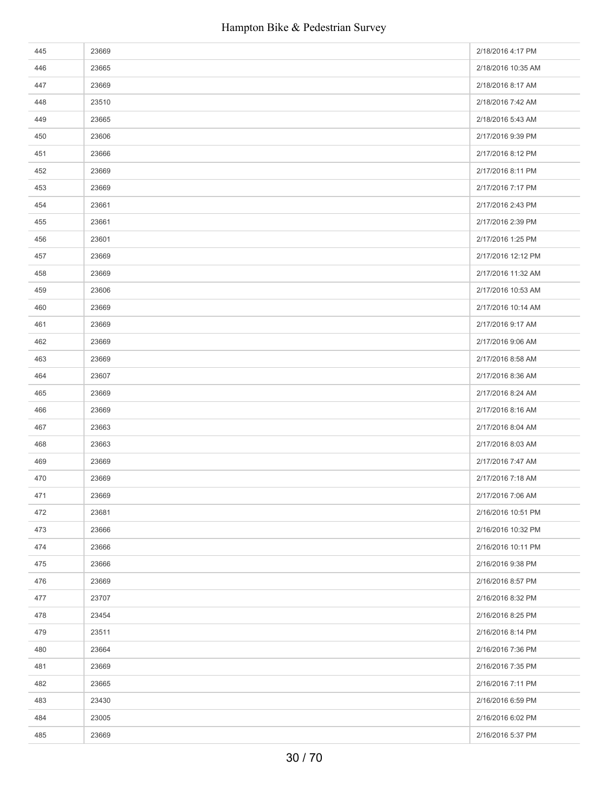| 445 | 23669 | 2/18/2016 4:17 PM  |
|-----|-------|--------------------|
| 446 | 23665 | 2/18/2016 10:35 AM |
| 447 | 23669 | 2/18/2016 8:17 AM  |
| 448 | 23510 | 2/18/2016 7:42 AM  |
| 449 | 23665 | 2/18/2016 5:43 AM  |
| 450 | 23606 | 2/17/2016 9:39 PM  |
| 451 | 23666 | 2/17/2016 8:12 PM  |
| 452 | 23669 | 2/17/2016 8:11 PM  |
| 453 | 23669 | 2/17/2016 7:17 PM  |
| 454 | 23661 | 2/17/2016 2:43 PM  |
| 455 | 23661 | 2/17/2016 2:39 PM  |
| 456 | 23601 | 2/17/2016 1:25 PM  |
| 457 | 23669 | 2/17/2016 12:12 PM |
| 458 | 23669 | 2/17/2016 11:32 AM |
| 459 | 23606 | 2/17/2016 10:53 AM |
| 460 | 23669 | 2/17/2016 10:14 AM |
| 461 | 23669 | 2/17/2016 9:17 AM  |
| 462 | 23669 | 2/17/2016 9:06 AM  |
| 463 | 23669 | 2/17/2016 8:58 AM  |
| 464 | 23607 | 2/17/2016 8:36 AM  |
| 465 | 23669 | 2/17/2016 8:24 AM  |
| 466 | 23669 | 2/17/2016 8:16 AM  |
| 467 | 23663 | 2/17/2016 8:04 AM  |
| 468 | 23663 | 2/17/2016 8:03 AM  |
| 469 | 23669 | 2/17/2016 7:47 AM  |
| 470 | 23669 | 2/17/2016 7:18 AM  |
| 471 | 23669 | 2/17/2016 7:06 AM  |
| 472 | 23681 | 2/16/2016 10:51 PM |
| 473 | 23666 | 2/16/2016 10:32 PM |
| 474 | 23666 | 2/16/2016 10:11 PM |
| 475 | 23666 | 2/16/2016 9:38 PM  |
| 476 | 23669 | 2/16/2016 8:57 PM  |
| 477 | 23707 | 2/16/2016 8:32 PM  |
| 478 | 23454 | 2/16/2016 8:25 PM  |
| 479 | 23511 | 2/16/2016 8:14 PM  |
| 480 | 23664 | 2/16/2016 7:36 PM  |
| 481 | 23669 | 2/16/2016 7:35 PM  |
| 482 | 23665 | 2/16/2016 7:11 PM  |
| 483 | 23430 | 2/16/2016 6:59 PM  |
| 484 | 23005 | 2/16/2016 6:02 PM  |
| 485 | 23669 | 2/16/2016 5:37 PM  |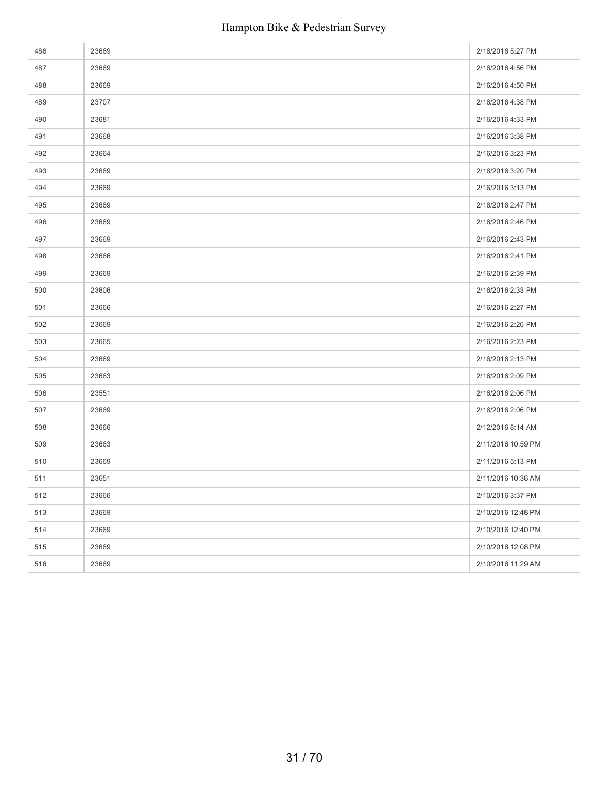| 486 | 23669 | 2/16/2016 5:27 PM  |
|-----|-------|--------------------|
| 487 | 23669 | 2/16/2016 4:56 PM  |
| 488 | 23669 | 2/16/2016 4:50 PM  |
| 489 | 23707 | 2/16/2016 4:38 PM  |
| 490 | 23681 | 2/16/2016 4:33 PM  |
| 491 | 23668 | 2/16/2016 3:38 PM  |
| 492 | 23664 | 2/16/2016 3:23 PM  |
| 493 | 23669 | 2/16/2016 3:20 PM  |
| 494 | 23669 | 2/16/2016 3:13 PM  |
| 495 | 23669 | 2/16/2016 2:47 PM  |
| 496 | 23669 | 2/16/2016 2:46 PM  |
| 497 | 23669 | 2/16/2016 2:43 PM  |
| 498 | 23666 | 2/16/2016 2:41 PM  |
| 499 | 23669 | 2/16/2016 2:39 PM  |
| 500 | 23606 | 2/16/2016 2:33 PM  |
| 501 | 23666 | 2/16/2016 2:27 PM  |
| 502 | 23669 | 2/16/2016 2:26 PM  |
| 503 | 23665 | 2/16/2016 2:23 PM  |
| 504 | 23669 | 2/16/2016 2:13 PM  |
| 505 | 23663 | 2/16/2016 2:09 PM  |
| 506 | 23551 | 2/16/2016 2:06 PM  |
| 507 | 23669 | 2/16/2016 2:06 PM  |
| 508 | 23666 | 2/12/2016 8:14 AM  |
| 509 | 23663 | 2/11/2016 10:59 PM |
| 510 | 23669 | 2/11/2016 5:13 PM  |
| 511 | 23651 | 2/11/2016 10:36 AM |
| 512 | 23666 | 2/10/2016 3:37 PM  |
| 513 | 23669 | 2/10/2016 12:48 PM |
| 514 | 23669 | 2/10/2016 12:40 PM |
| 515 | 23669 | 2/10/2016 12:08 PM |
| 516 | 23669 | 2/10/2016 11:29 AM |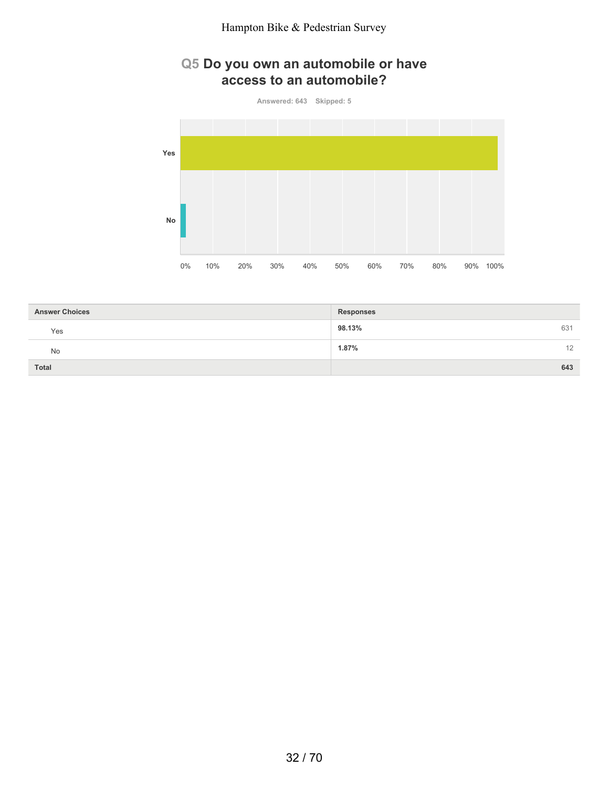## **Q5 Do you own an automobile or have access to an automobile?**

**Answered: 643 Skipped: 5**



| <b>Answer Choices</b> | <b>Responses</b> |
|-----------------------|------------------|
| Yes                   | 98.13%<br>631    |
| <b>No</b>             | 1.87%<br>12      |
| <b>Total</b>          | 643              |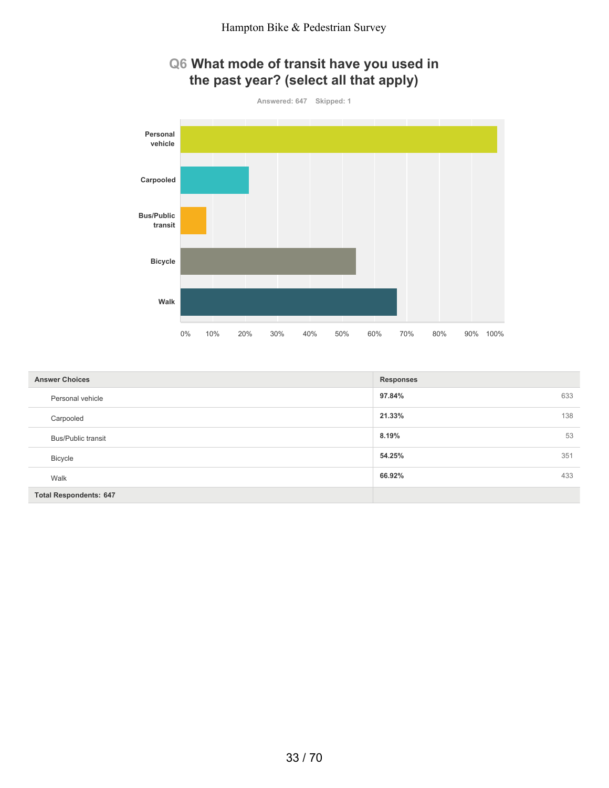# **Q6 What mode of transit have you used in the past year? (select all that apply)**



| <b>Answer Choices</b>         | <b>Responses</b> |
|-------------------------------|------------------|
| Personal vehicle              | 97.84%<br>633    |
| Carpooled                     | 138<br>21.33%    |
| <b>Bus/Public transit</b>     | 53<br>8.19%      |
| Bicycle                       | 54.25%<br>351    |
| Walk                          | 433<br>66.92%    |
| <b>Total Respondents: 647</b> |                  |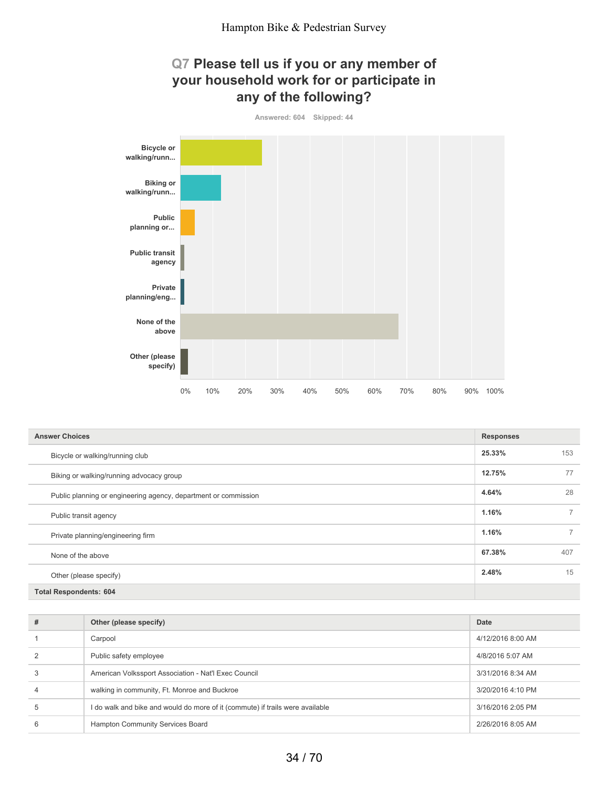### **Q7 Please tell us if you or any member of your household work for or participate in any of the following?**



| <b>Answer Choices</b>                                           | <b>Responses</b> |                |
|-----------------------------------------------------------------|------------------|----------------|
| Bicycle or walking/running club                                 | 25.33%           | 153            |
| Biking or walking/running advocacy group                        | 12.75%           | 77             |
| Public planning or engineering agency, department or commission | 4.64%            | 28             |
| Public transit agency                                           | 1.16%            | $\overline{7}$ |
| Private planning/engineering firm                               | 1.16%            | $\overline{7}$ |
| None of the above                                               | 67.38%           | 407            |
| Other (please specify)                                          | 2.48%            | 15             |
| <b>Total Respondents: 604</b>                                   |                  |                |

| # | Other (please specify)                                                        | Date              |
|---|-------------------------------------------------------------------------------|-------------------|
|   | Carpool                                                                       | 4/12/2016 8:00 AM |
|   | Public safety employee                                                        | 4/8/2016 5:07 AM  |
|   | American Volkssport Association - Nat'l Exec Council                          | 3/31/2016 8:34 AM |
| 4 | walking in community, Ft. Monroe and Buckroe                                  | 3/20/2016 4:10 PM |
|   | I do walk and bike and would do more of it (commute) if trails were available | 3/16/2016 2:05 PM |
| 6 | Hampton Community Services Board                                              | 2/26/2016 8:05 AM |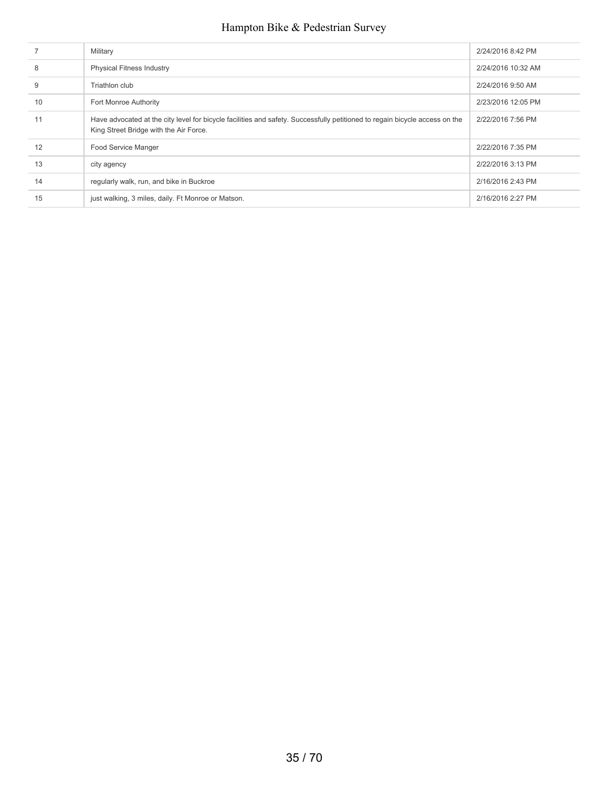|    | Military                                                                                                                                                              | 2/24/2016 8:42 PM  |
|----|-----------------------------------------------------------------------------------------------------------------------------------------------------------------------|--------------------|
| 8  | <b>Physical Fitness Industry</b>                                                                                                                                      | 2/24/2016 10:32 AM |
| 9  | Triathlon club                                                                                                                                                        | 2/24/2016 9:50 AM  |
| 10 | Fort Monroe Authority                                                                                                                                                 | 2/23/2016 12:05 PM |
| 11 | Have advocated at the city level for bicycle facilities and safety. Successfully petitioned to regain bicycle access on the<br>King Street Bridge with the Air Force. | 2/22/2016 7:56 PM  |
| 12 | Food Service Manger                                                                                                                                                   | 2/22/2016 7:35 PM  |
| 13 | city agency                                                                                                                                                           | 2/22/2016 3:13 PM  |
| 14 | regularly walk, run, and bike in Buckroe                                                                                                                              | 2/16/2016 2:43 PM  |
| 15 | just walking, 3 miles, daily. Ft Monroe or Matson.                                                                                                                    | 2/16/2016 2:27 PM  |
|    |                                                                                                                                                                       |                    |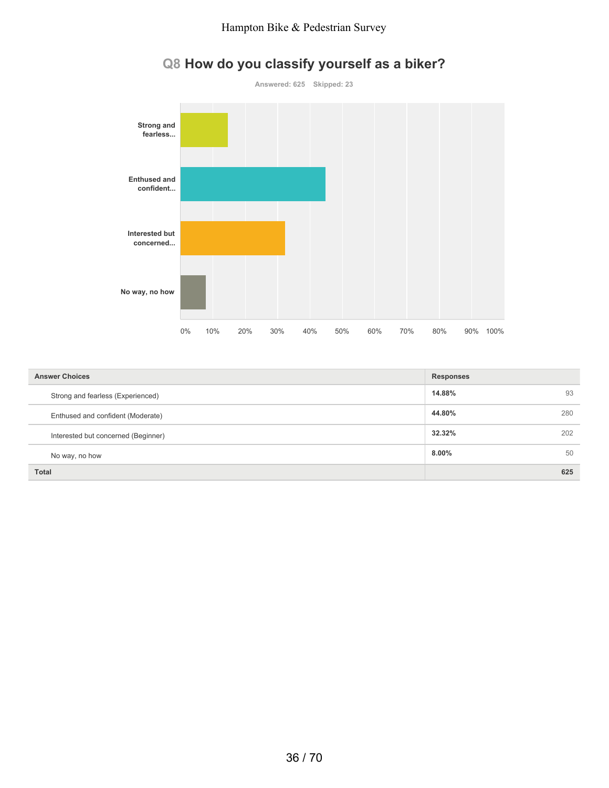

# **Q8 How do you classify yourself as a biker?**

| <b>Answer Choices</b>               | <b>Responses</b> |  |
|-------------------------------------|------------------|--|
| Strong and fearless (Experienced)   | 14.88%<br>93     |  |
| Enthused and confident (Moderate)   | 44.80%<br>280    |  |
| Interested but concerned (Beginner) | 32.32%<br>202    |  |
| No way, no how                      | 50<br>$8.00\%$   |  |
| <b>Total</b>                        | 625              |  |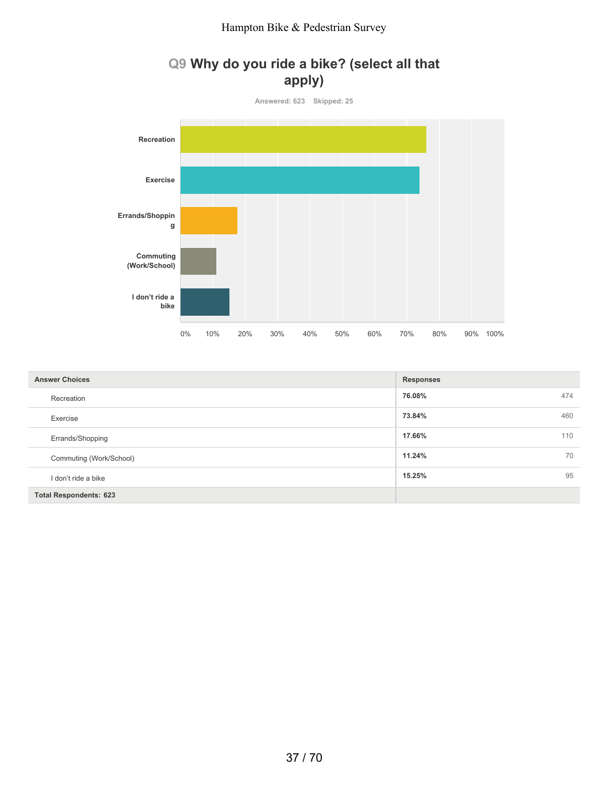# **Q9 Why do you ride a bike? (select all that apply)**



| <b>Answer Choices</b>         | <b>Responses</b> |
|-------------------------------|------------------|
| Recreation                    | 76.08%<br>474    |
| Exercise                      | 73.84%<br>460    |
| Errands/Shopping              | 17.66%<br>110    |
| Commuting (Work/School)       | 11.24%<br>70     |
| I don't ride a bike           | 95<br>15.25%     |
| <b>Total Respondents: 623</b> |                  |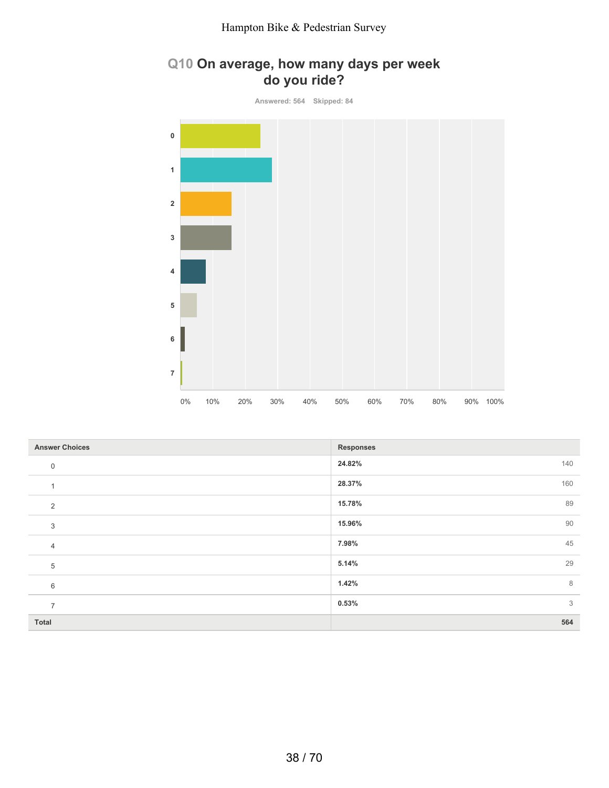# **Q10 On average, how many days per week do you ride?**

**Answered: 564 Skipped: 84 0 1 2 3 4 5 6 7** 0% 10% 20% 30% 40% 50% 60% 70% 80% 90% 100%

| <b>Answer Choices</b> | <b>Responses</b> |
|-----------------------|------------------|
| $\mathbf 0$           | 24.82%<br>140    |
|                       | 28.37%<br>160    |
| 2                     | 89<br>15.78%     |
| 3                     | 90<br>15.96%     |
| $\overline{4}$        | 45<br>7.98%      |
| 5                     | 29<br>5.14%      |
| 6                     | 8<br>1.42%       |
| $\overline{ }$        | 3<br>0.53%       |
| <b>Total</b>          | 564              |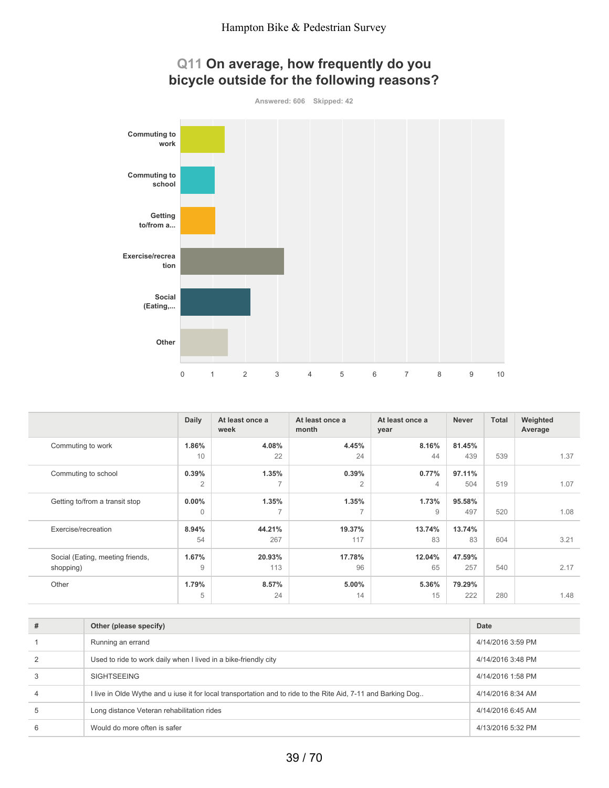

**Answered: 606 Skipped: 42**



|                                               | <b>Daily</b>            | At least once a<br>week           | At least once a<br>month | At least once a<br>year | <b>Never</b>  | <b>Total</b> | Weighted<br>Average |
|-----------------------------------------------|-------------------------|-----------------------------------|--------------------------|-------------------------|---------------|--------------|---------------------|
| Commuting to work                             | 1.86%<br>10             | 4.08%<br>22                       | 4.45%<br>24              | 8.16%<br>44             | 81.45%<br>439 | 539          | 1.37                |
| Commuting to school                           | 0.39%<br>$\overline{2}$ | 1.35%<br>7                        | 0.39%<br>$\overline{2}$  | 0.77%<br>$\overline{4}$ | 97.11%<br>504 | 519          | 1.07                |
| Getting to/from a transit stop                | $0.00\%$<br>$\Omega$    | 1.35%<br>$\overline{\phantom{a}}$ | 1.35%<br>$\overline{ }$  | 1.73%<br>9              | 95.58%<br>497 | 520          | 1.08                |
| Exercise/recreation                           | 8.94%<br>54             | 44.21%<br>267                     | 19.37%<br>117            | 13.74%<br>83            | 13.74%<br>83  | 604          | 3.21                |
| Social (Eating, meeting friends,<br>shopping) | 1.67%<br>9              | 20.93%<br>113                     | 17.78%<br>96             | 12.04%<br>65            | 47.59%<br>257 | 540          | 2.17                |
| Other                                         | 1.79%<br>5              | 8.57%<br>24                       | 5.00%<br>14              | 5.36%<br>15             | 79.29%<br>222 | 280          | 1.48                |

| # | Other (please specify)                                                                                        | Date              |
|---|---------------------------------------------------------------------------------------------------------------|-------------------|
|   | Running an errand                                                                                             | 4/14/2016 3:59 PM |
|   | Used to ride to work daily when I lived in a bike-friendly city                                               | 4/14/2016 3:48 PM |
|   | <b>SIGHTSEEING</b>                                                                                            | 4/14/2016 1:58 PM |
| 4 | I live in Olde Wythe and u iuse it for local transportation and to ride to the Rite Aid, 7-11 and Barking Dog | 4/14/2016 8:34 AM |
| 5 | Long distance Veteran rehabilitation rides                                                                    | 4/14/2016 6:45 AM |
| 6 | Would do more often is safer                                                                                  | 4/13/2016 5:32 PM |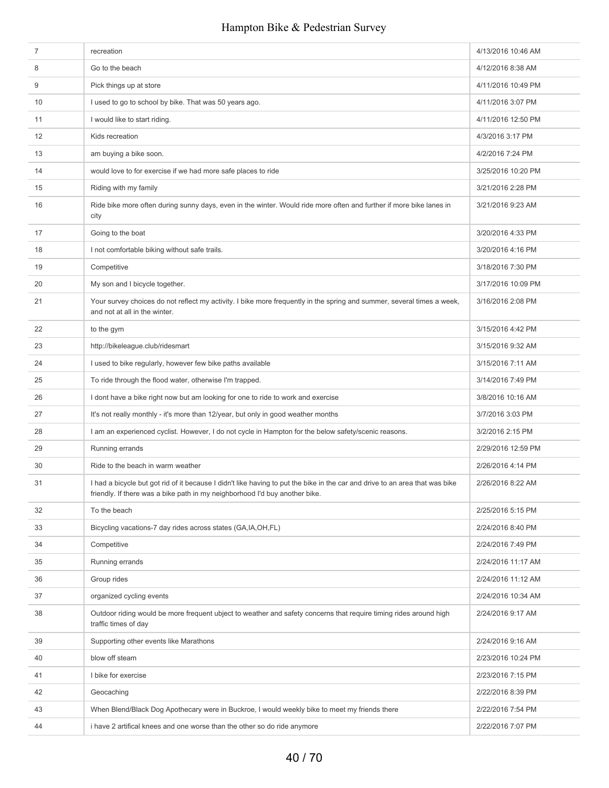| 7  | recreation                                                                                                                                                                                                  | 4/13/2016 10:46 AM |
|----|-------------------------------------------------------------------------------------------------------------------------------------------------------------------------------------------------------------|--------------------|
| 8  | Go to the beach                                                                                                                                                                                             | 4/12/2016 8:38 AM  |
| 9  | Pick things up at store                                                                                                                                                                                     | 4/11/2016 10:49 PM |
| 10 | I used to go to school by bike. That was 50 years ago.                                                                                                                                                      | 4/11/2016 3:07 PM  |
| 11 | I would like to start riding.                                                                                                                                                                               | 4/11/2016 12:50 PM |
| 12 | Kids recreation                                                                                                                                                                                             | 4/3/2016 3:17 PM   |
| 13 | am buying a bike soon.                                                                                                                                                                                      | 4/2/2016 7:24 PM   |
| 14 | would love to for exercise if we had more safe places to ride                                                                                                                                               | 3/25/2016 10:20 PM |
| 15 | Riding with my family                                                                                                                                                                                       | 3/21/2016 2:28 PM  |
| 16 | Ride bike more often during sunny days, even in the winter. Would ride more often and further if more bike lanes in<br>city                                                                                 | 3/21/2016 9:23 AM  |
| 17 | Going to the boat                                                                                                                                                                                           | 3/20/2016 4:33 PM  |
| 18 | I not comfortable biking without safe trails.                                                                                                                                                               | 3/20/2016 4:16 PM  |
| 19 | Competitive                                                                                                                                                                                                 | 3/18/2016 7:30 PM  |
| 20 | My son and I bicycle together.                                                                                                                                                                              | 3/17/2016 10:09 PM |
| 21 | Your survey choices do not reflect my activity. I bike more frequently in the spring and summer, several times a week,<br>and not at all in the winter.                                                     | 3/16/2016 2:08 PM  |
| 22 | to the gym                                                                                                                                                                                                  | 3/15/2016 4:42 PM  |
| 23 | http://bikeleague.club/ridesmart                                                                                                                                                                            | 3/15/2016 9:32 AM  |
| 24 | I used to bike regularly, however few bike paths available                                                                                                                                                  | 3/15/2016 7:11 AM  |
| 25 | To ride through the flood water, otherwise I'm trapped.                                                                                                                                                     | 3/14/2016 7:49 PM  |
| 26 | I dont have a bike right now but am looking for one to ride to work and exercise                                                                                                                            | 3/8/2016 10:16 AM  |
| 27 | It's not really monthly - it's more than 12/year, but only in good weather months                                                                                                                           | 3/7/2016 3:03 PM   |
| 28 | I am an experienced cyclist. However, I do not cycle in Hampton for the below safety/scenic reasons.                                                                                                        | 3/2/2016 2:15 PM   |
| 29 | Running errands                                                                                                                                                                                             | 2/29/2016 12:59 PM |
| 30 | Ride to the beach in warm weather                                                                                                                                                                           | 2/26/2016 4:14 PM  |
| 31 | I had a bicycle but got rid of it because I didn't like having to put the bike in the car and drive to an area that was bike<br>friendly. If there was a bike path in my neighborhood I'd buy another bike. | 2/26/2016 8:22 AM  |
| 32 | To the beach                                                                                                                                                                                                | 2/25/2016 5:15 PM  |
| 33 | Bicycling vacations-7 day rides across states (GA, IA, OH, FL)                                                                                                                                              | 2/24/2016 8:40 PM  |
| 34 | Competitive                                                                                                                                                                                                 | 2/24/2016 7:49 PM  |
| 35 | Running errands                                                                                                                                                                                             | 2/24/2016 11:17 AM |
| 36 | Group rides                                                                                                                                                                                                 | 2/24/2016 11:12 AM |
| 37 | organized cycling events                                                                                                                                                                                    | 2/24/2016 10:34 AM |
| 38 | Outdoor riding would be more frequent ubject to weather and safety concerns that require timing rides around high<br>traffic times of day                                                                   | 2/24/2016 9:17 AM  |
| 39 | Supporting other events like Marathons                                                                                                                                                                      | 2/24/2016 9:16 AM  |
| 40 | blow off steam                                                                                                                                                                                              | 2/23/2016 10:24 PM |
| 41 | I bike for exercise                                                                                                                                                                                         | 2/23/2016 7:15 PM  |
| 42 | Geocaching                                                                                                                                                                                                  | 2/22/2016 8:39 PM  |
| 43 | When Blend/Black Dog Apothecary were in Buckroe, I would weekly bike to meet my friends there                                                                                                               | 2/22/2016 7:54 PM  |
| 44 | i have 2 artifical knees and one worse than the other so do ride anymore                                                                                                                                    | 2/22/2016 7:07 PM  |
|    |                                                                                                                                                                                                             |                    |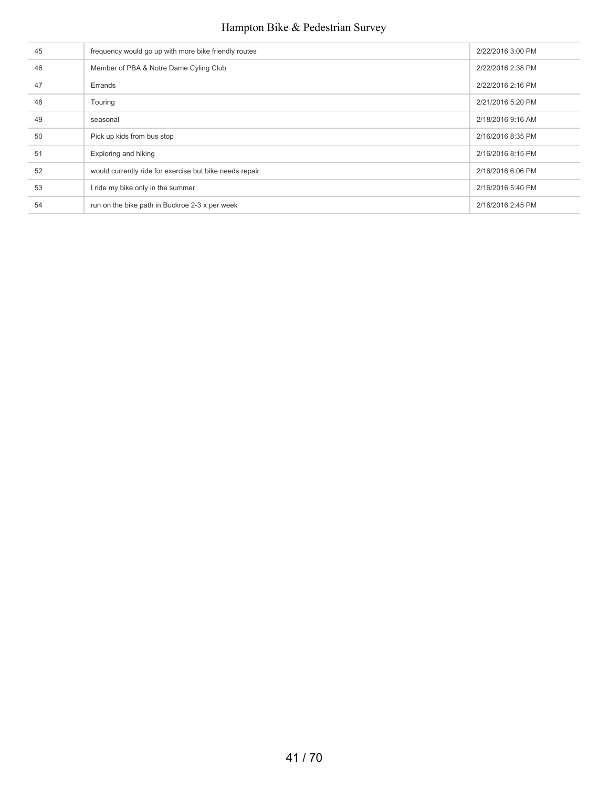| 45 | frequency would go up with more bike friendly routes    | 2/22/2016 3:00 PM |
|----|---------------------------------------------------------|-------------------|
| 46 | Member of PBA & Notre Dame Cyling Club                  | 2/22/2016 2:38 PM |
| 47 | Errands                                                 | 2/22/2016 2:16 PM |
| 48 | Touring                                                 | 2/21/2016 5:20 PM |
| 49 | seasonal                                                | 2/18/2016 9:16 AM |
| 50 | Pick up kids from bus stop                              | 2/16/2016 8:35 PM |
| 51 | Exploring and hiking                                    | 2/16/2016 8:15 PM |
| 52 | would currently ride for exercise but bike needs repair | 2/16/2016 6:06 PM |
| 53 | I ride my bike only in the summer                       | 2/16/2016 5:40 PM |
| 54 | run on the bike path in Buckroe 2-3 x per week          | 2/16/2016 2:45 PM |
|    |                                                         |                   |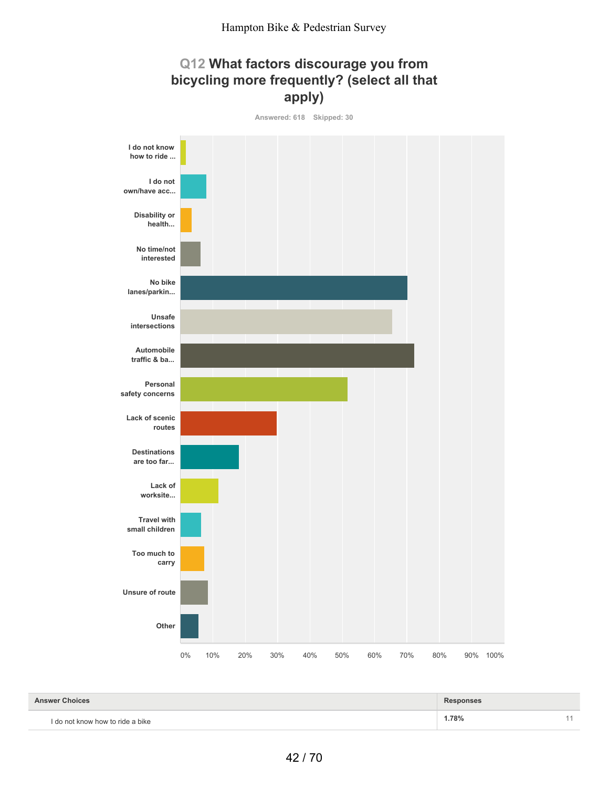# **Q12 What factors discourage you from bicycling more frequently? (select all that apply)**



**1.78%** 11 **Answer Choices Responses** I do not know how to ride a bike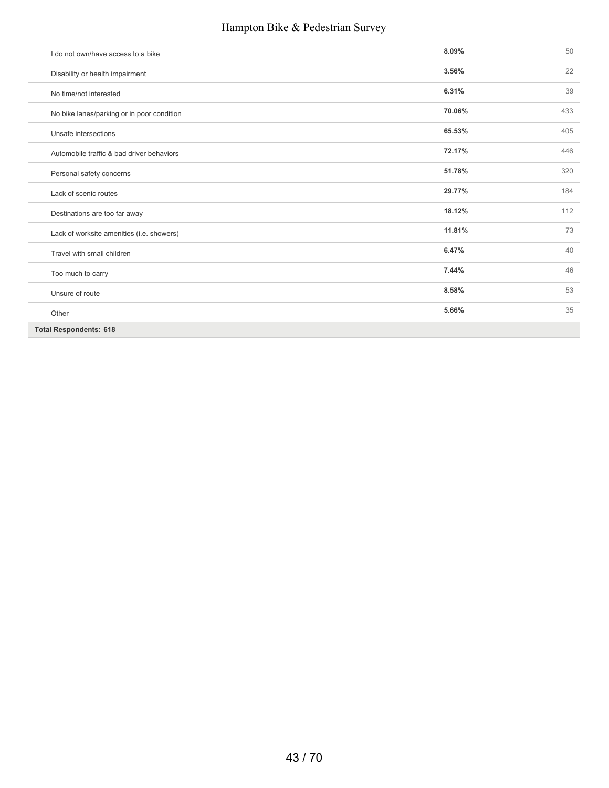| I do not own/have access to a bike         | 8.09%  | 50  |
|--------------------------------------------|--------|-----|
| Disability or health impairment            | 3.56%  | 22  |
| No time/not interested                     | 6.31%  | 39  |
| No bike lanes/parking or in poor condition | 70.06% | 433 |
| Unsafe intersections                       | 65.53% | 405 |
| Automobile traffic & bad driver behaviors  | 72.17% | 446 |
| Personal safety concerns                   | 51.78% | 320 |
| Lack of scenic routes                      | 29.77% | 184 |
| Destinations are too far away              | 18.12% | 112 |
| Lack of worksite amenities (i.e. showers)  | 11.81% | 73  |
| Travel with small children                 | 6.47%  | 40  |
| Too much to carry                          | 7.44%  | 46  |
| Unsure of route                            | 8.58%  | 53  |
| Other                                      | 5.66%  | 35  |
| <b>Total Respondents: 618</b>              |        |     |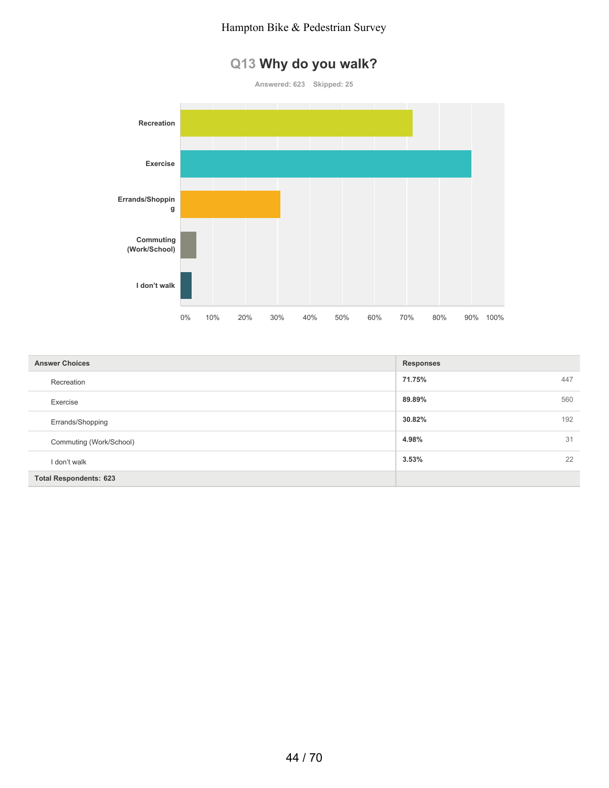# **Q13 Why do you walk?**

**Answered: 623 Skipped: 25**



| <b>Answer Choices</b>         | <b>Responses</b> |
|-------------------------------|------------------|
| Recreation                    | 71.75%<br>447    |
| Exercise                      | 89.89%<br>560    |
| Errands/Shopping              | 30.82%<br>192    |
| Commuting (Work/School)       | 4.98%<br>31      |
| I don't walk                  | 22<br>3.53%      |
| <b>Total Respondents: 623</b> |                  |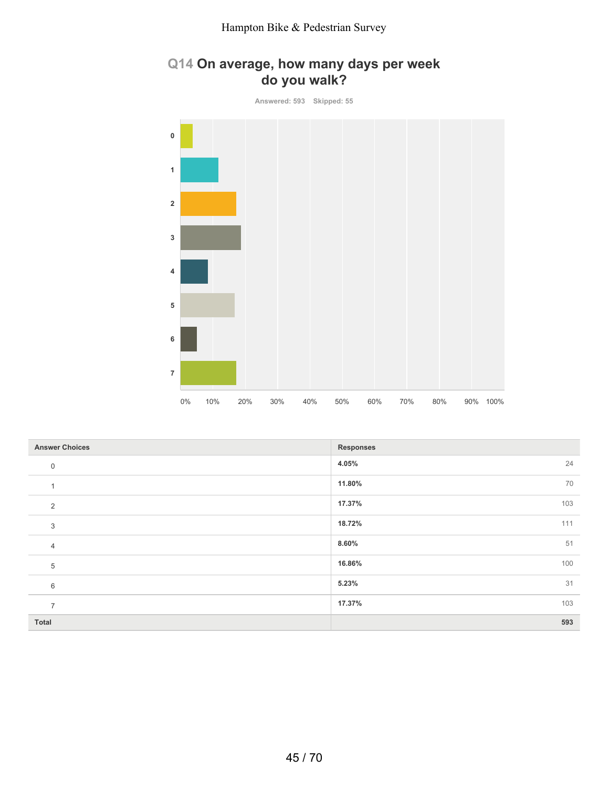# **Q14 On average, how many days per week do you walk?**

**Answered: 593 Skipped: 55 0 1 2 3 4 5 6 7** 0% 10% 20% 30% 40% 50% 60% 70% 80% 90% 100%

| <b>Answer Choices</b> | <b>Responses</b> |
|-----------------------|------------------|
| $\mathbf 0$           | 24<br>4.05%      |
|                       | 70<br>11.80%     |
| 2                     | 17.37%<br>103    |
| $\sqrt{3}$            | 111<br>18.72%    |
| $\overline{4}$        | 51<br>8.60%      |
| 5                     | 16.86%<br>100    |
| 6                     | 31<br>5.23%      |
| $\overline{ }$        | 17.37%<br>103    |
| <b>Total</b>          | 593              |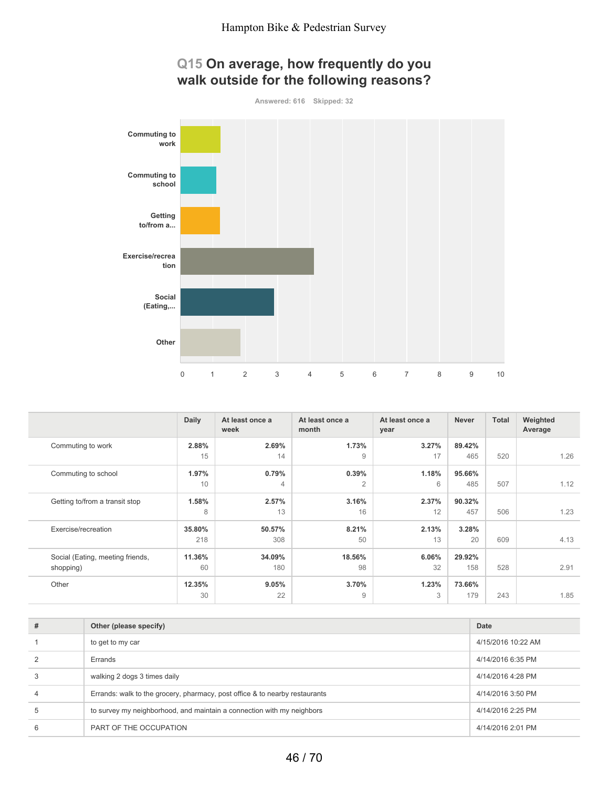# **Q15 On average, how frequently do you walk outside for the following reasons?**

**Answered: 616 Skipped: 32**



|                                               | <b>Daily</b>  | At least once a<br>week | At least once a<br>month | At least once a<br>year | <b>Never</b>  | <b>Total</b> | Weighted<br>Average |
|-----------------------------------------------|---------------|-------------------------|--------------------------|-------------------------|---------------|--------------|---------------------|
| Commuting to work                             | 2.88%<br>15   | 2.69%<br>14             | 1.73%<br>$\overline{9}$  | 3.27%<br>17             | 89.42%<br>465 | 520          | 1.26                |
| Commuting to school                           | 1.97%<br>10   | 0.79%<br>$\overline{4}$ | 0.39%<br>$\overline{2}$  | 1.18%<br>6              | 95.66%<br>485 | 507          | 1.12                |
| Getting to/from a transit stop                | 1.58%<br>8    | 2.57%<br>13             | 3.16%<br>16              | 2.37%<br>12             | 90.32%<br>457 | 506          | 1.23                |
| Exercise/recreation                           | 35.80%<br>218 | 50.57%<br>308           | 8.21%<br>50              | 2.13%<br>13             | 3.28%<br>20   | 609          | 4.13                |
| Social (Eating, meeting friends,<br>shopping) | 11.36%<br>60  | 34.09%<br>180           | 18.56%<br>98             | 6.06%<br>32             | 29.92%<br>158 | 528          | 2.91                |
| Other                                         | 12.35%<br>30  | 9.05%<br>22             | 3.70%<br>$\overline{9}$  | 1.23%<br>3              | 73.66%<br>179 | 243          | 1.85                |

| # | Other (please specify)                                                      | Date               |
|---|-----------------------------------------------------------------------------|--------------------|
|   | to get to my car                                                            | 4/15/2016 10:22 AM |
|   | Errands                                                                     | 4/14/2016 6:35 PM  |
|   | walking 2 dogs 3 times daily                                                | 4/14/2016 4:28 PM  |
| 4 | Errands: walk to the grocery, pharmacy, post office & to nearby restaurants | 4/14/2016 3:50 PM  |
| 5 | to survey my neighborhood, and maintain a connection with my neighbors      | 4/14/2016 2:25 PM  |
| 6 | PART OF THE OCCUPATION                                                      | 4/14/2016 2:01 PM  |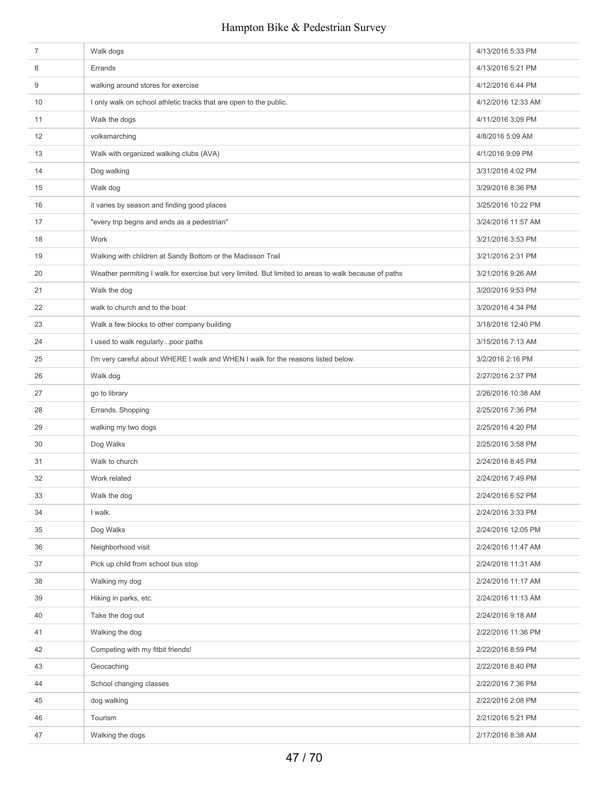| $\overline{7}$ | Walk dogs                                                                                             | 4/13/2016 5:33 PM  |
|----------------|-------------------------------------------------------------------------------------------------------|--------------------|
| 8              | Errands                                                                                               | 4/13/2016 5:21 PM  |
| 9              | walking around stores for exercise                                                                    | 4/12/2016 6:44 PM  |
| 10             | I only walk on school athletic tracks that are open to the public.                                    | 4/12/2016 12:33 AM |
| 11             | Walk the dogs                                                                                         | 4/11/2016 3:09 PM  |
| 12             | volksmarching                                                                                         | 4/8/2016 5:09 AM   |
| 13             | Walk with organized walking clubs (AVA)                                                               | 4/1/2016 9:09 PM   |
| 14             | Dog walking                                                                                           | 3/31/2016 4:02 PM  |
| 15             | Walk dog                                                                                              | 3/29/2016 8:36 PM  |
| 16             | it varies by season and finding good places                                                           | 3/25/2016 10:22 PM |
| 17             | "every trip begns and ends as a pedestrian"                                                           | 3/24/2016 11:57 AM |
| 18             | Work                                                                                                  | 3/21/2016 3:53 PM  |
| 19             | Walking with children at Sandy Bottom or the Madisson Trail                                           | 3/21/2016 2:31 PM  |
| 20             | Weather permiting I walk for exercise but very limited. But limited to areas to walk because of paths | 3/21/2016 9:26 AM  |
| 21             | Walk the dog                                                                                          | 3/20/2016 9:53 PM  |
| 22             | walk to church and to the boat                                                                        | 3/20/2016 4:34 PM  |
| 23             | Walk a few blocks to other company building                                                           | 3/18/2016 12:40 PM |
| 24             | I used to walk regularlypoor paths                                                                    | 3/15/2016 7:13 AM  |
| 25             | I'm very careful about WHERE I walk and WHEN I walk for the reasons listed below.                     | 3/2/2016 2:16 PM   |
| 26             | Walk dog                                                                                              | 2/27/2016 2:37 PM  |
| 27             | go to library                                                                                         | 2/26/2016 10:38 AM |
| 28             | Errands. Shopping                                                                                     | 2/25/2016 7:36 PM  |
| 29             | walking my two dogs                                                                                   | 2/25/2016 4:20 PM  |
| 30             | Dog Walks                                                                                             | 2/25/2016 3:58 PM  |
| 31             | Walk to church                                                                                        | 2/24/2016 8:45 PM  |
| 32             | Work related                                                                                          | 2/24/2016 7:49 PM  |
| 33             | Walk the dog                                                                                          | 2/24/2016 6:52 PM  |
| 34             | I walk.                                                                                               | 2/24/2016 3:33 PM  |
| 35             | Dog Walks                                                                                             | 2/24/2016 12:05 PM |
| 36             | Neighborhood visit                                                                                    | 2/24/2016 11:47 AM |
| 37             | Pick up child from school bus stop                                                                    | 2/24/2016 11:31 AM |
| 38             | Walking my dog                                                                                        | 2/24/2016 11:17 AM |
| 39             | Hiking in parks, etc.                                                                                 | 2/24/2016 11:13 AM |
| 40             | Take the dog out                                                                                      | 2/24/2016 9:18 AM  |
| 41             | Walking the dog                                                                                       | 2/22/2016 11:36 PM |
| 42             | Competing with my fitbit friends!                                                                     | 2/22/2016 8:59 PM  |
| 43             | Geocaching                                                                                            | 2/22/2016 8:40 PM  |
| 44             | School changing classes                                                                               | 2/22/2016 7:36 PM  |
| 45             | dog walking                                                                                           | 2/22/2016 2:08 PM  |
| 46             | Tourism                                                                                               | 2/21/2016 5:21 PM  |
| 47             | Walking the dogs                                                                                      | 2/17/2016 8:38 AM  |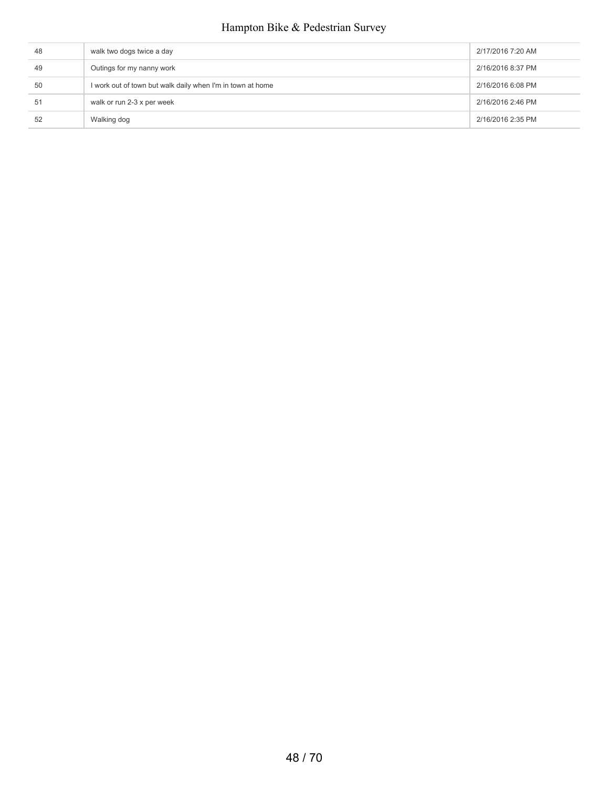| 48 | walk two dogs twice a day                                  | 2/17/2016 7:20 AM |
|----|------------------------------------------------------------|-------------------|
| 49 | Outings for my nanny work                                  | 2/16/2016 8:37 PM |
| 50 | I work out of town but walk daily when I'm in town at home | 2/16/2016 6:08 PM |
| 51 | walk or run 2-3 x per week                                 | 2/16/2016 2:46 PM |
| 52 | Walking dog                                                | 2/16/2016 2:35 PM |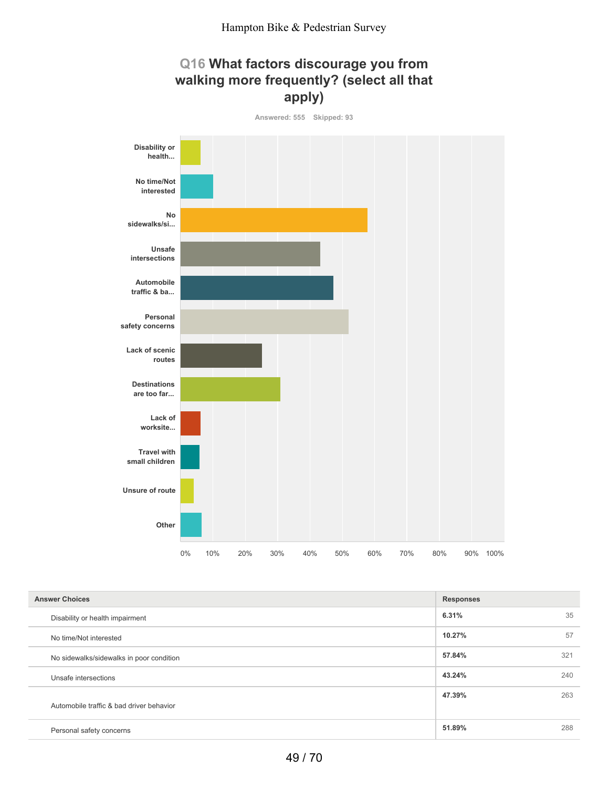

| <b>Answer Choices</b>                    | <b>Responses</b> |     |
|------------------------------------------|------------------|-----|
| Disability or health impairment          | 6.31%            | 35  |
| No time/Not interested                   | 10.27%           | 57  |
| No sidewalks/sidewalks in poor condition | 57.84%           | 321 |
| Unsafe intersections                     | 43.24%           | 240 |
| Automobile traffic & bad driver behavior | 47.39%           | 263 |
| Personal safety concerns                 | 51.89%           | 288 |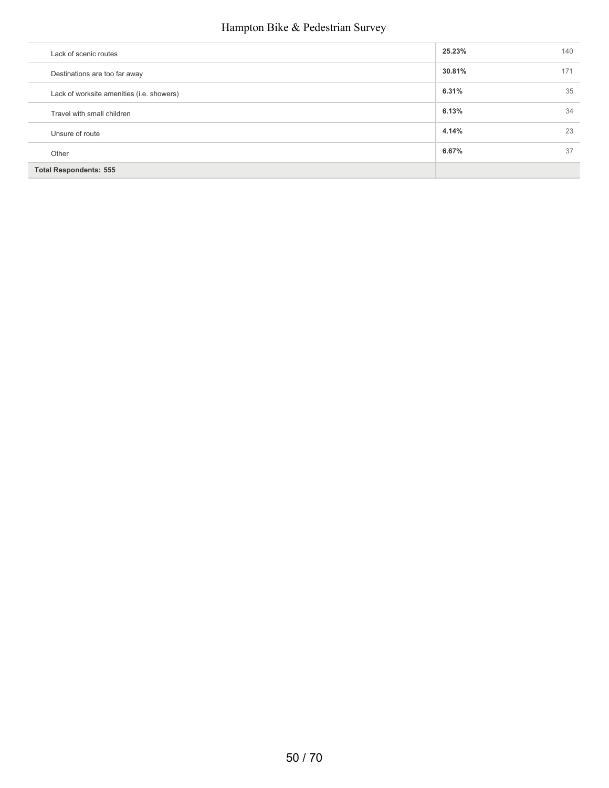| Lack of scenic routes                     | 25.23% | 140 |
|-------------------------------------------|--------|-----|
| Destinations are too far away             | 30.81% | 171 |
| Lack of worksite amenities (i.e. showers) | 6.31%  | 35  |
| Travel with small children                | 6.13%  | 34  |
| Unsure of route                           | 4.14%  | 23  |
| Other                                     | 6.67%  | 37  |
| <b>Total Respondents: 555</b>             |        |     |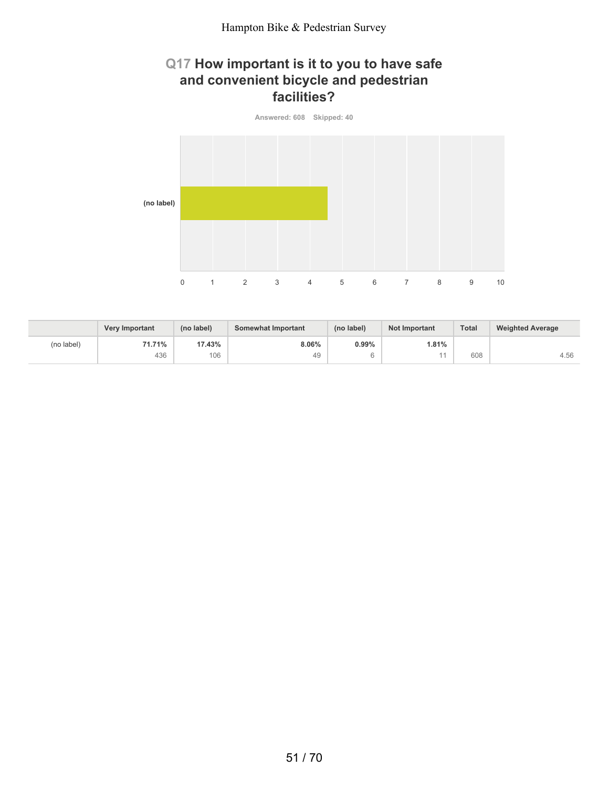## **Q17 How important is it to you to have safe and convenient bicycle and pedestrian facilities?**



|            | <b>Very Important</b> | (no label) | Somewhat Important | (no label) | <b>Not Important</b> | <b>Total</b> | <b>Weighted Average</b> |
|------------|-----------------------|------------|--------------------|------------|----------------------|--------------|-------------------------|
| (no label) | 71.71%                | 17.43%     | 8.06%              | 0.99%      | 1.81%                |              |                         |
|            | 436                   | 106        | 49                 |            |                      | 608          | 4.56                    |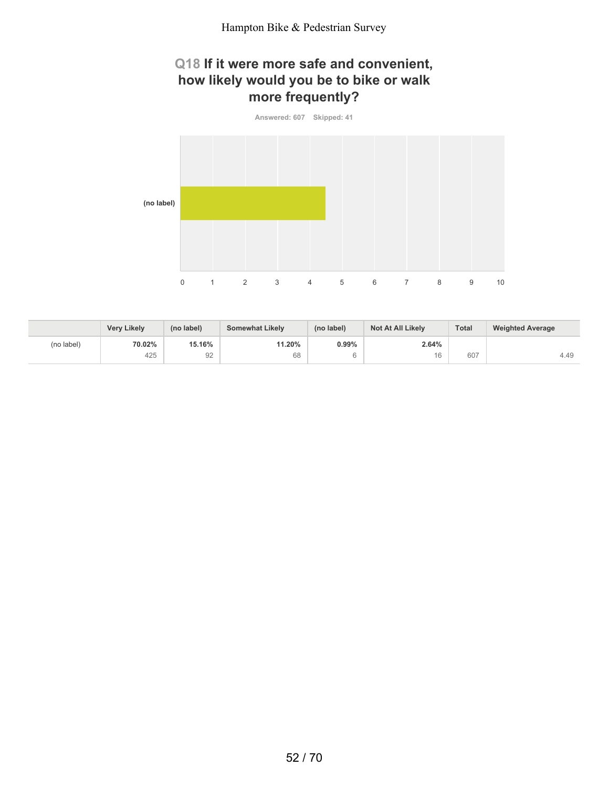# **Q18 If it were more safe and convenient, how likely would you be to bike or walk more frequently?**



|            | <b>Very Likely</b> | (no label) | <b>Somewhat Likely</b> | (no label) | <b>Not At All Likely</b> | <b>Total</b> | <b>Weighted Average</b> |
|------------|--------------------|------------|------------------------|------------|--------------------------|--------------|-------------------------|
| (no label) | 70.02%             | 15.16%     | 11.20%                 | 0.99%      | 2.64%                    |              |                         |
|            | 425                | 92         | 68                     |            | 16                       | 607          | 4.49                    |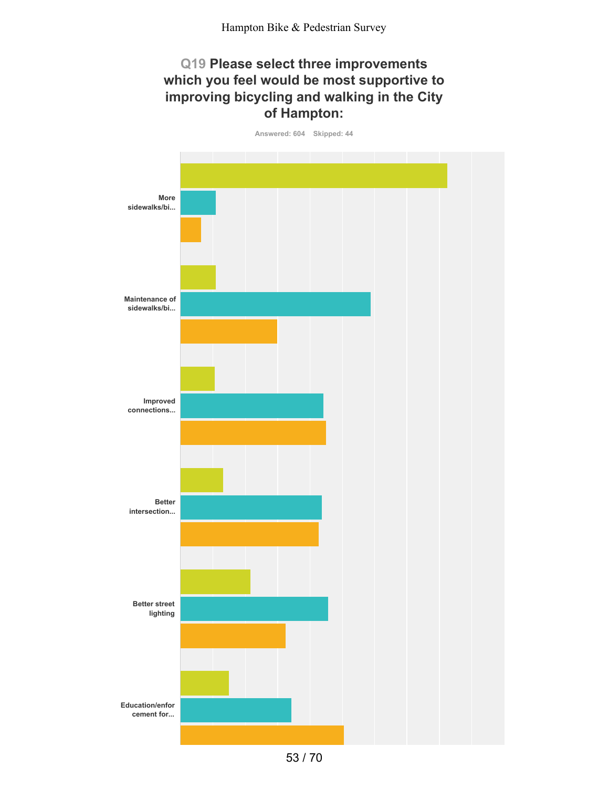### **Q19 Please select three improvements which you feel would be most supportive to improving bicycling and walking in the City of Hampton:**



<sup>53</sup> / 70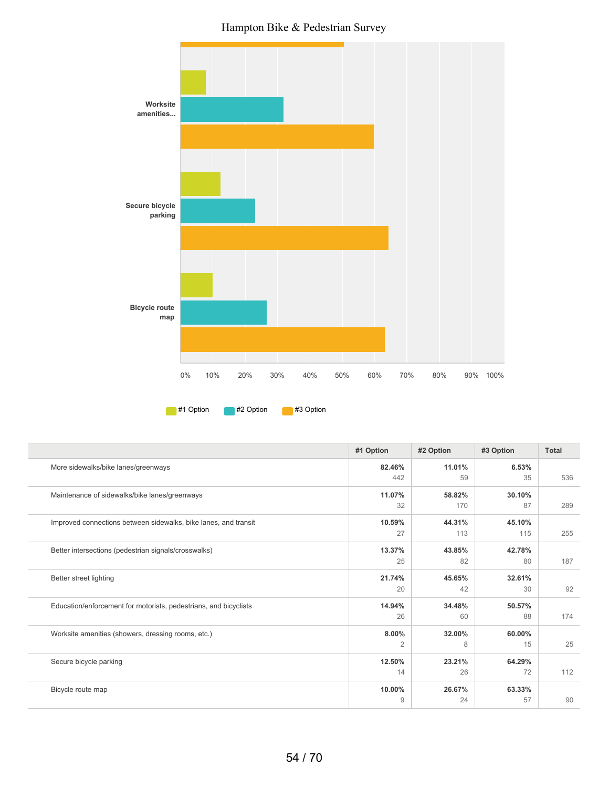Hampton Bike & Pedestrian Survey



| 11.01%<br>More sidewalks/bike lanes/greenways<br>82.46%<br>6.53%<br>442<br>59<br>35<br>536<br>Maintenance of sidewalks/bike lanes/greenways<br>11.07%<br>58.82%<br>30.10%<br>32<br>170<br>87<br>289<br>44.31%<br>Improved connections between sidewalks, bike lanes, and transit<br>10.59%<br>45.10%<br>27<br>113<br>115<br>255<br>Better intersections (pedestrian signals/crosswalks)<br>13.37%<br>43.85%<br>42.78%<br>25<br>82<br>187<br>80<br>Better street lighting<br>21.74%<br>45.65%<br>32.61%<br>92<br>42<br>20<br>30<br>34.48%<br>Education/enforcement for motorists, pedestrians, and bicyclists<br>14.94%<br>50.57% |
|----------------------------------------------------------------------------------------------------------------------------------------------------------------------------------------------------------------------------------------------------------------------------------------------------------------------------------------------------------------------------------------------------------------------------------------------------------------------------------------------------------------------------------------------------------------------------------------------------------------------------------|
|                                                                                                                                                                                                                                                                                                                                                                                                                                                                                                                                                                                                                                  |
|                                                                                                                                                                                                                                                                                                                                                                                                                                                                                                                                                                                                                                  |
|                                                                                                                                                                                                                                                                                                                                                                                                                                                                                                                                                                                                                                  |
|                                                                                                                                                                                                                                                                                                                                                                                                                                                                                                                                                                                                                                  |
|                                                                                                                                                                                                                                                                                                                                                                                                                                                                                                                                                                                                                                  |
|                                                                                                                                                                                                                                                                                                                                                                                                                                                                                                                                                                                                                                  |
|                                                                                                                                                                                                                                                                                                                                                                                                                                                                                                                                                                                                                                  |
|                                                                                                                                                                                                                                                                                                                                                                                                                                                                                                                                                                                                                                  |
|                                                                                                                                                                                                                                                                                                                                                                                                                                                                                                                                                                                                                                  |
|                                                                                                                                                                                                                                                                                                                                                                                                                                                                                                                                                                                                                                  |
|                                                                                                                                                                                                                                                                                                                                                                                                                                                                                                                                                                                                                                  |
| 26<br>60<br>174<br>88                                                                                                                                                                                                                                                                                                                                                                                                                                                                                                                                                                                                            |
| 8.00%<br>32.00%<br>Worksite amenities (showers, dressing rooms, etc.)<br>60.00%                                                                                                                                                                                                                                                                                                                                                                                                                                                                                                                                                  |
| 25<br>2<br>8<br>15                                                                                                                                                                                                                                                                                                                                                                                                                                                                                                                                                                                                               |
| 12.50%<br>23.21%<br>64.29%<br>Secure bicycle parking                                                                                                                                                                                                                                                                                                                                                                                                                                                                                                                                                                             |
| 112<br>14<br>72<br>26                                                                                                                                                                                                                                                                                                                                                                                                                                                                                                                                                                                                            |
| 26.67%<br>10.00%<br>63.33%<br>Bicycle route map                                                                                                                                                                                                                                                                                                                                                                                                                                                                                                                                                                                  |
| 90<br>9<br>24<br>57                                                                                                                                                                                                                                                                                                                                                                                                                                                                                                                                                                                                              |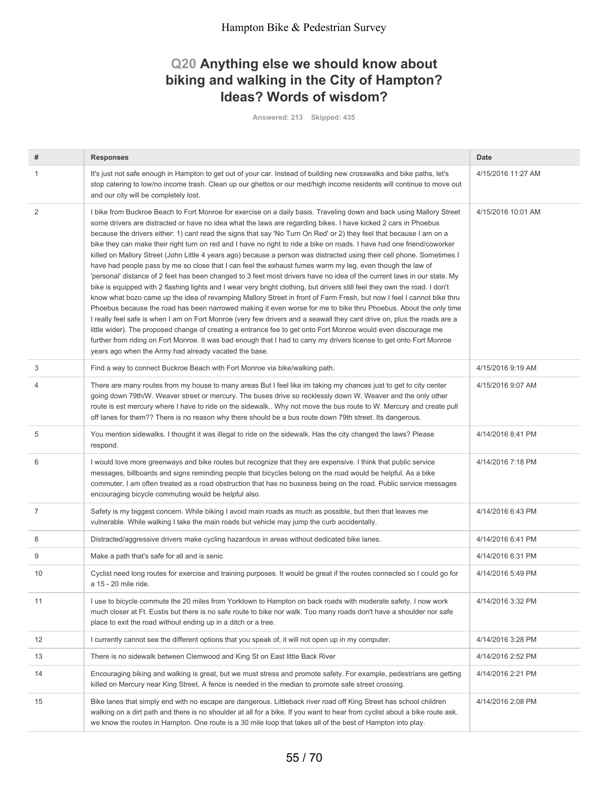# **Q20 Anything else we should know about biking and walking in the City of Hampton? Ideas? Words of wisdom?**

**Answered: 213 Skipped: 435**

| #              | <b>Responses</b>                                                                                                                                                                                                                                                                                                                                                                                                                                                                                                                                                                                                                                                                                                                                                                                                                                                                                                                                                                                                                                                                                                                                                                                                                                                                                                                                                                                                                                                                                                                                                                                                                                                   | <b>Date</b>        |
|----------------|--------------------------------------------------------------------------------------------------------------------------------------------------------------------------------------------------------------------------------------------------------------------------------------------------------------------------------------------------------------------------------------------------------------------------------------------------------------------------------------------------------------------------------------------------------------------------------------------------------------------------------------------------------------------------------------------------------------------------------------------------------------------------------------------------------------------------------------------------------------------------------------------------------------------------------------------------------------------------------------------------------------------------------------------------------------------------------------------------------------------------------------------------------------------------------------------------------------------------------------------------------------------------------------------------------------------------------------------------------------------------------------------------------------------------------------------------------------------------------------------------------------------------------------------------------------------------------------------------------------------------------------------------------------------|--------------------|
| -1             | It's just not safe enough in Hampton to get out of your car. Instead of building new crosswalks and bike paths, let's<br>stop catering to low/no income trash. Clean up our ghettos or our med/high income residents will continue to move out<br>and our city will be completely lost.                                                                                                                                                                                                                                                                                                                                                                                                                                                                                                                                                                                                                                                                                                                                                                                                                                                                                                                                                                                                                                                                                                                                                                                                                                                                                                                                                                            | 4/15/2016 11:27 AM |
| $\overline{2}$ | I bike from Buckroe Beach to Fort Monroe for exercise on a daily basis. Traveling down and back using Mallory Street<br>some drivers are distracted or have no idea what the laws are regarding bikes. I have kicked 2 cars in Phoebus<br>because the drivers either: 1) cant read the signs that say 'No Turn On Red' or 2) they feel that because I am on a<br>bike they can make their right turn on red and I have no right to ride a bike on roads. I have had one friend/coworker<br>killed on Mallory Street (John Little 4 years ago) because a person was distracted using their cell phone. Sometimes I<br>have had people pass by me so close that I can feel the exhaust fumes warm my leg, even though the law of<br>'personal' distance of 2 feet has been changed to 3 feet most drivers have no idea of the current laws in our state. My<br>bike is equipped with 2 flashing lights and I wear very bright clothing, but drivers still feel they own the road. I don't<br>know what bozo came up the idea of revamping Mallory Street in front of Farm Fresh, but now I feel I cannot bike thru<br>Phoebus because the road has been narrowed making it even worse for me to bike thru Phoebus. About the only time<br>I really feel safe is when I am on Fort Monroe (very few drivers and a seawall they cant drive on, plus the roads are a<br>little wider). The proposed change of creating a entrance fee to get onto Fort Monroe would even discourage me<br>further from riding on Fort Monroe. It was bad enough that I had to carry my drivers license to get onto Fort Monroe<br>years ago when the Army had already vacated the base. | 4/15/2016 10:01 AM |
| 3              | Find a way to connect Buckroe Beach with Fort Monroe via bike/walking path.                                                                                                                                                                                                                                                                                                                                                                                                                                                                                                                                                                                                                                                                                                                                                                                                                                                                                                                                                                                                                                                                                                                                                                                                                                                                                                                                                                                                                                                                                                                                                                                        | 4/15/2016 9:19 AM  |
| 4              | There are many routes from my house to many areas But I feel like im taking my chances just to get to city center<br>going down 79th/W. Weaver street or mercury. The buses drive so recklessly down W. Weaver and the only other<br>route is est mercury where I have to ride on the sidewalk Why not move the bus route to W. Mercury and create pull<br>off lanes for them?? There is no reason why there should be a bus route down 79th street. Its dangerous.                                                                                                                                                                                                                                                                                                                                                                                                                                                                                                                                                                                                                                                                                                                                                                                                                                                                                                                                                                                                                                                                                                                                                                                                | 4/15/2016 9:07 AM  |
| 5              | You mention sidewalks. I thought it was illegal to ride on the sidewalk. Has the city changed the laws? Please<br>respond.                                                                                                                                                                                                                                                                                                                                                                                                                                                                                                                                                                                                                                                                                                                                                                                                                                                                                                                                                                                                                                                                                                                                                                                                                                                                                                                                                                                                                                                                                                                                         | 4/14/2016 8:41 PM  |
| 6              | I would love more greenways and bike routes but recognize that they are expensive. I think that public service<br>messages, billboards and signs reminding people that bicycles belong on the road would be helpful. As a bike<br>commuter, I am often treated as a road obstruction that has no business being on the road. Public service messages<br>encouraging bicycle commuting would be helpful also.                                                                                                                                                                                                                                                                                                                                                                                                                                                                                                                                                                                                                                                                                                                                                                                                                                                                                                                                                                                                                                                                                                                                                                                                                                                       | 4/14/2016 7:18 PM  |
| $\overline{7}$ | Safety is my biggest concern. While biking I avoid main roads as much as possible, but then that leaves me<br>vulnerable. While walking I take the main roads but vehicle may jump the curb accidentally.                                                                                                                                                                                                                                                                                                                                                                                                                                                                                                                                                                                                                                                                                                                                                                                                                                                                                                                                                                                                                                                                                                                                                                                                                                                                                                                                                                                                                                                          | 4/14/2016 6:43 PM  |
| 8              | Distracted/aggressive drivers make cycling hazardous in areas without dedicated bike lanes.                                                                                                                                                                                                                                                                                                                                                                                                                                                                                                                                                                                                                                                                                                                                                                                                                                                                                                                                                                                                                                                                                                                                                                                                                                                                                                                                                                                                                                                                                                                                                                        | 4/14/2016 6:41 PM  |
| 9              | Make a path that's safe for all and is senic                                                                                                                                                                                                                                                                                                                                                                                                                                                                                                                                                                                                                                                                                                                                                                                                                                                                                                                                                                                                                                                                                                                                                                                                                                                                                                                                                                                                                                                                                                                                                                                                                       | 4/14/2016 6:31 PM  |
| 10             | Cyclist need long routes for exercise and training purposes. It would be great if the routes connected so I could go for<br>a 15 - 20 mile ride.                                                                                                                                                                                                                                                                                                                                                                                                                                                                                                                                                                                                                                                                                                                                                                                                                                                                                                                                                                                                                                                                                                                                                                                                                                                                                                                                                                                                                                                                                                                   | 4/14/2016 5:49 PM  |
| 11             | I use to bicycle commute the 20 miles from Yorktown to Hampton on back roads with moderate safety. I now work<br>much closer at Ft. Eustis but there is no safe route to bike nor walk. Too many roads don't have a shoulder nor safe<br>place to exit the road without ending up in a ditch or a tree.                                                                                                                                                                                                                                                                                                                                                                                                                                                                                                                                                                                                                                                                                                                                                                                                                                                                                                                                                                                                                                                                                                                                                                                                                                                                                                                                                            | 4/14/2016 3:32 PM  |
| 12             | I currently cannot see the different options that you speak of, it will not open up in my computer.                                                                                                                                                                                                                                                                                                                                                                                                                                                                                                                                                                                                                                                                                                                                                                                                                                                                                                                                                                                                                                                                                                                                                                                                                                                                                                                                                                                                                                                                                                                                                                | 4/14/2016 3:28 PM  |
| 13             | There is no sidewalk between Clemwood and King St on East little Back River                                                                                                                                                                                                                                                                                                                                                                                                                                                                                                                                                                                                                                                                                                                                                                                                                                                                                                                                                                                                                                                                                                                                                                                                                                                                                                                                                                                                                                                                                                                                                                                        | 4/14/2016 2:52 PM  |
| 14             | Encouraging biking and walking is great, but we must stress and promote safety. For example, pedestrians are getting<br>killed on Mercury near King Street. A fence is needed in the median to promote safe street crossing.                                                                                                                                                                                                                                                                                                                                                                                                                                                                                                                                                                                                                                                                                                                                                                                                                                                                                                                                                                                                                                                                                                                                                                                                                                                                                                                                                                                                                                       | 4/14/2016 2:21 PM  |
| 15             | Bike lanes that simply end with no escape are dangerous. Littleback river road off King Street has school children<br>walking on a dirt path and there is no shoulder at all for a bike. If you want to hear from cyclist about a bike route ask.<br>we know the routes in Hampton. One route is a 30 mile loop that takes all of the best of Hampton into play.                                                                                                                                                                                                                                                                                                                                                                                                                                                                                                                                                                                                                                                                                                                                                                                                                                                                                                                                                                                                                                                                                                                                                                                                                                                                                                   | 4/14/2016 2:08 PM  |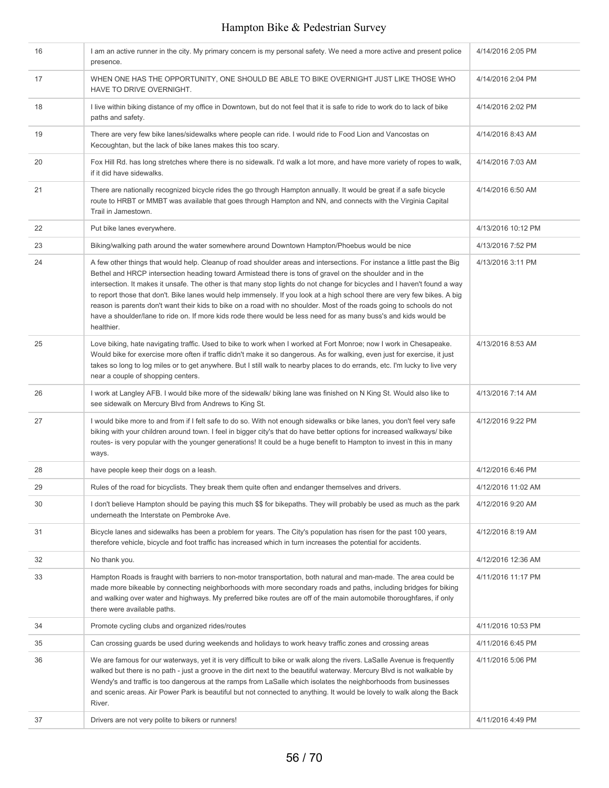| 16 | I am an active runner in the city. My primary concern is my personal safety. We need a more active and present police<br>presence.                                                                                                                                                                                                                                                                                                                                                                                                                                                                                                                                                                                                                        | 4/14/2016 2:05 PM  |
|----|-----------------------------------------------------------------------------------------------------------------------------------------------------------------------------------------------------------------------------------------------------------------------------------------------------------------------------------------------------------------------------------------------------------------------------------------------------------------------------------------------------------------------------------------------------------------------------------------------------------------------------------------------------------------------------------------------------------------------------------------------------------|--------------------|
| 17 | WHEN ONE HAS THE OPPORTUNITY, ONE SHOULD BE ABLE TO BIKE OVERNIGHT JUST LIKE THOSE WHO<br>HAVE TO DRIVE OVERNIGHT.                                                                                                                                                                                                                                                                                                                                                                                                                                                                                                                                                                                                                                        | 4/14/2016 2:04 PM  |
| 18 | I live within biking distance of my office in Downtown, but do not feel that it is safe to ride to work do to lack of bike<br>paths and safety.                                                                                                                                                                                                                                                                                                                                                                                                                                                                                                                                                                                                           | 4/14/2016 2:02 PM  |
| 19 | There are very few bike lanes/sidewalks where people can ride. I would ride to Food Lion and Vancostas on<br>Kecoughtan, but the lack of bike lanes makes this too scary.                                                                                                                                                                                                                                                                                                                                                                                                                                                                                                                                                                                 | 4/14/2016 8:43 AM  |
| 20 | Fox Hill Rd. has long stretches where there is no sidewalk. I'd walk a lot more, and have more variety of ropes to walk,<br>if it did have sidewalks.                                                                                                                                                                                                                                                                                                                                                                                                                                                                                                                                                                                                     | 4/14/2016 7:03 AM  |
| 21 | There are nationally recognized bicycle rides the go through Hampton annually. It would be great if a safe bicycle<br>route to HRBT or MMBT was available that goes through Hampton and NN, and connects with the Virginia Capital<br>Trail in Jamestown.                                                                                                                                                                                                                                                                                                                                                                                                                                                                                                 | 4/14/2016 6:50 AM  |
| 22 | Put bike lanes everywhere.                                                                                                                                                                                                                                                                                                                                                                                                                                                                                                                                                                                                                                                                                                                                | 4/13/2016 10:12 PM |
| 23 | Biking/walking path around the water somewhere around Downtown Hampton/Phoebus would be nice                                                                                                                                                                                                                                                                                                                                                                                                                                                                                                                                                                                                                                                              | 4/13/2016 7:52 PM  |
| 24 | A few other things that would help. Cleanup of road shoulder areas and intersections. For instance a little past the Big<br>Bethel and HRCP intersection heading toward Armistead there is tons of gravel on the shoulder and in the<br>intersection. It makes it unsafe. The other is that many stop lights do not change for bicycles and I haven't found a way<br>to report those that don't. Bike lanes would help immensely. If you look at a high school there are very few bikes. A big<br>reason is parents don't want their kids to bike on a road with no shoulder. Most of the roads going to schools do not<br>have a shoulder/lane to ride on. If more kids rode there would be less need for as many buss's and kids would be<br>healthier. | 4/13/2016 3:11 PM  |
| 25 | Love biking, hate navigating traffic. Used to bike to work when I worked at Fort Monroe; now I work in Chesapeake.<br>Would bike for exercise more often if traffic didn't make it so dangerous. As for walking, even just for exercise, it just<br>takes so long to log miles or to get anywhere. But I still walk to nearby places to do errands, etc. I'm lucky to live very<br>near a couple of shopping centers.                                                                                                                                                                                                                                                                                                                                     | 4/13/2016 8:53 AM  |
| 26 | I work at Langley AFB. I would bike more of the sidewalk/ biking lane was finished on N King St. Would also like to<br>see sidewalk on Mercury Blvd from Andrews to King St.                                                                                                                                                                                                                                                                                                                                                                                                                                                                                                                                                                              | 4/13/2016 7:14 AM  |
| 27 | I would bike more to and from if I felt safe to do so. With not enough sidewalks or bike lanes, you don't feel very safe<br>biking with your children around town. I feel in bigger city's that do have better options for increased walkways/ bike<br>routes- is very popular with the younger generations! It could be a huge benefit to Hampton to invest in this in many<br>ways.                                                                                                                                                                                                                                                                                                                                                                     | 4/12/2016 9:22 PM  |
| 28 | have people keep their dogs on a leash.                                                                                                                                                                                                                                                                                                                                                                                                                                                                                                                                                                                                                                                                                                                   | 4/12/2016 6:46 PM  |
| 29 | Rules of the road for bicyclists. They break them quite often and endanger themselves and drivers.                                                                                                                                                                                                                                                                                                                                                                                                                                                                                                                                                                                                                                                        | 4/12/2016 11:02 AM |
| 30 | I don't believe Hampton should be paying this much \$\$ for bikepaths. They will probably be used as much as the park<br>underneath the Interstate on Pembroke Ave.                                                                                                                                                                                                                                                                                                                                                                                                                                                                                                                                                                                       | 4/12/2016 9:20 AM  |
| 31 | Bicycle lanes and sidewalks has been a problem for years. The City's population has risen for the past 100 years,<br>therefore vehicle, bicycle and foot traffic has increased which in turn increases the potential for accidents.                                                                                                                                                                                                                                                                                                                                                                                                                                                                                                                       | 4/12/2016 8:19 AM  |
| 32 | No thank you.                                                                                                                                                                                                                                                                                                                                                                                                                                                                                                                                                                                                                                                                                                                                             | 4/12/2016 12:36 AM |
| 33 | Hampton Roads is fraught with barriers to non-motor transportation, both natural and man-made. The area could be<br>made more bikeable by connecting neighborhoods with more secondary roads and paths, including bridges for biking<br>and walking over water and highways. My preferred bike routes are off of the main automobile thoroughfares, if only<br>there were available paths.                                                                                                                                                                                                                                                                                                                                                                | 4/11/2016 11:17 PM |
| 34 | Promote cycling clubs and organized rides/routes                                                                                                                                                                                                                                                                                                                                                                                                                                                                                                                                                                                                                                                                                                          | 4/11/2016 10:53 PM |
| 35 | Can crossing guards be used during weekends and holidays to work heavy traffic zones and crossing areas                                                                                                                                                                                                                                                                                                                                                                                                                                                                                                                                                                                                                                                   | 4/11/2016 6:45 PM  |
| 36 | We are famous for our waterways, yet it is very difficult to bike or walk along the rivers. LaSalle Avenue is frequently<br>walked but there is no path - just a groove in the dirt next to the beautiful waterway. Mercury Blvd is not walkable by<br>Wendy's and traffic is too dangerous at the ramps from LaSalle which isolates the neighborhoods from businesses<br>and scenic areas. Air Power Park is beautiful but not connected to anything. It would be lovely to walk along the Back<br>River.                                                                                                                                                                                                                                                | 4/11/2016 5:06 PM  |
| 37 | Drivers are not very polite to bikers or runners!                                                                                                                                                                                                                                                                                                                                                                                                                                                                                                                                                                                                                                                                                                         | 4/11/2016 4:49 PM  |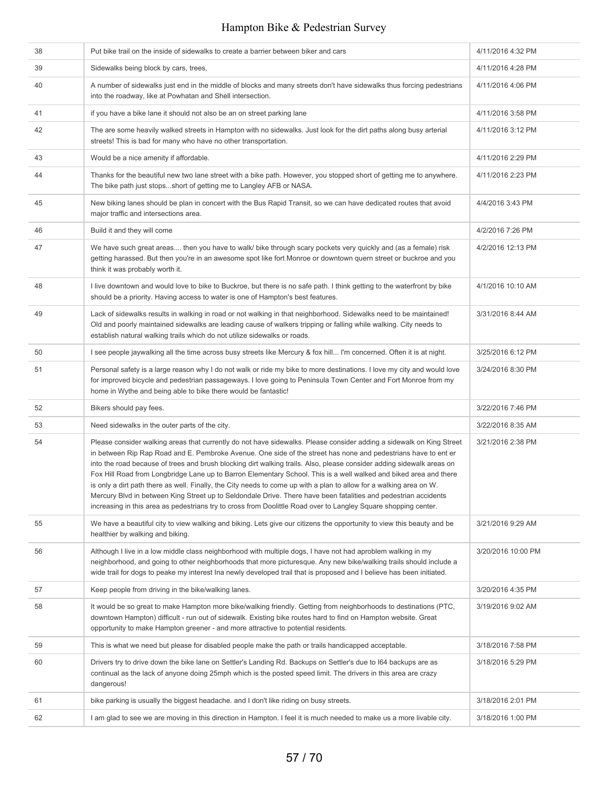| 38 | Put bike trail on the inside of sidewalks to create a barrier between biker and cars                                                                                                                                                                                                                                                                                                                                                                                                                                                                                                                                                                                                                                                                                                                                                              | 4/11/2016 4:32 PM  |
|----|---------------------------------------------------------------------------------------------------------------------------------------------------------------------------------------------------------------------------------------------------------------------------------------------------------------------------------------------------------------------------------------------------------------------------------------------------------------------------------------------------------------------------------------------------------------------------------------------------------------------------------------------------------------------------------------------------------------------------------------------------------------------------------------------------------------------------------------------------|--------------------|
| 39 | Sidewalks being block by cars, trees,                                                                                                                                                                                                                                                                                                                                                                                                                                                                                                                                                                                                                                                                                                                                                                                                             | 4/11/2016 4:28 PM  |
| 40 | A number of sidewalks just end in the middle of blocks and many streets don't have sidewalks thus forcing pedestrians<br>into the roadway, like at Powhatan and Shell intersection.                                                                                                                                                                                                                                                                                                                                                                                                                                                                                                                                                                                                                                                               | 4/11/2016 4:06 PM  |
| 41 | if you have a bike lane it should not also be an on street parking lane                                                                                                                                                                                                                                                                                                                                                                                                                                                                                                                                                                                                                                                                                                                                                                           | 4/11/2016 3:58 PM  |
| 42 | The are some heavily walked streets in Hampton with no sidewalks. Just look for the dirt paths along busy arterial<br>streets! This is bad for many who have no other transportation.                                                                                                                                                                                                                                                                                                                                                                                                                                                                                                                                                                                                                                                             | 4/11/2016 3:12 PM  |
| 43 | Would be a nice amenity if affordable.                                                                                                                                                                                                                                                                                                                                                                                                                                                                                                                                                                                                                                                                                                                                                                                                            | 4/11/2016 2:29 PM  |
| 44 | Thanks for the beautiful new two lane street with a bike path. However, you stopped short of getting me to anywhere.<br>The bike path just stopsshort of getting me to Langley AFB or NASA.                                                                                                                                                                                                                                                                                                                                                                                                                                                                                                                                                                                                                                                       | 4/11/2016 2:23 PM  |
| 45 | New biking lanes should be plan in concert with the Bus Rapid Transit, so we can have dedicated routes that avoid<br>major traffic and intersections area.                                                                                                                                                                                                                                                                                                                                                                                                                                                                                                                                                                                                                                                                                        | 4/4/2016 3:43 PM   |
| 46 | Build it and they will come                                                                                                                                                                                                                                                                                                                                                                                                                                                                                                                                                                                                                                                                                                                                                                                                                       | 4/2/2016 7:26 PM   |
| 47 | We have such great areas then you have to walk/ bike through scary pockets very quickly and (as a female) risk<br>getting harassed. But then you're in an awesome spot like fort Monroe or downtown quern street or buckroe and you<br>think it was probably worth it.                                                                                                                                                                                                                                                                                                                                                                                                                                                                                                                                                                            | 4/2/2016 12:13 PM  |
| 48 | I live downtown and would love to bike to Buckroe, but there is no safe path. I think getting to the waterfront by bike<br>should be a priority. Having access to water is one of Hampton's best features.                                                                                                                                                                                                                                                                                                                                                                                                                                                                                                                                                                                                                                        | 4/1/2016 10:10 AM  |
| 49 | Lack of sidewalks results in walking in road or not walking in that neighborhood. Sidewalks need to be maintained!<br>Old and poorly maintained sidewalks are leading cause of walkers tripping or falling while walking. City needs to<br>establish natural walking trails which do not utilize sidewalks or roads.                                                                                                                                                                                                                                                                                                                                                                                                                                                                                                                              | 3/31/2016 8:44 AM  |
| 50 | I see people jaywalking all the time across busy streets like Mercury & fox hill I'm concerned. Often it is at night.                                                                                                                                                                                                                                                                                                                                                                                                                                                                                                                                                                                                                                                                                                                             | 3/25/2016 6:12 PM  |
| 51 | Personal safety is a large reason why I do not walk or ride my bike to more destinations. I love my city and would love<br>for improved bicycle and pedestrian passageways. I love going to Peninsula Town Center and Fort Monroe from my<br>home in Wythe and being able to bike there would be fantastic!                                                                                                                                                                                                                                                                                                                                                                                                                                                                                                                                       | 3/24/2016 8:30 PM  |
| 52 | Bikers should pay fees.                                                                                                                                                                                                                                                                                                                                                                                                                                                                                                                                                                                                                                                                                                                                                                                                                           | 3/22/2016 7:46 PM  |
| 53 | Need sidewalks in the outer parts of the city.                                                                                                                                                                                                                                                                                                                                                                                                                                                                                                                                                                                                                                                                                                                                                                                                    | 3/22/2016 8:35 AM  |
| 54 | Please consider walking areas that currently do not have sidewalks. Please consider adding a sidewalk on King Street<br>in between Rip Rap Road and E. Pembroke Avenue. One side of the street has none and pedestrians have to ent er<br>into the road because of trees and brush blocking dirt walking trails. Also, please consider adding sidewalk areas on<br>Fox Hill Road from Longbridge Lane up to Barron Elementary School. This is a well walked and biked area and there<br>is only a dirt path there as well. Finally, the City needs to come up with a plan to allow for a walking area on W.<br>Mercury Blvd in between King Street up to Seldondale Drive. There have been fatalities and pedestrian accidents<br>increasing in this area as pedestrians try to cross from Doolittle Road over to Langley Square shopping center. | 3/21/2016 2:38 PM  |
| 55 | We have a beautiful city to view walking and biking. Lets give our citizens the opportunity to view this beauty and be<br>healthier by walking and biking.                                                                                                                                                                                                                                                                                                                                                                                                                                                                                                                                                                                                                                                                                        | 3/21/2016 9:29 AM  |
| 56 | Although I live in a low middle class neighborhood with multiple dogs, I have not had aproblem walking in my<br>neighborhood, and going to other neighborhoods that more picturesque. Any new bike/walking trails should include a<br>wide trail for dogs to peake my interest lna newly developed trail that is proposed and I believe has been initiated.                                                                                                                                                                                                                                                                                                                                                                                                                                                                                       | 3/20/2016 10:00 PM |
| 57 | Keep people from driving in the bike/walking lanes.                                                                                                                                                                                                                                                                                                                                                                                                                                                                                                                                                                                                                                                                                                                                                                                               | 3/20/2016 4:35 PM  |
| 58 | It would be so great to make Hampton more bike/walking friendly. Getting from neighborhoods to destinations (PTC,<br>downtown Hampton) difficult - run out of sidewalk. Existing bike routes hard to find on Hampton website. Great<br>opportunity to make Hampton greener - and more attractive to potential residents.                                                                                                                                                                                                                                                                                                                                                                                                                                                                                                                          | 3/19/2016 9:02 AM  |
| 59 | This is what we need but please for disabled people make the path or trails handicapped acceptable.                                                                                                                                                                                                                                                                                                                                                                                                                                                                                                                                                                                                                                                                                                                                               | 3/18/2016 7:58 PM  |
| 60 | Drivers try to drive down the bike lane on Settler's Landing Rd. Backups on Settler's due to I64 backups are as<br>continual as the lack of anyone doing 25mph which is the posted speed limit. The drivers in this area are crazy<br>dangerous!                                                                                                                                                                                                                                                                                                                                                                                                                                                                                                                                                                                                  | 3/18/2016 5:29 PM  |
| 61 | bike parking is usually the biggest headache. and I don't like riding on busy streets.                                                                                                                                                                                                                                                                                                                                                                                                                                                                                                                                                                                                                                                                                                                                                            | 3/18/2016 2:01 PM  |
| 62 | I am glad to see we are moving in this direction in Hampton. I feel it is much needed to make us a more livable city.                                                                                                                                                                                                                                                                                                                                                                                                                                                                                                                                                                                                                                                                                                                             | 3/18/2016 1:00 PM  |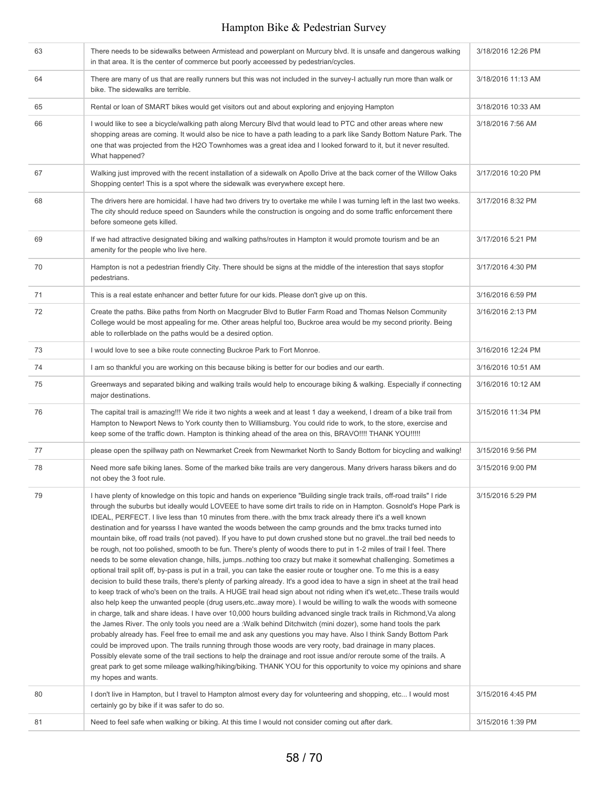| 63 | There needs to be sidewalks between Armistead and powerplant on Murcury blvd. It is unsafe and dangerous walking<br>in that area. It is the center of commerce but poorly acceessed by pedestrian/cycles.                                                                                                                                                                                                                                                                                                                                                                                                                                                                                                                                                                                                                                                                                                                                                                                                                                                                                                                                                                                                                                                                                                                                                                                                                                                                                                                                                                                                                                                                                                                                                                                                                                                                                                                                                                                                                                                                                                          | 3/18/2016 12:26 PM |
|----|--------------------------------------------------------------------------------------------------------------------------------------------------------------------------------------------------------------------------------------------------------------------------------------------------------------------------------------------------------------------------------------------------------------------------------------------------------------------------------------------------------------------------------------------------------------------------------------------------------------------------------------------------------------------------------------------------------------------------------------------------------------------------------------------------------------------------------------------------------------------------------------------------------------------------------------------------------------------------------------------------------------------------------------------------------------------------------------------------------------------------------------------------------------------------------------------------------------------------------------------------------------------------------------------------------------------------------------------------------------------------------------------------------------------------------------------------------------------------------------------------------------------------------------------------------------------------------------------------------------------------------------------------------------------------------------------------------------------------------------------------------------------------------------------------------------------------------------------------------------------------------------------------------------------------------------------------------------------------------------------------------------------------------------------------------------------------------------------------------------------|--------------------|
| 64 | There are many of us that are really runners but this was not included in the survey-I actually run more than walk or<br>bike. The sidewalks are terrible.                                                                                                                                                                                                                                                                                                                                                                                                                                                                                                                                                                                                                                                                                                                                                                                                                                                                                                                                                                                                                                                                                                                                                                                                                                                                                                                                                                                                                                                                                                                                                                                                                                                                                                                                                                                                                                                                                                                                                         | 3/18/2016 11:13 AM |
| 65 | Rental or loan of SMART bikes would get visitors out and about exploring and enjoying Hampton                                                                                                                                                                                                                                                                                                                                                                                                                                                                                                                                                                                                                                                                                                                                                                                                                                                                                                                                                                                                                                                                                                                                                                                                                                                                                                                                                                                                                                                                                                                                                                                                                                                                                                                                                                                                                                                                                                                                                                                                                      | 3/18/2016 10:33 AM |
| 66 | I would like to see a bicycle/walking path along Mercury Blvd that would lead to PTC and other areas where new<br>shopping areas are coming. It would also be nice to have a path leading to a park like Sandy Bottom Nature Park. The<br>one that was projected from the H2O Townhomes was a great idea and I looked forward to it, but it never resulted.<br>What happened?                                                                                                                                                                                                                                                                                                                                                                                                                                                                                                                                                                                                                                                                                                                                                                                                                                                                                                                                                                                                                                                                                                                                                                                                                                                                                                                                                                                                                                                                                                                                                                                                                                                                                                                                      | 3/18/2016 7:56 AM  |
| 67 | Walking just improved with the recent installation of a sidewalk on Apollo Drive at the back corner of the Willow Oaks<br>Shopping center! This is a spot where the sidewalk was everywhere except here.                                                                                                                                                                                                                                                                                                                                                                                                                                                                                                                                                                                                                                                                                                                                                                                                                                                                                                                                                                                                                                                                                                                                                                                                                                                                                                                                                                                                                                                                                                                                                                                                                                                                                                                                                                                                                                                                                                           | 3/17/2016 10:20 PM |
| 68 | The drivers here are homicidal. I have had two drivers try to overtake me while I was turning left in the last two weeks.<br>The city should reduce speed on Saunders while the construction is ongoing and do some traffic enforcement there<br>before someone gets killed.                                                                                                                                                                                                                                                                                                                                                                                                                                                                                                                                                                                                                                                                                                                                                                                                                                                                                                                                                                                                                                                                                                                                                                                                                                                                                                                                                                                                                                                                                                                                                                                                                                                                                                                                                                                                                                       | 3/17/2016 8:32 PM  |
| 69 | If we had attractive designated biking and walking paths/routes in Hampton it would promote tourism and be an<br>amenity for the people who live here.                                                                                                                                                                                                                                                                                                                                                                                                                                                                                                                                                                                                                                                                                                                                                                                                                                                                                                                                                                                                                                                                                                                                                                                                                                                                                                                                                                                                                                                                                                                                                                                                                                                                                                                                                                                                                                                                                                                                                             | 3/17/2016 5:21 PM  |
| 70 | Hampton is not a pedestrian friendly City. There should be signs at the middle of the interestion that says stopfor<br>pedestrians.                                                                                                                                                                                                                                                                                                                                                                                                                                                                                                                                                                                                                                                                                                                                                                                                                                                                                                                                                                                                                                                                                                                                                                                                                                                                                                                                                                                                                                                                                                                                                                                                                                                                                                                                                                                                                                                                                                                                                                                | 3/17/2016 4:30 PM  |
| 71 | This is a real estate enhancer and better future for our kids. Please don't give up on this.                                                                                                                                                                                                                                                                                                                                                                                                                                                                                                                                                                                                                                                                                                                                                                                                                                                                                                                                                                                                                                                                                                                                                                                                                                                                                                                                                                                                                                                                                                                                                                                                                                                                                                                                                                                                                                                                                                                                                                                                                       | 3/16/2016 6:59 PM  |
| 72 | Create the paths. Bike paths from North on Macgruder Blvd to Butler Farm Road and Thomas Nelson Community<br>College would be most appealing for me. Other areas helpful too, Buckroe area would be my second priority. Being<br>able to rollerblade on the paths would be a desired option.                                                                                                                                                                                                                                                                                                                                                                                                                                                                                                                                                                                                                                                                                                                                                                                                                                                                                                                                                                                                                                                                                                                                                                                                                                                                                                                                                                                                                                                                                                                                                                                                                                                                                                                                                                                                                       | 3/16/2016 2:13 PM  |
| 73 | I would love to see a bike route connecting Buckroe Park to Fort Monroe.                                                                                                                                                                                                                                                                                                                                                                                                                                                                                                                                                                                                                                                                                                                                                                                                                                                                                                                                                                                                                                                                                                                                                                                                                                                                                                                                                                                                                                                                                                                                                                                                                                                                                                                                                                                                                                                                                                                                                                                                                                           | 3/16/2016 12:24 PM |
| 74 | I am so thankful you are working on this because biking is better for our bodies and our earth.                                                                                                                                                                                                                                                                                                                                                                                                                                                                                                                                                                                                                                                                                                                                                                                                                                                                                                                                                                                                                                                                                                                                                                                                                                                                                                                                                                                                                                                                                                                                                                                                                                                                                                                                                                                                                                                                                                                                                                                                                    | 3/16/2016 10:51 AM |
| 75 | Greenways and separated biking and walking trails would help to encourage biking & walking. Especially if connecting<br>major destinations.                                                                                                                                                                                                                                                                                                                                                                                                                                                                                                                                                                                                                                                                                                                                                                                                                                                                                                                                                                                                                                                                                                                                                                                                                                                                                                                                                                                                                                                                                                                                                                                                                                                                                                                                                                                                                                                                                                                                                                        | 3/16/2016 10:12 AM |
| 76 | The capital trail is amazing!!! We ride it two nights a week and at least 1 day a weekend, I dream of a bike trail from<br>Hampton to Newport News to York county then to Williamsburg. You could ride to work, to the store, exercise and<br>keep some of the traffic down. Hampton is thinking ahead of the area on this, BRAVO!!!! THANK YOU!!!!!                                                                                                                                                                                                                                                                                                                                                                                                                                                                                                                                                                                                                                                                                                                                                                                                                                                                                                                                                                                                                                                                                                                                                                                                                                                                                                                                                                                                                                                                                                                                                                                                                                                                                                                                                               | 3/15/2016 11:34 PM |
| 77 | please open the spillway path on Newmarket Creek from Newmarket North to Sandy Bottom for bicycling and walking!                                                                                                                                                                                                                                                                                                                                                                                                                                                                                                                                                                                                                                                                                                                                                                                                                                                                                                                                                                                                                                                                                                                                                                                                                                                                                                                                                                                                                                                                                                                                                                                                                                                                                                                                                                                                                                                                                                                                                                                                   | 3/15/2016 9:56 PM  |
| 78 | Need more safe biking lanes. Some of the marked bike trails are very dangerous. Many drivers harass bikers and do<br>not obey the 3 foot rule.                                                                                                                                                                                                                                                                                                                                                                                                                                                                                                                                                                                                                                                                                                                                                                                                                                                                                                                                                                                                                                                                                                                                                                                                                                                                                                                                                                                                                                                                                                                                                                                                                                                                                                                                                                                                                                                                                                                                                                     | 3/15/2016 9:00 PM  |
| 79 | I have plenty of knowledge on this topic and hands on experience "Building single track trails, off-road trails" I ride<br>through the suburbs but ideally would LOVEEE to have some dirt trails to ride on in Hampton. Gosnold's Hope Park is<br>IDEAL, PERFECT. I live less than 10 minutes from there. with the bmx track already there it's a well known<br>destination and for yearsss I have wanted the woods between the camp grounds and the bmx tracks turned into<br>mountain bike, off road trails (not paved). If you have to put down crushed stone but no gravel. the trail bed needs to<br>be rough, not too polished, smooth to be fun. There's plenty of woods there to put in 1-2 miles of trail I feel. There<br>needs to be some elevation change, hills, jumpsnothing too crazy but make it somewhat challenging. Sometimes a<br>optional trail split off, by-pass is put in a trail, you can take the easier route or tougher one. To me this is a easy<br>decision to build these trails, there's plenty of parking already. It's a good idea to have a sign in sheet at the trail head<br>to keep track of who's been on the trails. A HUGE trail head sign about not riding when it's wet, etc These trails would<br>also help keep the unwanted people (drug users, etc. away more). I would be willing to walk the woods with someone<br>in charge, talk and share ideas. I have over 10,000 hours building advanced single track trails in Richmond, Va along<br>the James River. The only tools you need are a : Walk behind Ditchwitch (mini dozer), some hand tools the park<br>probably already has. Feel free to email me and ask any questions you may have. Also I think Sandy Bottom Park<br>could be improved upon. The trails running through those woods are very rooty, bad drainage in many places.<br>Possibly elevate some of the trail sections to help the drainage and root issue and/or reroute some of the trails. A<br>great park to get some mileage walking/hiking/biking. THANK YOU for this opportunity to voice my opinions and share<br>my hopes and wants. | 3/15/2016 5:29 PM  |
| 80 | I don't live in Hampton, but I travel to Hampton almost every day for volunteering and shopping, etc I would most<br>certainly go by bike if it was safer to do so.                                                                                                                                                                                                                                                                                                                                                                                                                                                                                                                                                                                                                                                                                                                                                                                                                                                                                                                                                                                                                                                                                                                                                                                                                                                                                                                                                                                                                                                                                                                                                                                                                                                                                                                                                                                                                                                                                                                                                | 3/15/2016 4:45 PM  |
| 81 | Need to feel safe when walking or biking. At this time I would not consider coming out after dark.                                                                                                                                                                                                                                                                                                                                                                                                                                                                                                                                                                                                                                                                                                                                                                                                                                                                                                                                                                                                                                                                                                                                                                                                                                                                                                                                                                                                                                                                                                                                                                                                                                                                                                                                                                                                                                                                                                                                                                                                                 | 3/15/2016 1:39 PM  |
|    |                                                                                                                                                                                                                                                                                                                                                                                                                                                                                                                                                                                                                                                                                                                                                                                                                                                                                                                                                                                                                                                                                                                                                                                                                                                                                                                                                                                                                                                                                                                                                                                                                                                                                                                                                                                                                                                                                                                                                                                                                                                                                                                    |                    |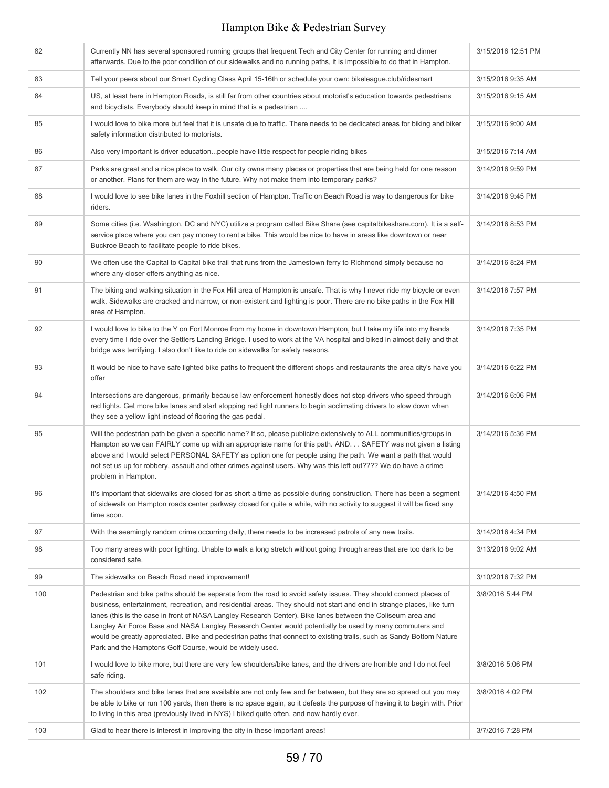| 82  | Currently NN has several sponsored running groups that frequent Tech and City Center for running and dinner<br>afterwards. Due to the poor condition of our sidewalks and no running paths, it is impossible to do that in Hampton.                                                                                                                                                                                                                                                                                                                                                                                                                      | 3/15/2016 12:51 PM |
|-----|----------------------------------------------------------------------------------------------------------------------------------------------------------------------------------------------------------------------------------------------------------------------------------------------------------------------------------------------------------------------------------------------------------------------------------------------------------------------------------------------------------------------------------------------------------------------------------------------------------------------------------------------------------|--------------------|
| 83  | Tell your peers about our Smart Cycling Class April 15-16th or schedule your own: bikeleague.club/ridesmart                                                                                                                                                                                                                                                                                                                                                                                                                                                                                                                                              | 3/15/2016 9:35 AM  |
| 84  | US, at least here in Hampton Roads, is still far from other countries about motorist's education towards pedestrians<br>and bicyclists. Everybody should keep in mind that is a pedestrian                                                                                                                                                                                                                                                                                                                                                                                                                                                               | 3/15/2016 9:15 AM  |
| 85  | I would love to bike more but feel that it is unsafe due to traffic. There needs to be dedicated areas for biking and biker<br>safety information distributed to motorists.                                                                                                                                                                                                                                                                                                                                                                                                                                                                              | 3/15/2016 9:00 AM  |
| 86  | Also very important is driver education people have little respect for people riding bikes                                                                                                                                                                                                                                                                                                                                                                                                                                                                                                                                                               | 3/15/2016 7:14 AM  |
| 87  | Parks are great and a nice place to walk. Our city owns many places or properties that are being held for one reason<br>or another. Plans for them are way in the future. Why not make them into temporary parks?                                                                                                                                                                                                                                                                                                                                                                                                                                        | 3/14/2016 9:59 PM  |
| 88  | I would love to see bike lanes in the Foxhill section of Hampton. Traffic on Beach Road is way to dangerous for bike<br>riders.                                                                                                                                                                                                                                                                                                                                                                                                                                                                                                                          | 3/14/2016 9:45 PM  |
| 89  | Some cities (i.e. Washington, DC and NYC) utilize a program called Bike Share (see capitalbikeshare.com). It is a self-<br>service place where you can pay money to rent a bike. This would be nice to have in areas like downtown or near<br>Buckroe Beach to facilitate people to ride bikes.                                                                                                                                                                                                                                                                                                                                                          | 3/14/2016 8:53 PM  |
| 90  | We often use the Capital to Capital bike trail that runs from the Jamestown ferry to Richmond simply because no<br>where any closer offers anything as nice.                                                                                                                                                                                                                                                                                                                                                                                                                                                                                             | 3/14/2016 8:24 PM  |
| 91  | The biking and walking situation in the Fox Hill area of Hampton is unsafe. That is why I never ride my bicycle or even<br>walk. Sidewalks are cracked and narrow, or non-existent and lighting is poor. There are no bike paths in the Fox Hill<br>area of Hampton.                                                                                                                                                                                                                                                                                                                                                                                     | 3/14/2016 7:57 PM  |
| 92  | I would love to bike to the Y on Fort Monroe from my home in downtown Hampton, but I take my life into my hands<br>every time I ride over the Settlers Landing Bridge. I used to work at the VA hospital and biked in almost daily and that<br>bridge was terrifying. I also don't like to ride on sidewalks for safety reasons.                                                                                                                                                                                                                                                                                                                         | 3/14/2016 7:35 PM  |
| 93  | It would be nice to have safe lighted bike paths to frequent the different shops and restaurants the area city's have you<br>offer                                                                                                                                                                                                                                                                                                                                                                                                                                                                                                                       | 3/14/2016 6:22 PM  |
| 94  | Intersections are dangerous, primarily because law enforcement honestly does not stop drivers who speed through<br>red lights. Get more bike lanes and start stopping red light runners to begin acclimating drivers to slow down when<br>they see a yellow light instead of flooring the gas pedal.                                                                                                                                                                                                                                                                                                                                                     | 3/14/2016 6:06 PM  |
| 95  | Will the pedestrian path be given a specific name? If so, please publicize extensively to ALL communities/groups in<br>Hampton so we can FAIRLY come up with an appropriate name for this path. AND. SAFETY was not given a listing<br>above and I would select PERSONAL SAFETY as option one for people using the path. We want a path that would<br>not set us up for robbery, assault and other crimes against users. Why was this left out???? We do have a crime<br>problem in Hampton.                                                                                                                                                             | 3/14/2016 5:36 PM  |
| 96  | It's important that sidewalks are closed for as short a time as possible during construction. There has been a segment<br>of sidewalk on Hampton roads center parkway closed for quite a while, with no activity to suggest it will be fixed any<br>time soon.                                                                                                                                                                                                                                                                                                                                                                                           | 3/14/2016 4:50 PM  |
| 97  | With the seemingly random crime occurring daily, there needs to be increased patrols of any new trails.                                                                                                                                                                                                                                                                                                                                                                                                                                                                                                                                                  | 3/14/2016 4:34 PM  |
| 98  | Too many areas with poor lighting. Unable to walk a long stretch without going through areas that are too dark to be<br>considered safe.                                                                                                                                                                                                                                                                                                                                                                                                                                                                                                                 | 3/13/2016 9:02 AM  |
| 99  | The sidewalks on Beach Road need improvement!                                                                                                                                                                                                                                                                                                                                                                                                                                                                                                                                                                                                            | 3/10/2016 7:32 PM  |
| 100 | Pedestrian and bike paths should be separate from the road to avoid safety issues. They should connect places of<br>business, entertainment, recreation, and residential areas. They should not start and end in strange places, like turn<br>lanes (this is the case in front of NASA Langley Research Center). Bike lanes between the Coliseum area and<br>Langley Air Force Base and NASA Langley Research Center would potentially be used by many commuters and<br>would be greatly appreciated. Bike and pedestrian paths that connect to existing trails, such as Sandy Bottom Nature<br>Park and the Hamptons Golf Course, would be widely used. | 3/8/2016 5:44 PM   |
| 101 | I would love to bike more, but there are very few shoulders/bike lanes, and the drivers are horrible and I do not feel<br>safe riding.                                                                                                                                                                                                                                                                                                                                                                                                                                                                                                                   | 3/8/2016 5:06 PM   |
| 102 | The shoulders and bike lanes that are available are not only few and far between, but they are so spread out you may<br>be able to bike or run 100 yards, then there is no space again, so it defeats the purpose of having it to begin with. Prior<br>to living in this area (previously lived in NYS) I biked quite often, and now hardly ever.                                                                                                                                                                                                                                                                                                        | 3/8/2016 4:02 PM   |
| 103 | Glad to hear there is interest in improving the city in these important areas!                                                                                                                                                                                                                                                                                                                                                                                                                                                                                                                                                                           | 3/7/2016 7:28 PM   |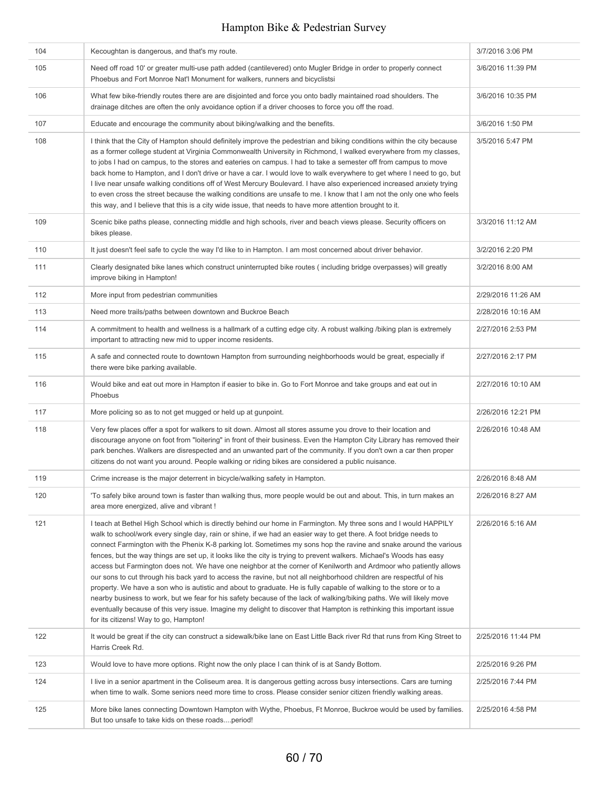| 104 | Kecoughtan is dangerous, and that's my route.                                                                                                                                                                                                                                                                                                                                                                                                                                                                                                                                                                                                                                                                                                                                                                                                                                                                                                                                                                                                                                                                                                  | 3/7/2016 3:06 PM   |
|-----|------------------------------------------------------------------------------------------------------------------------------------------------------------------------------------------------------------------------------------------------------------------------------------------------------------------------------------------------------------------------------------------------------------------------------------------------------------------------------------------------------------------------------------------------------------------------------------------------------------------------------------------------------------------------------------------------------------------------------------------------------------------------------------------------------------------------------------------------------------------------------------------------------------------------------------------------------------------------------------------------------------------------------------------------------------------------------------------------------------------------------------------------|--------------------|
| 105 | Need off road 10' or greater multi-use path added (cantilevered) onto Mugler Bridge in order to properly connect<br>Phoebus and Fort Monroe Nat'l Monument for walkers, runners and bicyclistsi                                                                                                                                                                                                                                                                                                                                                                                                                                                                                                                                                                                                                                                                                                                                                                                                                                                                                                                                                | 3/6/2016 11:39 PM  |
| 106 | What few bike-friendly routes there are are disjointed and force you onto badly maintained road shoulders. The<br>drainage ditches are often the only avoidance option if a driver chooses to force you off the road.                                                                                                                                                                                                                                                                                                                                                                                                                                                                                                                                                                                                                                                                                                                                                                                                                                                                                                                          | 3/6/2016 10:35 PM  |
| 107 | Educate and encourage the community about biking/walking and the benefits.                                                                                                                                                                                                                                                                                                                                                                                                                                                                                                                                                                                                                                                                                                                                                                                                                                                                                                                                                                                                                                                                     | 3/6/2016 1:50 PM   |
| 108 | I think that the City of Hampton should definitely improve the pedestrian and biking conditions within the city because<br>as a former college student at Virginia Commonwealth University in Richmond, I walked everywhere from my classes,<br>to jobs I had on campus, to the stores and eateries on campus. I had to take a semester off from campus to move<br>back home to Hampton, and I don't drive or have a car. I would love to walk everywhere to get where I need to go, but<br>I live near unsafe walking conditions off of West Mercury Boulevard. I have also experienced increased anxiety trying<br>to even cross the street because the walking conditions are unsafe to me. I know that I am not the only one who feels<br>this way, and I believe that this is a city wide issue, that needs to have more attention brought to it.                                                                                                                                                                                                                                                                                         | 3/5/2016 5:47 PM   |
| 109 | Scenic bike paths please, connecting middle and high schools, river and beach views please. Security officers on<br>bikes please.                                                                                                                                                                                                                                                                                                                                                                                                                                                                                                                                                                                                                                                                                                                                                                                                                                                                                                                                                                                                              | 3/3/2016 11:12 AM  |
| 110 | It just doesn't feel safe to cycle the way I'd like to in Hampton. I am most concerned about driver behavior.                                                                                                                                                                                                                                                                                                                                                                                                                                                                                                                                                                                                                                                                                                                                                                                                                                                                                                                                                                                                                                  | 3/2/2016 2:20 PM   |
| 111 | Clearly designated bike lanes which construct uninterrupted bike routes (including bridge overpasses) will greatly<br>improve biking in Hampton!                                                                                                                                                                                                                                                                                                                                                                                                                                                                                                                                                                                                                                                                                                                                                                                                                                                                                                                                                                                               | 3/2/2016 8:00 AM   |
| 112 | More input from pedestrian communities                                                                                                                                                                                                                                                                                                                                                                                                                                                                                                                                                                                                                                                                                                                                                                                                                                                                                                                                                                                                                                                                                                         | 2/29/2016 11:26 AM |
| 113 | Need more trails/paths between downtown and Buckroe Beach                                                                                                                                                                                                                                                                                                                                                                                                                                                                                                                                                                                                                                                                                                                                                                                                                                                                                                                                                                                                                                                                                      | 2/28/2016 10:16 AM |
| 114 | A commitment to health and wellness is a hallmark of a cutting edge city. A robust walking /biking plan is extremely<br>important to attracting new mid to upper income residents.                                                                                                                                                                                                                                                                                                                                                                                                                                                                                                                                                                                                                                                                                                                                                                                                                                                                                                                                                             | 2/27/2016 2:53 PM  |
| 115 | A safe and connected route to downtown Hampton from surrounding neighborhoods would be great, especially if<br>there were bike parking available.                                                                                                                                                                                                                                                                                                                                                                                                                                                                                                                                                                                                                                                                                                                                                                                                                                                                                                                                                                                              | 2/27/2016 2:17 PM  |
| 116 | Would bike and eat out more in Hampton if easier to bike in. Go to Fort Monroe and take groups and eat out in<br>Phoebus                                                                                                                                                                                                                                                                                                                                                                                                                                                                                                                                                                                                                                                                                                                                                                                                                                                                                                                                                                                                                       | 2/27/2016 10:10 AM |
| 117 | More policing so as to not get mugged or held up at gunpoint.                                                                                                                                                                                                                                                                                                                                                                                                                                                                                                                                                                                                                                                                                                                                                                                                                                                                                                                                                                                                                                                                                  | 2/26/2016 12:21 PM |
| 118 | Very few places offer a spot for walkers to sit down. Almost all stores assume you drove to their location and<br>discourage anyone on foot from "loitering" in front of their business. Even the Hampton City Library has removed their<br>park benches. Walkers are disrespected and an unwanted part of the community. If you don't own a car then proper<br>citizens do not want you around. People walking or riding bikes are considered a public nuisance.                                                                                                                                                                                                                                                                                                                                                                                                                                                                                                                                                                                                                                                                              | 2/26/2016 10:48 AM |
| 119 | Crime increase is the major deterrent in bicycle/walking safety in Hampton.                                                                                                                                                                                                                                                                                                                                                                                                                                                                                                                                                                                                                                                                                                                                                                                                                                                                                                                                                                                                                                                                    | 2/26/2016 8:48 AM  |
| 120 | 'To safely bike around town is faster than walking thus, more people would be out and about. This, in turn makes an<br>area more energized, alive and vibrant !                                                                                                                                                                                                                                                                                                                                                                                                                                                                                                                                                                                                                                                                                                                                                                                                                                                                                                                                                                                | 2/26/2016 8:27 AM  |
| 121 | I teach at Bethel High School which is directly behind our home in Farmington. My three sons and I would HAPPILY<br>walk to school/work every single day, rain or shine, if we had an easier way to get there. A foot bridge needs to<br>connect Farmington with the Phenix K-8 parking lot. Sometimes my sons hop the ravine and snake around the various<br>fences, but the way things are set up, it looks like the city is trying to prevent walkers. Michael's Woods has easy<br>access but Farmington does not. We have one neighbor at the corner of Kenilworth and Ardmoor who patiently allows<br>our sons to cut through his back yard to access the ravine, but not all neighborhood children are respectful of his<br>property. We have a son who is autistic and about to graduate. He is fully capable of walking to the store or to a<br>nearby business to work, but we fear for his safety because of the lack of walking/biking paths. We will likely move<br>eventually because of this very issue. Imagine my delight to discover that Hampton is rethinking this important issue<br>for its citizens! Way to go, Hampton! | 2/26/2016 5:16 AM  |
| 122 | It would be great if the city can construct a sidewalk/bike lane on East Little Back river Rd that runs from King Street to<br>Harris Creek Rd.                                                                                                                                                                                                                                                                                                                                                                                                                                                                                                                                                                                                                                                                                                                                                                                                                                                                                                                                                                                                | 2/25/2016 11:44 PM |
| 123 | Would love to have more options. Right now the only place I can think of is at Sandy Bottom.                                                                                                                                                                                                                                                                                                                                                                                                                                                                                                                                                                                                                                                                                                                                                                                                                                                                                                                                                                                                                                                   | 2/25/2016 9:26 PM  |
| 124 | I live in a senior apartment in the Coliseum area. It is dangerous getting across busy intersections. Cars are turning<br>when time to walk. Some seniors need more time to cross. Please consider senior citizen friendly walking areas.                                                                                                                                                                                                                                                                                                                                                                                                                                                                                                                                                                                                                                                                                                                                                                                                                                                                                                      | 2/25/2016 7:44 PM  |
| 125 | More bike lanes connecting Downtown Hampton with Wythe, Phoebus, Ft Monroe, Buckroe would be used by families.<br>But too unsafe to take kids on these roadsperiod!                                                                                                                                                                                                                                                                                                                                                                                                                                                                                                                                                                                                                                                                                                                                                                                                                                                                                                                                                                            | 2/25/2016 4:58 PM  |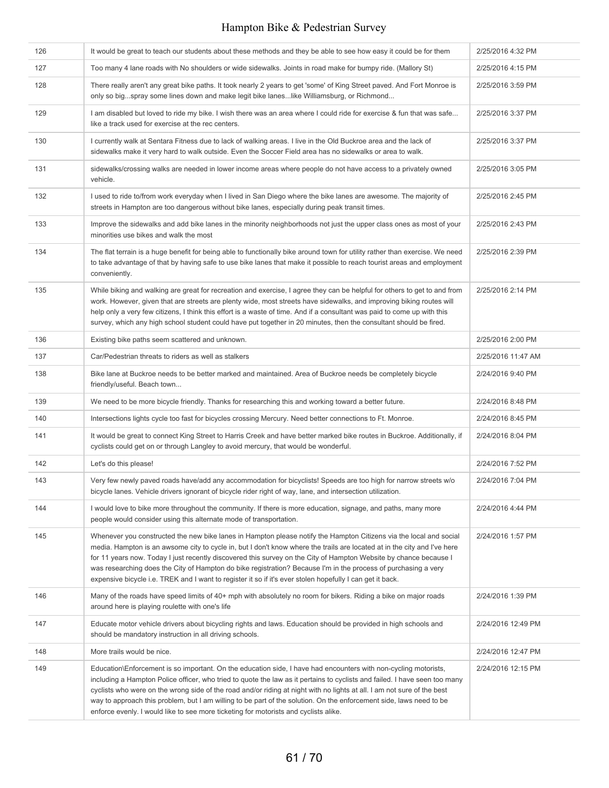| 126 | It would be great to teach our students about these methods and they be able to see how easy it could be for them                                                                                                                                                                                                                                                                                                                                                                                                                                                                                  | 2/25/2016 4:32 PM  |
|-----|----------------------------------------------------------------------------------------------------------------------------------------------------------------------------------------------------------------------------------------------------------------------------------------------------------------------------------------------------------------------------------------------------------------------------------------------------------------------------------------------------------------------------------------------------------------------------------------------------|--------------------|
| 127 | Too many 4 lane roads with No shoulders or wide sidewalks. Joints in road make for bumpy ride. (Mallory St)                                                                                                                                                                                                                                                                                                                                                                                                                                                                                        | 2/25/2016 4:15 PM  |
| 128 | There really aren't any great bike paths. It took nearly 2 years to get 'some' of King Street paved. And Fort Monroe is<br>only so bigspray some lines down and make legit bike laneslike Williamsburg, or Richmond                                                                                                                                                                                                                                                                                                                                                                                | 2/25/2016 3:59 PM  |
| 129 | I am disabled but loved to ride my bike. I wish there was an area where I could ride for exercise & fun that was safe<br>like a track used for exercise at the rec centers.                                                                                                                                                                                                                                                                                                                                                                                                                        | 2/25/2016 3:37 PM  |
| 130 | I currently walk at Sentara Fitness due to lack of walking areas. I live in the Old Buckroe area and the lack of<br>sidewalks make it very hard to walk outside. Even the Soccer Field area has no sidewalks or area to walk.                                                                                                                                                                                                                                                                                                                                                                      | 2/25/2016 3:37 PM  |
| 131 | sidewalks/crossing walks are needed in lower income areas where people do not have access to a privately owned<br>vehicle.                                                                                                                                                                                                                                                                                                                                                                                                                                                                         | 2/25/2016 3:05 PM  |
| 132 | I used to ride to/from work everyday when I lived in San Diego where the bike lanes are awesome. The majority of<br>streets in Hampton are too dangerous without bike lanes, especially during peak transit times.                                                                                                                                                                                                                                                                                                                                                                                 | 2/25/2016 2:45 PM  |
| 133 | Improve the sidewalks and add bike lanes in the minority neighborhoods not just the upper class ones as most of your<br>minorities use bikes and walk the most                                                                                                                                                                                                                                                                                                                                                                                                                                     | 2/25/2016 2:43 PM  |
| 134 | The flat terrain is a huge benefit for being able to functionally bike around town for utility rather than exercise. We need<br>to take advantage of that by having safe to use bike lanes that make it possible to reach tourist areas and employment<br>conveniently.                                                                                                                                                                                                                                                                                                                            | 2/25/2016 2:39 PM  |
| 135 | While biking and walking are great for recreation and exercise, I agree they can be helpful for others to get to and from<br>work. However, given that are streets are plenty wide, most streets have sidewalks, and improving biking routes will<br>help only a very few citizens, I think this effort is a waste of time. And if a consultant was paid to come up with this<br>survey, which any high school student could have put together in 20 minutes, then the consultant should be fired.                                                                                                 | 2/25/2016 2:14 PM  |
| 136 | Existing bike paths seem scattered and unknown.                                                                                                                                                                                                                                                                                                                                                                                                                                                                                                                                                    | 2/25/2016 2:00 PM  |
| 137 | Car/Pedestrian threats to riders as well as stalkers                                                                                                                                                                                                                                                                                                                                                                                                                                                                                                                                               | 2/25/2016 11:47 AM |
| 138 | Bike lane at Buckroe needs to be better marked and maintained. Area of Buckroe needs be completely bicycle<br>friendly/useful. Beach town                                                                                                                                                                                                                                                                                                                                                                                                                                                          | 2/24/2016 9:40 PM  |
| 139 | We need to be more bicycle friendly. Thanks for researching this and working toward a better future.                                                                                                                                                                                                                                                                                                                                                                                                                                                                                               | 2/24/2016 8:48 PM  |
| 140 | Intersections lights cycle too fast for bicycles crossing Mercury. Need better connections to Ft. Monroe.                                                                                                                                                                                                                                                                                                                                                                                                                                                                                          | 2/24/2016 8:45 PM  |
| 141 | It would be great to connect King Street to Harris Creek and have better marked bike routes in Buckroe. Additionally, if<br>cyclists could get on or through Langley to avoid mercury, that would be wonderful.                                                                                                                                                                                                                                                                                                                                                                                    | 2/24/2016 8:04 PM  |
| 142 | Let's do this please!                                                                                                                                                                                                                                                                                                                                                                                                                                                                                                                                                                              | 2/24/2016 7:52 PM  |
| 143 | Very few newly paved roads have/add any accommodation for bicyclists! Speeds are too high for narrow streets w/o<br>bicycle lanes. Vehicle drivers ignorant of bicycle rider right of way, lane, and intersection utilization.                                                                                                                                                                                                                                                                                                                                                                     | 2/24/2016 7:04 PM  |
| 144 | I would love to bike more throughout the community. If there is more education, signage, and paths, many more<br>people would consider using this alternate mode of transportation.                                                                                                                                                                                                                                                                                                                                                                                                                | 2/24/2016 4:44 PM  |
| 145 | Whenever you constructed the new bike lanes in Hampton please notify the Hampton Citizens via the local and social<br>media. Hampton is an awsome city to cycle in, but I don't know where the trails are located at in the city and I've here<br>for 11 years now. Today I just recently discovered this survey on the City of Hampton Website by chance because I<br>was researching does the City of Hampton do bike registration? Because I'm in the process of purchasing a very<br>expensive bicycle i.e. TREK and I want to register it so if it's ever stolen hopefully I can get it back. | 2/24/2016 1:57 PM  |
| 146 | Many of the roads have speed limits of 40+ mph with absolutely no room for bikers. Riding a bike on major roads<br>around here is playing roulette with one's life                                                                                                                                                                                                                                                                                                                                                                                                                                 | 2/24/2016 1:39 PM  |
| 147 | Educate motor vehicle drivers about bicycling rights and laws. Education should be provided in high schools and<br>should be mandatory instruction in all driving schools.                                                                                                                                                                                                                                                                                                                                                                                                                         | 2/24/2016 12:49 PM |
| 148 | More trails would be nice.                                                                                                                                                                                                                                                                                                                                                                                                                                                                                                                                                                         | 2/24/2016 12:47 PM |
| 149 | Education\Enforcement is so important. On the education side, I have had encounters with non-cycling motorists,<br>including a Hampton Police officer, who tried to quote the law as it pertains to cyclists and failed. I have seen too many<br>cyclists who were on the wrong side of the road and/or riding at night with no lights at all. I am not sure of the best<br>way to approach this problem, but I am willing to be part of the solution. On the enforcement side, laws need to be<br>enforce evenly. I would like to see more ticketing for motorists and cyclists alike.            | 2/24/2016 12:15 PM |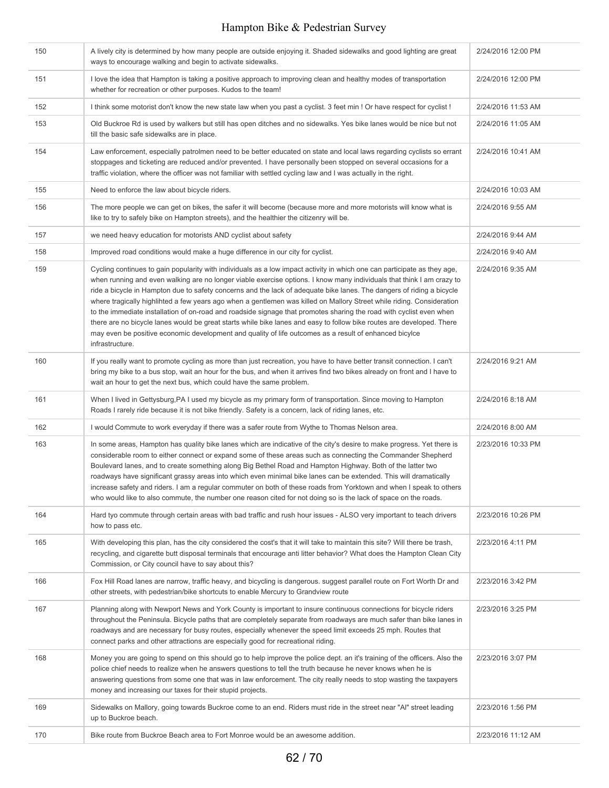| 150 | A lively city is determined by how many people are outside enjoying it. Shaded sidewalks and good lighting are great<br>ways to encourage walking and begin to activate sidewalks.                                                                                                                                                                                                                                                                                                                                                                                                                                                                                                                                                                                                                                                                                               | 2/24/2016 12:00 PM |
|-----|----------------------------------------------------------------------------------------------------------------------------------------------------------------------------------------------------------------------------------------------------------------------------------------------------------------------------------------------------------------------------------------------------------------------------------------------------------------------------------------------------------------------------------------------------------------------------------------------------------------------------------------------------------------------------------------------------------------------------------------------------------------------------------------------------------------------------------------------------------------------------------|--------------------|
| 151 | I love the idea that Hampton is taking a positive approach to improving clean and healthy modes of transportation<br>whether for recreation or other purposes. Kudos to the team!                                                                                                                                                                                                                                                                                                                                                                                                                                                                                                                                                                                                                                                                                                | 2/24/2016 12:00 PM |
| 152 | I think some motorist don't know the new state law when you past a cyclist. 3 feet min ! Or have respect for cyclist!                                                                                                                                                                                                                                                                                                                                                                                                                                                                                                                                                                                                                                                                                                                                                            | 2/24/2016 11:53 AM |
| 153 | Old Buckroe Rd is used by walkers but still has open ditches and no sidewalks. Yes bike lanes would be nice but not<br>till the basic safe sidewalks are in place.                                                                                                                                                                                                                                                                                                                                                                                                                                                                                                                                                                                                                                                                                                               | 2/24/2016 11:05 AM |
| 154 | Law enforcement, especially patrolmen need to be better educated on state and local laws regarding cyclists so errant<br>stoppages and ticketing are reduced and/or prevented. I have personally been stopped on several occasions for a<br>traffic violation, where the officer was not familiar with settled cycling law and I was actually in the right.                                                                                                                                                                                                                                                                                                                                                                                                                                                                                                                      | 2/24/2016 10:41 AM |
| 155 | Need to enforce the law about bicycle riders.                                                                                                                                                                                                                                                                                                                                                                                                                                                                                                                                                                                                                                                                                                                                                                                                                                    | 2/24/2016 10:03 AM |
| 156 | The more people we can get on bikes, the safer it will become (because more and more motorists will know what is<br>like to try to safely bike on Hampton streets), and the healthier the citizenry will be.                                                                                                                                                                                                                                                                                                                                                                                                                                                                                                                                                                                                                                                                     | 2/24/2016 9:55 AM  |
| 157 | we need heavy education for motorists AND cyclist about safety                                                                                                                                                                                                                                                                                                                                                                                                                                                                                                                                                                                                                                                                                                                                                                                                                   | 2/24/2016 9:44 AM  |
| 158 | Improved road conditions would make a huge difference in our city for cyclist.                                                                                                                                                                                                                                                                                                                                                                                                                                                                                                                                                                                                                                                                                                                                                                                                   | 2/24/2016 9:40 AM  |
| 159 | Cycling continues to gain popularity with individuals as a low impact activity in which one can participate as they age,<br>when running and even walking are no longer viable exercise options. I know many individuals that think I am crazy to<br>ride a bicycle in Hampton due to safety concerns and the lack of adequate bike lanes. The dangers of riding a bicycle<br>where tragically highlihted a few years ago when a gentlemen was killed on Mallory Street while riding. Consideration<br>to the immediate installation of on-road and roadside signage that promotes sharing the road with cyclist even when<br>there are no bicycle lanes would be great starts while bike lanes and easy to follow bike routes are developed. There<br>may even be positive economic development and quality of life outcomes as a result of enhanced bicylce<br>infrastructure. | 2/24/2016 9:35 AM  |
| 160 | If you really want to promote cycling as more than just recreation, you have to have better transit connection. I can't<br>bring my bike to a bus stop, wait an hour for the bus, and when it arrives find two bikes already on front and I have to<br>wait an hour to get the next bus, which could have the same problem.                                                                                                                                                                                                                                                                                                                                                                                                                                                                                                                                                      | 2/24/2016 9:21 AM  |
| 161 | When I lived in Gettysburg, PA I used my bicycle as my primary form of transportation. Since moving to Hampton<br>Roads I rarely ride because it is not bike friendly. Safety is a concern, lack of riding lanes, etc.                                                                                                                                                                                                                                                                                                                                                                                                                                                                                                                                                                                                                                                           | 2/24/2016 8:18 AM  |
| 162 | I would Commute to work everyday if there was a safer route from Wythe to Thomas Nelson area.                                                                                                                                                                                                                                                                                                                                                                                                                                                                                                                                                                                                                                                                                                                                                                                    | 2/24/2016 8:00 AM  |
| 163 | In some areas, Hampton has quality bike lanes which are indicative of the city's desire to make progress. Yet there is<br>considerable room to either connect or expand some of these areas such as connecting the Commander Shepherd<br>Boulevard lanes, and to create something along Big Bethel Road and Hampton Highway. Both of the latter two<br>roadways have significant grassy areas into which even minimal bike lanes can be extended. This will dramatically<br>increase safety and riders. I am a regular commuter on both of these roads from Yorktown and when I speak to others<br>who would like to also commute, the number one reason cited for not doing so is the lack of space on the roads.                                                                                                                                                               | 2/23/2016 10:33 PM |
| 164 | Hard tyo commute through certain areas with bad traffic and rush hour issues - ALSO very important to teach drivers<br>how to pass etc.                                                                                                                                                                                                                                                                                                                                                                                                                                                                                                                                                                                                                                                                                                                                          | 2/23/2016 10:26 PM |
| 165 | With developing this plan, has the city considered the cost's that it will take to maintain this site? Will there be trash,<br>recycling, and cigarette butt disposal terminals that encourage anti litter behavior? What does the Hampton Clean City<br>Commission, or City council have to say about this?                                                                                                                                                                                                                                                                                                                                                                                                                                                                                                                                                                     | 2/23/2016 4:11 PM  |
| 166 | Fox Hill Road lanes are narrow, traffic heavy, and bicycling is dangerous. suggest parallel route on Fort Worth Dr and<br>other streets, with pedestrian/bike shortcuts to enable Mercury to Grandview route                                                                                                                                                                                                                                                                                                                                                                                                                                                                                                                                                                                                                                                                     | 2/23/2016 3:42 PM  |
| 167 | Planning along with Newport News and York County is important to insure continuous connections for bicycle riders<br>throughout the Peninsula. Bicycle paths that are completely separate from roadways are much safer than bike lanes in<br>roadways and are necessary for busy routes, especially whenever the speed limit exceeds 25 mph. Routes that<br>connect parks and other attractions are especially good for recreational riding.                                                                                                                                                                                                                                                                                                                                                                                                                                     | 2/23/2016 3:25 PM  |
| 168 | Money you are going to spend on this should go to help improve the police dept. an it's training of the officers. Also the<br>police chief needs to realize when he answers questions to tell the truth because he never knows when he is<br>answering questions from some one that was in law enforcement. The city really needs to stop wasting the taxpayers<br>money and increasing our taxes for their stupid projects.                                                                                                                                                                                                                                                                                                                                                                                                                                                     | 2/23/2016 3:07 PM  |
| 169 | Sidewalks on Mallory, going towards Buckroe come to an end. Riders must ride in the street near "Al" street leading<br>up to Buckroe beach.                                                                                                                                                                                                                                                                                                                                                                                                                                                                                                                                                                                                                                                                                                                                      | 2/23/2016 1:56 PM  |
| 170 | Bike route from Buckroe Beach area to Fort Monroe would be an awesome addition.                                                                                                                                                                                                                                                                                                                                                                                                                                                                                                                                                                                                                                                                                                                                                                                                  | 2/23/2016 11:12 AM |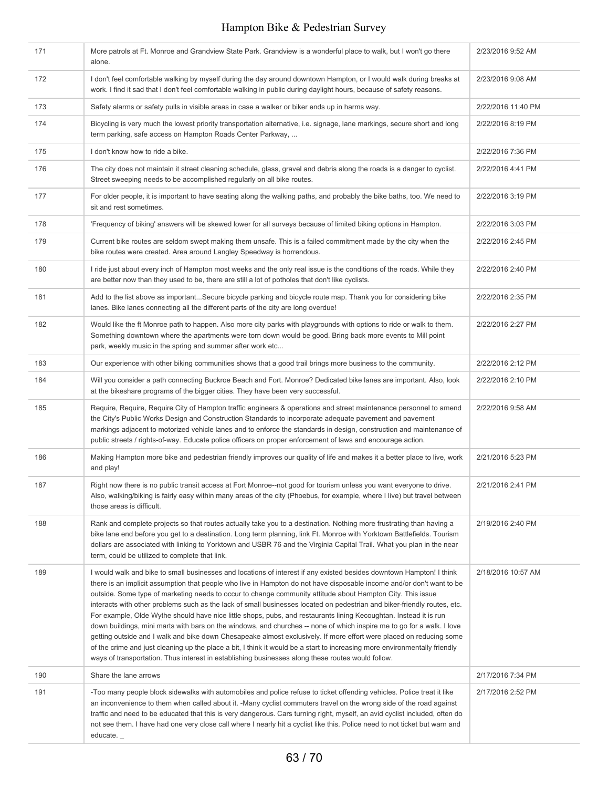| 171 | More patrols at Ft. Monroe and Grandview State Park. Grandview is a wonderful place to walk, but I won't go there<br>alone.                                                                                                                                                                                                                                                                                                                                                                                                                                                                                                                                                                                                                                                                                                                                                                                                                                                                                                                                                                      | 2/23/2016 9:52 AM  |
|-----|--------------------------------------------------------------------------------------------------------------------------------------------------------------------------------------------------------------------------------------------------------------------------------------------------------------------------------------------------------------------------------------------------------------------------------------------------------------------------------------------------------------------------------------------------------------------------------------------------------------------------------------------------------------------------------------------------------------------------------------------------------------------------------------------------------------------------------------------------------------------------------------------------------------------------------------------------------------------------------------------------------------------------------------------------------------------------------------------------|--------------------|
| 172 | I don't feel comfortable walking by myself during the day around downtown Hampton, or I would walk during breaks at<br>work. I find it sad that I don't feel comfortable walking in public during daylight hours, because of safety reasons.                                                                                                                                                                                                                                                                                                                                                                                                                                                                                                                                                                                                                                                                                                                                                                                                                                                     | 2/23/2016 9:08 AM  |
| 173 | Safety alarms or safety pulls in visible areas in case a walker or biker ends up in harms way.                                                                                                                                                                                                                                                                                                                                                                                                                                                                                                                                                                                                                                                                                                                                                                                                                                                                                                                                                                                                   | 2/22/2016 11:40 PM |
| 174 | Bicycling is very much the lowest priority transportation alternative, i.e. signage, lane markings, secure short and long<br>term parking, safe access on Hampton Roads Center Parkway,                                                                                                                                                                                                                                                                                                                                                                                                                                                                                                                                                                                                                                                                                                                                                                                                                                                                                                          | 2/22/2016 8:19 PM  |
| 175 | I don't know how to ride a bike.                                                                                                                                                                                                                                                                                                                                                                                                                                                                                                                                                                                                                                                                                                                                                                                                                                                                                                                                                                                                                                                                 | 2/22/2016 7:36 PM  |
| 176 | The city does not maintain it street cleaning schedule, glass, gravel and debris along the roads is a danger to cyclist.<br>Street sweeping needs to be accomplished regularly on all bike routes.                                                                                                                                                                                                                                                                                                                                                                                                                                                                                                                                                                                                                                                                                                                                                                                                                                                                                               | 2/22/2016 4:41 PM  |
| 177 | For older people, it is important to have seating along the walking paths, and probably the bike baths, too. We need to<br>sit and rest sometimes.                                                                                                                                                                                                                                                                                                                                                                                                                                                                                                                                                                                                                                                                                                                                                                                                                                                                                                                                               | 2/22/2016 3:19 PM  |
| 178 | 'Frequency of biking' answers will be skewed lower for all surveys because of limited biking options in Hampton.                                                                                                                                                                                                                                                                                                                                                                                                                                                                                                                                                                                                                                                                                                                                                                                                                                                                                                                                                                                 | 2/22/2016 3:03 PM  |
| 179 | Current bike routes are seldom swept making them unsafe. This is a failed commitment made by the city when the<br>bike routes were created. Area around Langley Speedway is horrendous.                                                                                                                                                                                                                                                                                                                                                                                                                                                                                                                                                                                                                                                                                                                                                                                                                                                                                                          | 2/22/2016 2:45 PM  |
| 180 | I ride just about every inch of Hampton most weeks and the only real issue is the conditions of the roads. While they<br>are better now than they used to be, there are still a lot of potholes that don't like cyclists.                                                                                                                                                                                                                                                                                                                                                                                                                                                                                                                                                                                                                                                                                                                                                                                                                                                                        | 2/22/2016 2:40 PM  |
| 181 | Add to the list above as importantSecure bicycle parking and bicycle route map. Thank you for considering bike<br>lanes. Bike lanes connecting all the different parts of the city are long overdue!                                                                                                                                                                                                                                                                                                                                                                                                                                                                                                                                                                                                                                                                                                                                                                                                                                                                                             | 2/22/2016 2:35 PM  |
| 182 | Would like the ft Monroe path to happen. Also more city parks with playgrounds with options to ride or walk to them.<br>Something downtown where the apartments were torn down would be good. Bring back more events to Mill point<br>park, weekly music in the spring and summer after work etc                                                                                                                                                                                                                                                                                                                                                                                                                                                                                                                                                                                                                                                                                                                                                                                                 | 2/22/2016 2:27 PM  |
| 183 | Our experience with other biking communities shows that a good trail brings more business to the community.                                                                                                                                                                                                                                                                                                                                                                                                                                                                                                                                                                                                                                                                                                                                                                                                                                                                                                                                                                                      | 2/22/2016 2:12 PM  |
| 184 | Will you consider a path connecting Buckroe Beach and Fort. Monroe? Dedicated bike lanes are important. Also, look<br>at the bikeshare programs of the bigger cities. They have been very successful.                                                                                                                                                                                                                                                                                                                                                                                                                                                                                                                                                                                                                                                                                                                                                                                                                                                                                            | 2/22/2016 2:10 PM  |
| 185 | Require, Require, Require City of Hampton traffic engineers & operations and street maintenance personnel to amend<br>the City's Public Works Design and Construction Standards to incorporate adequate pavement and pavement<br>markings adjacent to motorized vehicle lanes and to enforce the standards in design, construction and maintenance of<br>public streets / rights-of-way. Educate police officers on proper enforcement of laws and encourage action.                                                                                                                                                                                                                                                                                                                                                                                                                                                                                                                                                                                                                             | 2/22/2016 9:58 AM  |
| 186 | Making Hampton more bike and pedestrian friendly improves our quality of life and makes it a better place to live, work<br>and play!                                                                                                                                                                                                                                                                                                                                                                                                                                                                                                                                                                                                                                                                                                                                                                                                                                                                                                                                                             | 2/21/2016 5:23 PM  |
| 187 | Right now there is no public transit access at Fort Monroe--not good for tourism unless you want everyone to drive.<br>Also, walking/biking is fairly easy within many areas of the city (Phoebus, for example, where I live) but travel between<br>those areas is difficult.                                                                                                                                                                                                                                                                                                                                                                                                                                                                                                                                                                                                                                                                                                                                                                                                                    | 2/21/2016 2:41 PM  |
| 188 | Rank and complete projects so that routes actually take you to a destination. Nothing more frustrating than having a<br>bike lane end before you get to a destination. Long term planning, link Ft. Monroe with Yorktown Battlefields. Tourism<br>dollars are associated with linking to Yorktown and USBR 76 and the Virginia Capital Trail. What you plan in the near<br>term, could be utilized to complete that link.                                                                                                                                                                                                                                                                                                                                                                                                                                                                                                                                                                                                                                                                        | 2/19/2016 2:40 PM  |
| 189 | I would walk and bike to small businesses and locations of interest if any existed besides downtown Hampton! I think<br>there is an implicit assumption that people who live in Hampton do not have disposable income and/or don't want to be<br>outside. Some type of marketing needs to occur to change community attitude about Hampton City. This issue<br>interacts with other problems such as the lack of small businesses located on pedestrian and biker-friendly routes, etc.<br>For example, Olde Wythe should have nice little shops, pubs, and restaurants lining Kecoughtan. Instead it is run<br>down buildings, mini marts with bars on the windows, and churches -- none of which inspire me to go for a walk. I love<br>getting outside and I walk and bike down Chesapeake almost exclusively. If more effort were placed on reducing some<br>of the crime and just cleaning up the place a bit, I think it would be a start to increasing more environmentally friendly<br>ways of transportation. Thus interest in establishing businesses along these routes would follow. | 2/18/2016 10:57 AM |
| 190 | Share the lane arrows                                                                                                                                                                                                                                                                                                                                                                                                                                                                                                                                                                                                                                                                                                                                                                                                                                                                                                                                                                                                                                                                            | 2/17/2016 7:34 PM  |
| 191 | -Too many people block sidewalks with automobiles and police refuse to ticket offending vehicles. Police treat it like<br>an inconvenience to them when called about it. -Many cyclist commuters travel on the wrong side of the road against<br>traffic and need to be educated that this is very dangerous. Cars turning right, myself, an avid cyclist included, often do<br>not see them. I have had one very close call where I nearly hit a cyclist like this. Police need to not ticket but warn and<br>educate.                                                                                                                                                                                                                                                                                                                                                                                                                                                                                                                                                                          | 2/17/2016 2:52 PM  |